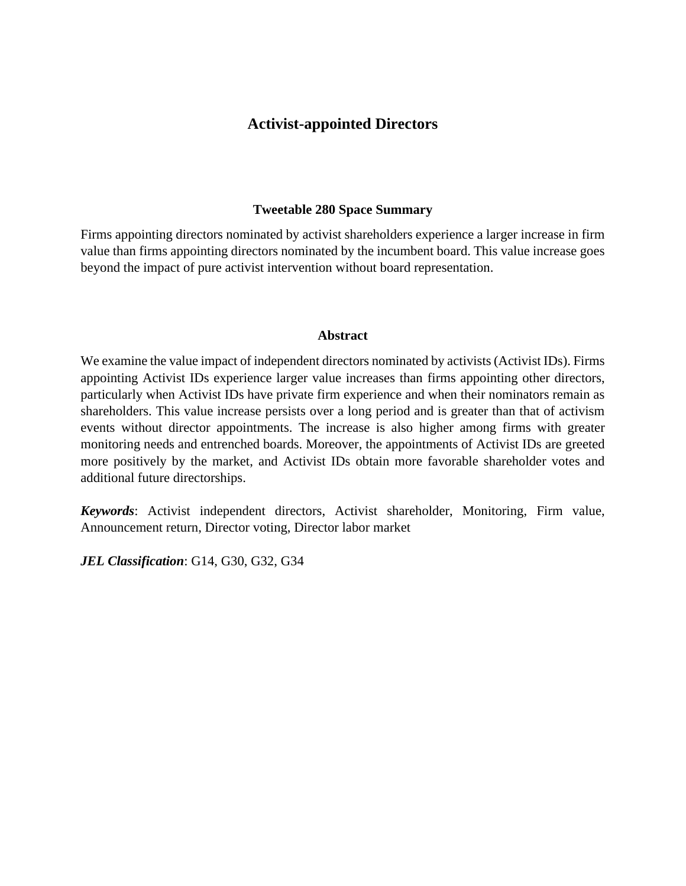This article has been published in a revised form in Journal of Financial and Quantitative Analysis http://doi.org/10.1017/S0022109021000648. This version is free to view and download for private research and study only. Not for re-distribution or re-use. © The Author(s), 2021. Published by Cambridge University Press on behalf of Michael G. Foster School of Business, University of Washington

# **Activist-appointed Directors**

#### **Tweetable 280 Space Summary**

Firms appointing directors nominated by activist shareholders experience a larger increase in firm value than firms appointing directors nominated by the incumbent board. This value increase goes beyond the impact of pure activist intervention without board representation.

### **Abstract**

We examine the value impact of independent directors nominated by activists (Activist IDs). Firms appointing Activist IDs experience larger value increases than firms appointing other directors, particularly when Activist IDs have private firm experience and when their nominators remain as shareholders. This value increase persists over a long period and is greater than that of activism events without director appointments. The increase is also higher among firms with greater monitoring needs and entrenched boards. Moreover, the appointments of Activist IDs are greeted more positively by the market, and Activist IDs obtain more favorable shareholder votes and additional future directorships.

*Keywords*: Activist independent directors, Activist shareholder, Monitoring, Firm value, Announcement return, Director voting, Director labor market

*JEL Classification*: G14, G30, G32, G34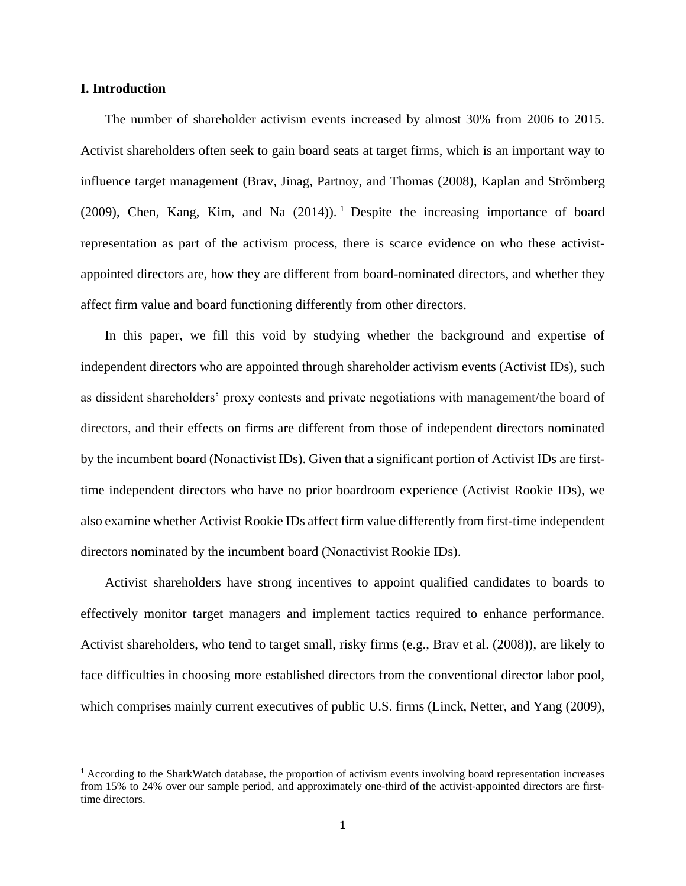## **I. Introduction**

The number of shareholder activism events increased by almost 30% from 2006 to 2015. Activist shareholders often seek to gain board seats at target firms, which is an important way to influence target management (Brav, Jinag, Partnoy, and Thomas (2008), Kaplan and Strömberg (2009), Chen, Kang, Kim, and Na  $(2014)$ ). <sup>1</sup> Despite the increasing importance of board representation as part of the activism process, there is scarce evidence on who these activistappointed directors are, how they are different from board-nominated directors, and whether they affect firm value and board functioning differently from other directors.

In this paper, we fill this void by studying whether the background and expertise of independent directors who are appointed through shareholder activism events (Activist IDs), such as dissident shareholders' proxy contests and private negotiations with management/the board of directors, and their effects on firms are different from those of independent directors nominated by the incumbent board (Nonactivist IDs). Given that a significant portion of Activist IDs are firsttime independent directors who have no prior boardroom experience (Activist Rookie IDs), we also examine whether Activist Rookie IDs affect firm value differently from first-time independent directors nominated by the incumbent board (Nonactivist Rookie IDs).

Activist shareholders have strong incentives to appoint qualified candidates to boards to effectively monitor target managers and implement tactics required to enhance performance. Activist shareholders, who tend to target small, risky firms (e.g., Brav et al. (2008)), are likely to face difficulties in choosing more established directors from the conventional director labor pool, which comprises mainly current executives of public U.S. firms (Linck, Netter, and Yang (2009),

<sup>&</sup>lt;sup>1</sup> According to the SharkWatch database, the proportion of activism events involving board representation increases from 15% to 24% over our sample period, and approximately one-third of the activist-appointed directors are firsttime directors.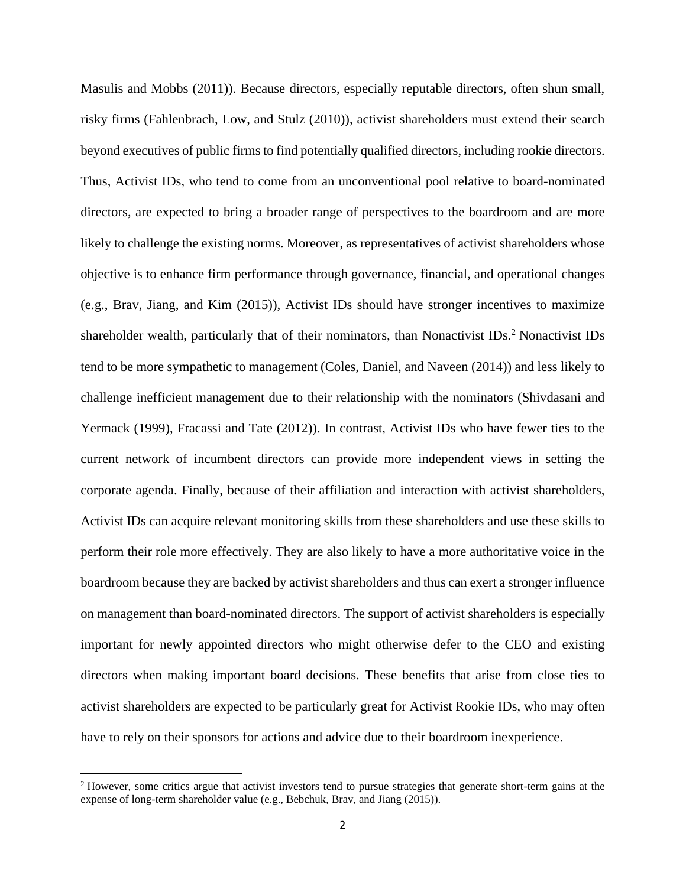Masulis and Mobbs (2011)). Because directors, especially reputable directors, often shun small, risky firms (Fahlenbrach, Low, and Stulz (2010)), activist shareholders must extend their search beyond executives of public firms to find potentially qualified directors, including rookie directors. Thus, Activist IDs, who tend to come from an unconventional pool relative to board-nominated directors, are expected to bring a broader range of perspectives to the boardroom and are more likely to challenge the existing norms. Moreover, as representatives of activist shareholders whose objective is to enhance firm performance through governance, financial, and operational changes (e.g., Brav, Jiang, and Kim (2015)), Activist IDs should have stronger incentives to maximize shareholder wealth, particularly that of their nominators, than Nonactivist IDs.<sup>2</sup> Nonactivist IDs tend to be more sympathetic to management (Coles, Daniel, and Naveen (2014)) and less likely to challenge inefficient management due to their relationship with the nominators (Shivdasani and Yermack (1999), Fracassi and Tate (2012)). In contrast, Activist IDs who have fewer ties to the current network of incumbent directors can provide more independent views in setting the corporate agenda. Finally, because of their affiliation and interaction with activist shareholders, Activist IDs can acquire relevant monitoring skills from these shareholders and use these skills to perform their role more effectively. They are also likely to have a more authoritative voice in the boardroom because they are backed by activist shareholders and thus can exert a stronger influence on management than board-nominated directors. The support of activist shareholders is especially important for newly appointed directors who might otherwise defer to the CEO and existing directors when making important board decisions. These benefits that arise from close ties to activist shareholders are expected to be particularly great for Activist Rookie IDs, who may often have to rely on their sponsors for actions and advice due to their boardroom inexperience.

<sup>2</sup> However, some critics argue that activist investors tend to pursue strategies that generate short-term gains at the expense of long-term shareholder value (e.g., Bebchuk, Brav, and Jiang (2015)).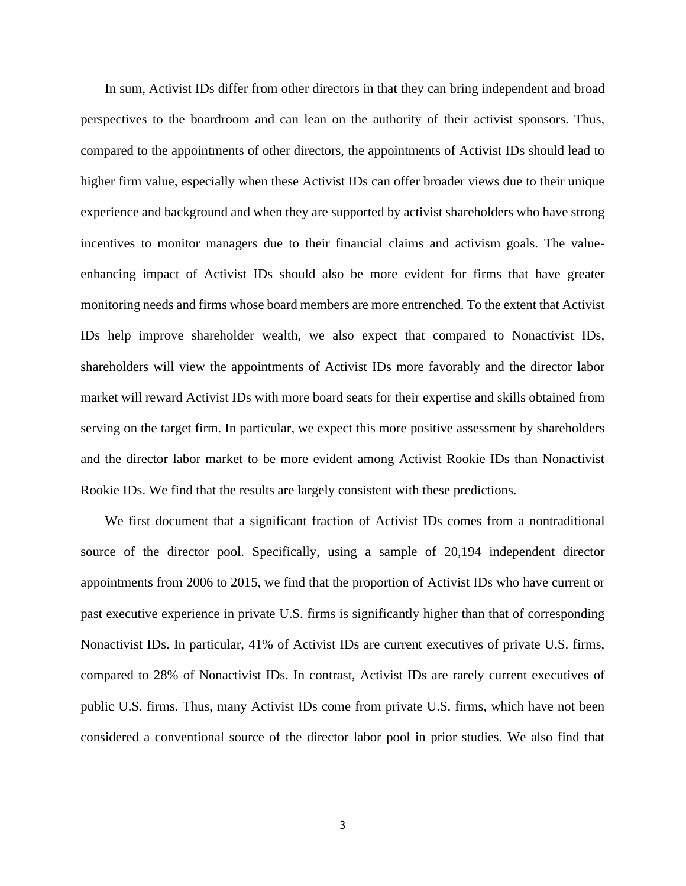In sum, Activist IDs differ from other directors in that they can bring independent and broad perspectives to the boardroom and can lean on the authority of their activist sponsors. Thus, compared to the appointments of other directors, the appointments of Activist IDs should lead to higher firm value, especially when these Activist IDs can offer broader views due to their unique experience and background and when they are supported by activist shareholders who have strong incentives to monitor managers due to their financial claims and activism goals. The valueenhancing impact of Activist IDs should also be more evident for firms that have greater monitoring needs and firms whose board members are more entrenched. To the extent that Activist IDs help improve shareholder wealth, we also expect that compared to Nonactivist IDs, shareholders will view the appointments of Activist IDs more favorably and the director labor market will reward Activist IDs with more board seats for their expertise and skills obtained from serving on the target firm. In particular, we expect this more positive assessment by shareholders and the director labor market to be more evident among Activist Rookie IDs than Nonactivist Rookie IDs. We find that the results are largely consistent with these predictions.

We first document that a significant fraction of Activist IDs comes from a nontraditional source of the director pool. Specifically, using a sample of 20,194 independent director appointments from 2006 to 2015, we find that the proportion of Activist IDs who have current or past executive experience in private U.S. firms is significantly higher than that of corresponding Nonactivist IDs. In particular, 41% of Activist IDs are current executives of private U.S. firms, compared to 28% of Nonactivist IDs. In contrast, Activist IDs are rarely current executives of public U.S. firms. Thus, many Activist IDs come from private U.S. firms, which have not been considered a conventional source of the director labor pool in prior studies. We also find that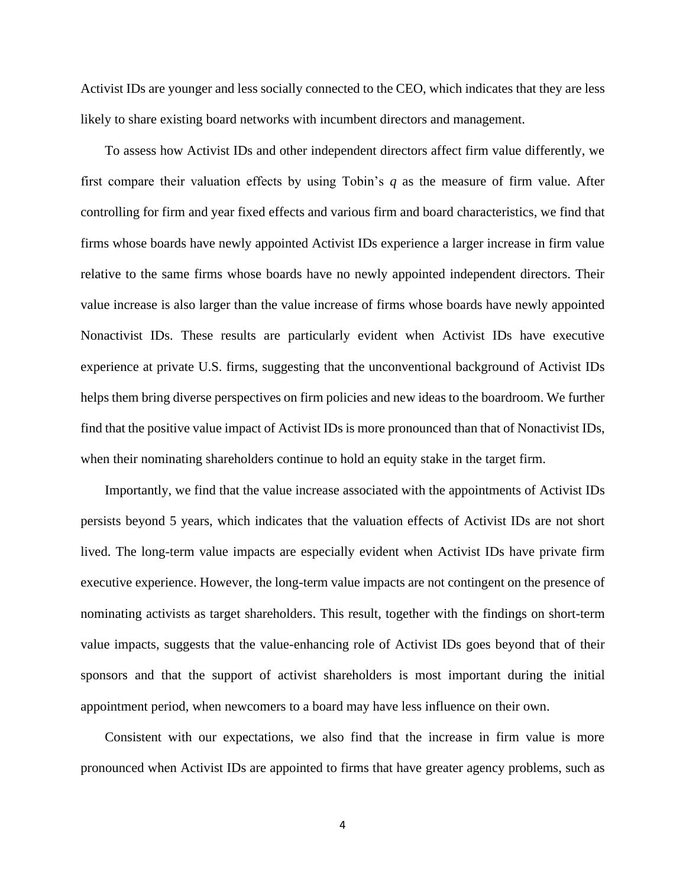Activist IDs are younger and less socially connected to the CEO, which indicates that they are less likely to share existing board networks with incumbent directors and management.

To assess how Activist IDs and other independent directors affect firm value differently, we first compare their valuation effects by using Tobin's *q* as the measure of firm value. After controlling for firm and year fixed effects and various firm and board characteristics, we find that firms whose boards have newly appointed Activist IDs experience a larger increase in firm value relative to the same firms whose boards have no newly appointed independent directors. Their value increase is also larger than the value increase of firms whose boards have newly appointed Nonactivist IDs. These results are particularly evident when Activist IDs have executive experience at private U.S. firms, suggesting that the unconventional background of Activist IDs helps them bring diverse perspectives on firm policies and new ideas to the boardroom. We further find that the positive value impact of Activist IDs is more pronounced than that of Nonactivist IDs, when their nominating shareholders continue to hold an equity stake in the target firm.

Importantly, we find that the value increase associated with the appointments of Activist IDs persists beyond 5 years, which indicates that the valuation effects of Activist IDs are not short lived. The long-term value impacts are especially evident when Activist IDs have private firm executive experience. However, the long-term value impacts are not contingent on the presence of nominating activists as target shareholders. This result, together with the findings on short-term value impacts, suggests that the value-enhancing role of Activist IDs goes beyond that of their sponsors and that the support of activist shareholders is most important during the initial appointment period, when newcomers to a board may have less influence on their own.

Consistent with our expectations, we also find that the increase in firm value is more pronounced when Activist IDs are appointed to firms that have greater agency problems, such as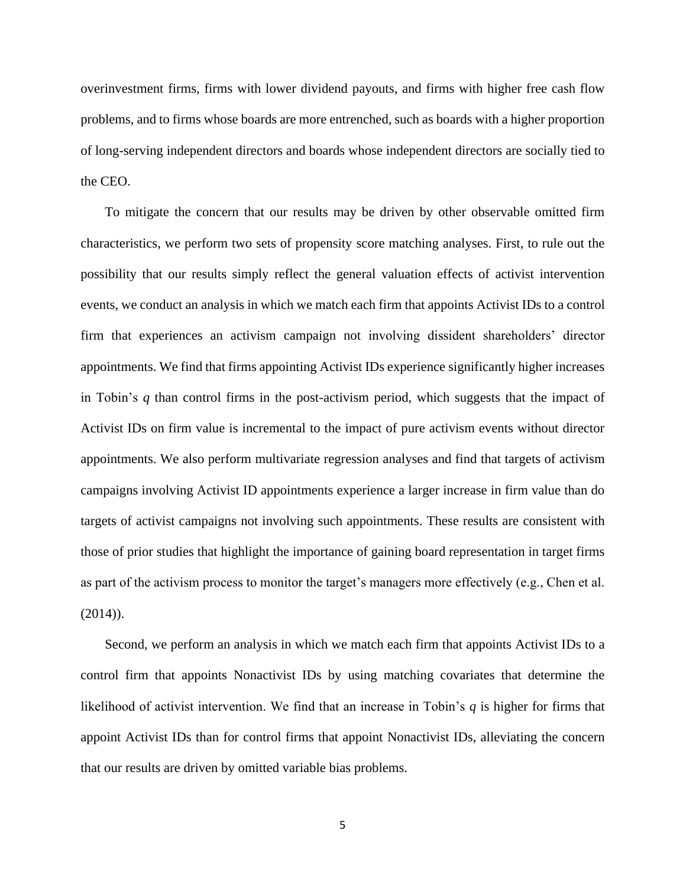overinvestment firms, firms with lower dividend payouts, and firms with higher free cash flow problems, and to firms whose boards are more entrenched, such as boards with a higher proportion of long-serving independent directors and boards whose independent directors are socially tied to the CEO.

To mitigate the concern that our results may be driven by other observable omitted firm characteristics, we perform two sets of propensity score matching analyses. First, to rule out the possibility that our results simply reflect the general valuation effects of activist intervention events, we conduct an analysis in which we match each firm that appoints Activist IDs to a control firm that experiences an activism campaign not involving dissident shareholders' director appointments. We find that firms appointing Activist IDs experience significantly higher increases in Tobin's *q* than control firms in the post-activism period, which suggests that the impact of Activist IDs on firm value is incremental to the impact of pure activism events without director appointments. We also perform multivariate regression analyses and find that targets of activism campaigns involving Activist ID appointments experience a larger increase in firm value than do targets of activist campaigns not involving such appointments. These results are consistent with those of prior studies that highlight the importance of gaining board representation in target firms as part of the activism process to monitor the target's managers more effectively (e.g., Chen et al.  $(2014)$ ).

Second, we perform an analysis in which we match each firm that appoints Activist IDs to a control firm that appoints Nonactivist IDs by using matching covariates that determine the likelihood of activist intervention. We find that an increase in Tobin's *q* is higher for firms that appoint Activist IDs than for control firms that appoint Nonactivist IDs, alleviating the concern that our results are driven by omitted variable bias problems.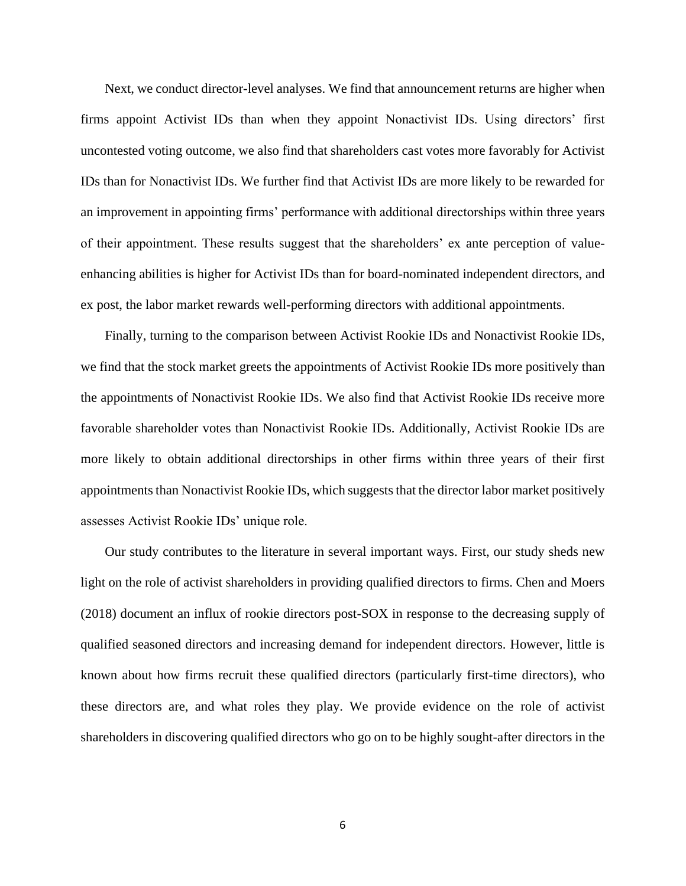Next, we conduct director-level analyses. We find that announcement returns are higher when firms appoint Activist IDs than when they appoint Nonactivist IDs. Using directors' first uncontested voting outcome, we also find that shareholders cast votes more favorably for Activist IDs than for Nonactivist IDs. We further find that Activist IDs are more likely to be rewarded for an improvement in appointing firms' performance with additional directorships within three years of their appointment. These results suggest that the shareholders' ex ante perception of valueenhancing abilities is higher for Activist IDs than for board-nominated independent directors, and ex post, the labor market rewards well-performing directors with additional appointments.

Finally, turning to the comparison between Activist Rookie IDs and Nonactivist Rookie IDs, we find that the stock market greets the appointments of Activist Rookie IDs more positively than the appointments of Nonactivist Rookie IDs. We also find that Activist Rookie IDs receive more favorable shareholder votes than Nonactivist Rookie IDs. Additionally, Activist Rookie IDs are more likely to obtain additional directorships in other firms within three years of their first appointments than Nonactivist Rookie IDs, which suggeststhat the director labor market positively assesses Activist Rookie IDs' unique role.

Our study contributes to the literature in several important ways. First, our study sheds new light on the role of activist shareholders in providing qualified directors to firms. Chen and Moers (2018) document an influx of rookie directors post-SOX in response to the decreasing supply of qualified seasoned directors and increasing demand for independent directors. However, little is known about how firms recruit these qualified directors (particularly first-time directors), who these directors are, and what roles they play. We provide evidence on the role of activist shareholders in discovering qualified directors who go on to be highly sought-after directors in the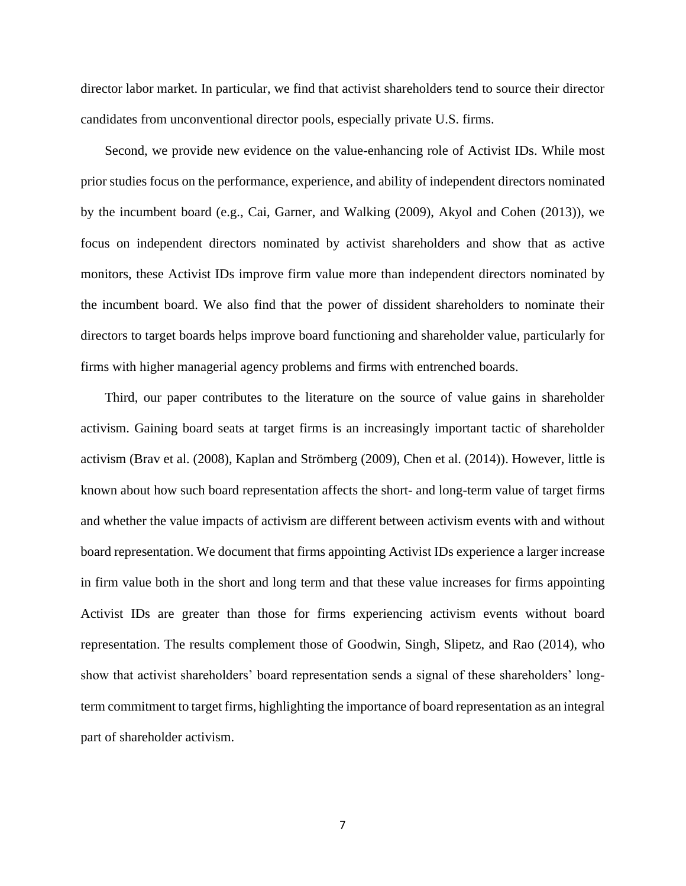director labor market. In particular, we find that activist shareholders tend to source their director candidates from unconventional director pools, especially private U.S. firms.

Second, we provide new evidence on the value-enhancing role of Activist IDs. While most prior studies focus on the performance, experience, and ability of independent directors nominated by the incumbent board (e.g., Cai, Garner, and Walking (2009), Akyol and Cohen (2013)), we focus on independent directors nominated by activist shareholders and show that as active monitors, these Activist IDs improve firm value more than independent directors nominated by the incumbent board. We also find that the power of dissident shareholders to nominate their directors to target boards helps improve board functioning and shareholder value, particularly for firms with higher managerial agency problems and firms with entrenched boards.

Third, our paper contributes to the literature on the source of value gains in shareholder activism. Gaining board seats at target firms is an increasingly important tactic of shareholder activism (Brav et al. (2008), Kaplan and Strömberg (2009), Chen et al. (2014)). However, little is known about how such board representation affects the short- and long-term value of target firms and whether the value impacts of activism are different between activism events with and without board representation. We document that firms appointing Activist IDs experience a larger increase in firm value both in the short and long term and that these value increases for firms appointing Activist IDs are greater than those for firms experiencing activism events without board representation. The results complement those of Goodwin, Singh, Slipetz, and Rao (2014), who show that activist shareholders' board representation sends a signal of these shareholders' longterm commitment to target firms, highlighting the importance of board representation as an integral part of shareholder activism.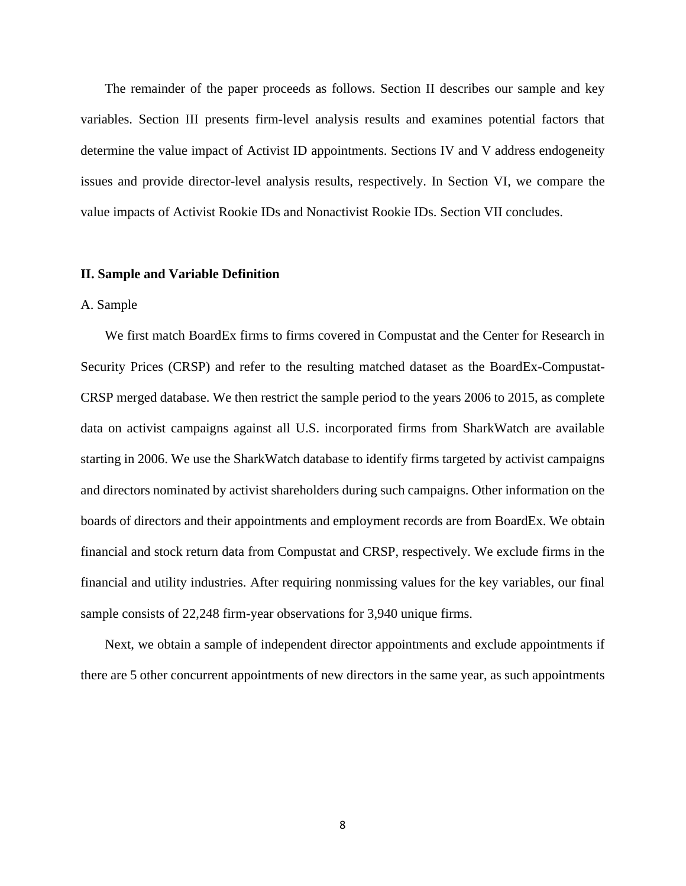The remainder of the paper proceeds as follows. Section II describes our sample and key variables. Section III presents firm-level analysis results and examines potential factors that determine the value impact of Activist ID appointments. Sections IV and V address endogeneity issues and provide director-level analysis results, respectively. In Section VI, we compare the value impacts of Activist Rookie IDs and Nonactivist Rookie IDs. Section VII concludes.

#### **II. Sample and Variable Definition**

### A. Sample

We first match BoardEx firms to firms covered in Compustat and the Center for Research in Security Prices (CRSP) and refer to the resulting matched dataset as the BoardEx-Compustat-CRSP merged database. We then restrict the sample period to the years 2006 to 2015, as complete data on activist campaigns against all U.S. incorporated firms from SharkWatch are available starting in 2006. We use the SharkWatch database to identify firms targeted by activist campaigns and directors nominated by activist shareholders during such campaigns. Other information on the boards of directors and their appointments and employment records are from BoardEx. We obtain financial and stock return data from Compustat and CRSP, respectively. We exclude firms in the financial and utility industries. After requiring nonmissing values for the key variables, our final sample consists of 22,248 firm-year observations for 3,940 unique firms.

Next, we obtain a sample of independent director appointments and exclude appointments if there are 5 other concurrent appointments of new directors in the same year, as such appointments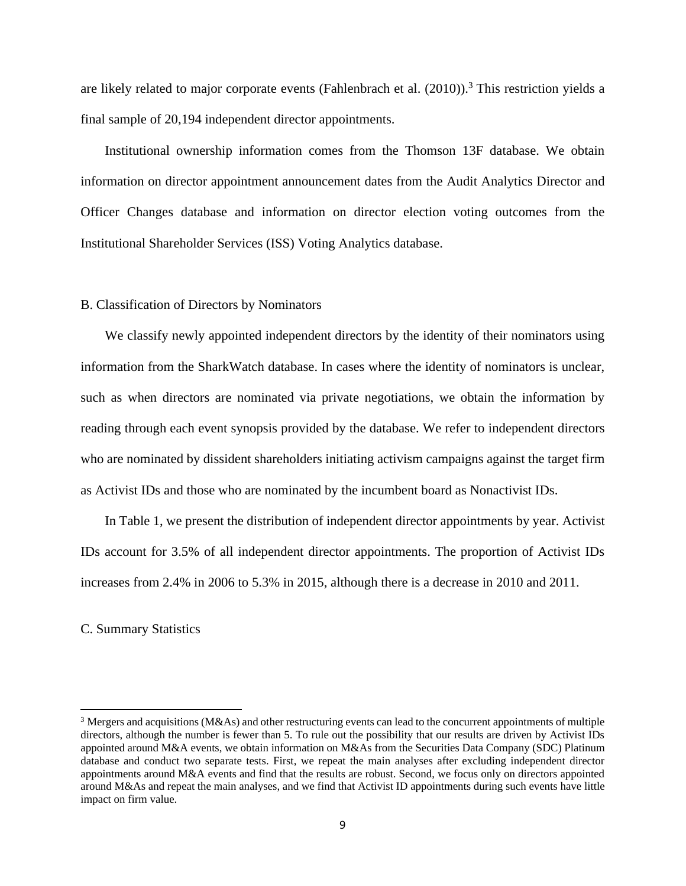are likely related to major corporate events (Fahlenbrach et al.  $(2010)$ ).<sup>3</sup> This restriction yields a final sample of 20,194 independent director appointments.

Institutional ownership information comes from the Thomson 13F database. We obtain information on director appointment announcement dates from the Audit Analytics Director and Officer Changes database and information on director election voting outcomes from the Institutional Shareholder Services (ISS) Voting Analytics database.

#### B. Classification of Directors by Nominators

We classify newly appointed independent directors by the identity of their nominators using information from the SharkWatch database. In cases where the identity of nominators is unclear, such as when directors are nominated via private negotiations, we obtain the information by reading through each event synopsis provided by the database. We refer to independent directors who are nominated by dissident shareholders initiating activism campaigns against the target firm as Activist IDs and those who are nominated by the incumbent board as Nonactivist IDs.

In Table 1, we present the distribution of independent director appointments by year. Activist IDs account for 3.5% of all independent director appointments. The proportion of Activist IDs increases from 2.4% in 2006 to 5.3% in 2015, although there is a decrease in 2010 and 2011.

### C. Summary Statistics

<sup>3</sup> Mergers and acquisitions (M&As) and other restructuring events can lead to the concurrent appointments of multiple directors, although the number is fewer than 5. To rule out the possibility that our results are driven by Activist IDs appointed around M&A events, we obtain information on M&As from the Securities Data Company (SDC) Platinum database and conduct two separate tests. First, we repeat the main analyses after excluding independent director appointments around M&A events and find that the results are robust. Second, we focus only on directors appointed around M&As and repeat the main analyses, and we find that Activist ID appointments during such events have little impact on firm value.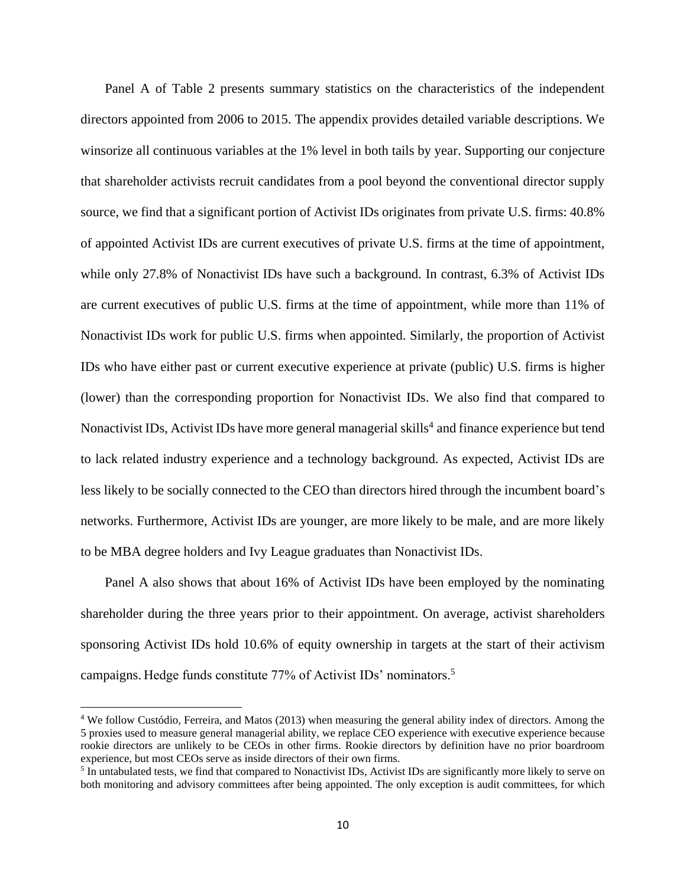Panel A of Table 2 presents summary statistics on the characteristics of the independent directors appointed from 2006 to 2015. The appendix provides detailed variable descriptions. We winsorize all continuous variables at the 1% level in both tails by year. Supporting our conjecture that shareholder activists recruit candidates from a pool beyond the conventional director supply source, we find that a significant portion of Activist IDs originates from private U.S. firms: 40.8% of appointed Activist IDs are current executives of private U.S. firms at the time of appointment, while only 27.8% of Nonactivist IDs have such a background. In contrast, 6.3% of Activist IDs are current executives of public U.S. firms at the time of appointment, while more than 11% of Nonactivist IDs work for public U.S. firms when appointed. Similarly, the proportion of Activist IDs who have either past or current executive experience at private (public) U.S. firms is higher (lower) than the corresponding proportion for Nonactivist IDs. We also find that compared to Nonactivist IDs, Activist IDs have more general managerial skills<sup>4</sup> and finance experience but tend to lack related industry experience and a technology background. As expected, Activist IDs are less likely to be socially connected to the CEO than directors hired through the incumbent board's networks. Furthermore, Activist IDs are younger, are more likely to be male, and are more likely to be MBA degree holders and Ivy League graduates than Nonactivist IDs.

Panel A also shows that about 16% of Activist IDs have been employed by the nominating shareholder during the three years prior to their appointment. On average, activist shareholders sponsoring Activist IDs hold 10.6% of equity ownership in targets at the start of their activism campaigns. Hedge funds constitute 77% of Activist IDs' nominators.<sup>5</sup>

<sup>&</sup>lt;sup>4</sup> We follow Custódio, Ferreira, and Matos (2013) when measuring the general ability index of directors. Among the 5 proxies used to measure general managerial ability, we replace CEO experience with executive experience because rookie directors are unlikely to be CEOs in other firms. Rookie directors by definition have no prior boardroom experience, but most CEOs serve as inside directors of their own firms.

<sup>&</sup>lt;sup>5</sup> In untabulated tests, we find that compared to Nonactivist IDs, Activist IDs are significantly more likely to serve on both monitoring and advisory committees after being appointed. The only exception is audit committees, for which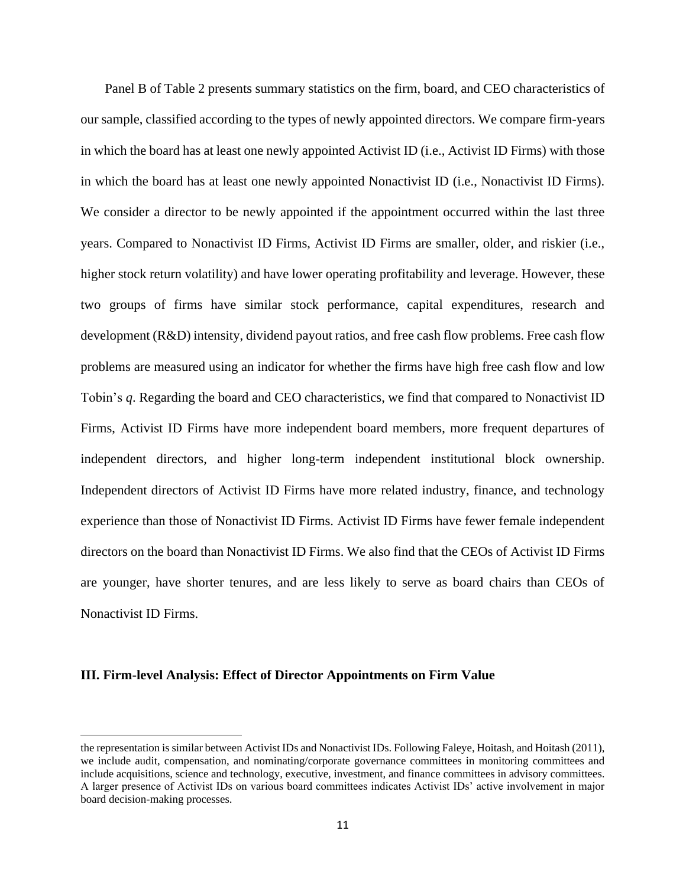Panel B of Table 2 presents summary statistics on the firm, board, and CEO characteristics of our sample, classified according to the types of newly appointed directors. We compare firm-years in which the board has at least one newly appointed Activist ID (i.e., Activist ID Firms) with those in which the board has at least one newly appointed Nonactivist ID (i.e., Nonactivist ID Firms). We consider a director to be newly appointed if the appointment occurred within the last three years. Compared to Nonactivist ID Firms, Activist ID Firms are smaller, older, and riskier (i.e., higher stock return volatility) and have lower operating profitability and leverage. However, these two groups of firms have similar stock performance, capital expenditures, research and development (R&D) intensity, dividend payout ratios, and free cash flow problems. Free cash flow problems are measured using an indicator for whether the firms have high free cash flow and low Tobin's *q*. Regarding the board and CEO characteristics, we find that compared to Nonactivist ID Firms, Activist ID Firms have more independent board members, more frequent departures of independent directors, and higher long-term independent institutional block ownership. Independent directors of Activist ID Firms have more related industry, finance, and technology experience than those of Nonactivist ID Firms. Activist ID Firms have fewer female independent directors on the board than Nonactivist ID Firms. We also find that the CEOs of Activist ID Firms are younger, have shorter tenures, and are less likely to serve as board chairs than CEOs of Nonactivist ID Firms.

### **III. Firm-level Analysis: Effect of Director Appointments on Firm Value**

the representation is similar between Activist IDs and Nonactivist IDs. Following Faleye, Hoitash, and Hoitash (2011), we include audit, compensation, and nominating/corporate governance committees in monitoring committees and include acquisitions, science and technology, executive, investment, and finance committees in advisory committees. A larger presence of Activist IDs on various board committees indicates Activist IDs' active involvement in major board decision-making processes.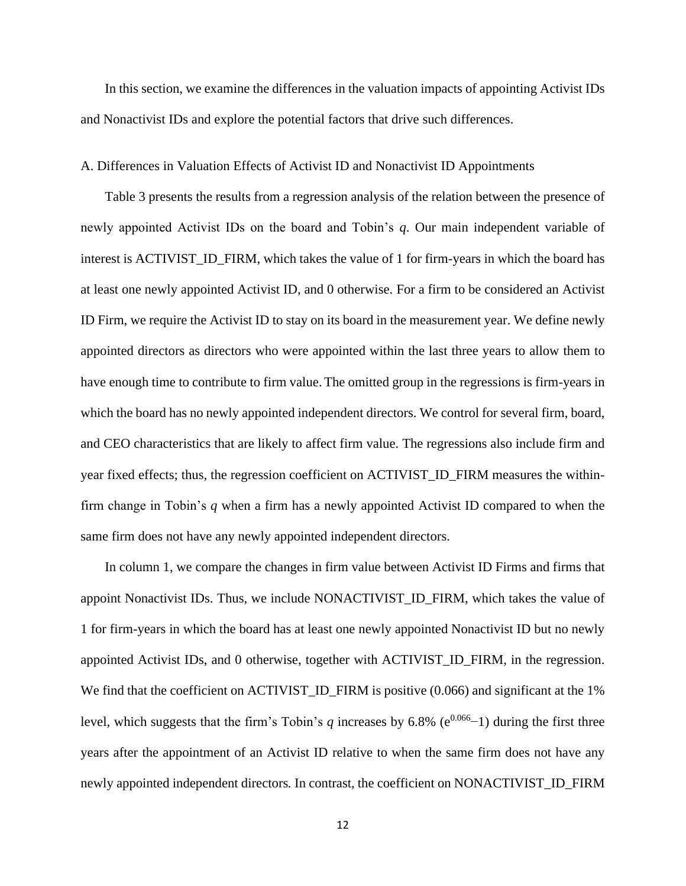In this section, we examine the differences in the valuation impacts of appointing Activist IDs and Nonactivist IDs and explore the potential factors that drive such differences.

## A. Differences in Valuation Effects of Activist ID and Nonactivist ID Appointments

Table 3 presents the results from a regression analysis of the relation between the presence of newly appointed Activist IDs on the board and Tobin's *q*. Our main independent variable of interest is ACTIVIST\_ID\_FIRM, which takes the value of 1 for firm-years in which the board has at least one newly appointed Activist ID, and 0 otherwise. For a firm to be considered an Activist ID Firm, we require the Activist ID to stay on its board in the measurement year. We define newly appointed directors as directors who were appointed within the last three years to allow them to have enough time to contribute to firm value. The omitted group in the regressions is firm-years in which the board has no newly appointed independent directors. We control for several firm, board, and CEO characteristics that are likely to affect firm value. The regressions also include firm and year fixed effects; thus, the regression coefficient on ACTIVIST\_ID\_FIRM measures the withinfirm change in Tobin's *q* when a firm has a newly appointed Activist ID compared to when the same firm does not have any newly appointed independent directors.

In column 1, we compare the changes in firm value between Activist ID Firms and firms that appoint Nonactivist IDs. Thus, we include NONACTIVIST\_ID\_FIRM, which takes the value of 1 for firm-years in which the board has at least one newly appointed Nonactivist ID but no newly appointed Activist IDs, and 0 otherwise, together with ACTIVIST\_ID\_FIRM, in the regression. We find that the coefficient on ACTIVIST\_ID\_FIRM is positive (0.066) and significant at the 1% level, which suggests that the firm's Tobin's *q* increases by 6.8% ( $e^{0.066}$ –1) during the first three years after the appointment of an Activist ID relative to when the same firm does not have any newly appointed independent directors*.* In contrast, the coefficient on NONACTIVIST\_ID\_FIRM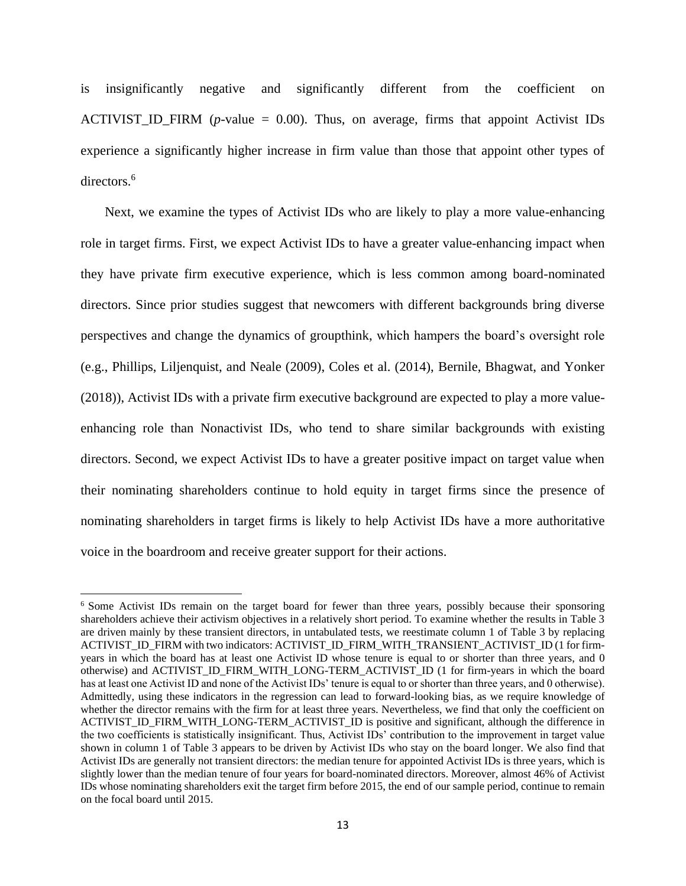is insignificantly negative and significantly different from the coefficient on ACTIVIST\_ID\_FIRM ( $p$ -value = 0.00). Thus, on average, firms that appoint Activist IDs experience a significantly higher increase in firm value than those that appoint other types of directors.<sup>6</sup>

Next, we examine the types of Activist IDs who are likely to play a more value-enhancing role in target firms. First, we expect Activist IDs to have a greater value-enhancing impact when they have private firm executive experience, which is less common among board-nominated directors. Since prior studies suggest that newcomers with different backgrounds bring diverse perspectives and change the dynamics of groupthink, which hampers the board's oversight role (e.g., Phillips, Liljenquist, and Neale (2009), Coles et al. (2014), Bernile, Bhagwat, and Yonker (2018)), Activist IDs with a private firm executive background are expected to play a more valueenhancing role than Nonactivist IDs, who tend to share similar backgrounds with existing directors. Second, we expect Activist IDs to have a greater positive impact on target value when their nominating shareholders continue to hold equity in target firms since the presence of nominating shareholders in target firms is likely to help Activist IDs have a more authoritative voice in the boardroom and receive greater support for their actions.

<sup>&</sup>lt;sup>6</sup> Some Activist IDs remain on the target board for fewer than three years, possibly because their sponsoring shareholders achieve their activism objectives in a relatively short period. To examine whether the results in Table 3 are driven mainly by these transient directors, in untabulated tests, we reestimate column 1 of Table 3 by replacing ACTIVIST\_ID\_FIRM with two indicators: ACTIVIST\_ID\_FIRM\_WITH\_TRANSIENT\_ACTIVIST\_ID (1 for firmyears in which the board has at least one Activist ID whose tenure is equal to or shorter than three years, and 0 otherwise) and ACTIVIST\_ID\_FIRM\_WITH\_LONG-TERM\_ACTIVIST\_ID (1 for firm-years in which the board has at least one Activist ID and none of the Activist IDs' tenure is equal to or shorter than three years, and 0 otherwise). Admittedly, using these indicators in the regression can lead to forward-looking bias, as we require knowledge of whether the director remains with the firm for at least three years. Nevertheless, we find that only the coefficient on ACTIVIST\_ID\_FIRM\_WITH\_LONG-TERM\_ACTIVIST\_ID is positive and significant, although the difference in the two coefficients is statistically insignificant. Thus, Activist IDs' contribution to the improvement in target value shown in column 1 of Table 3 appears to be driven by Activist IDs who stay on the board longer. We also find that Activist IDs are generally not transient directors: the median tenure for appointed Activist IDs is three years, which is slightly lower than the median tenure of four years for board-nominated directors. Moreover, almost 46% of Activist IDs whose nominating shareholders exit the target firm before 2015, the end of our sample period, continue to remain on the focal board until 2015.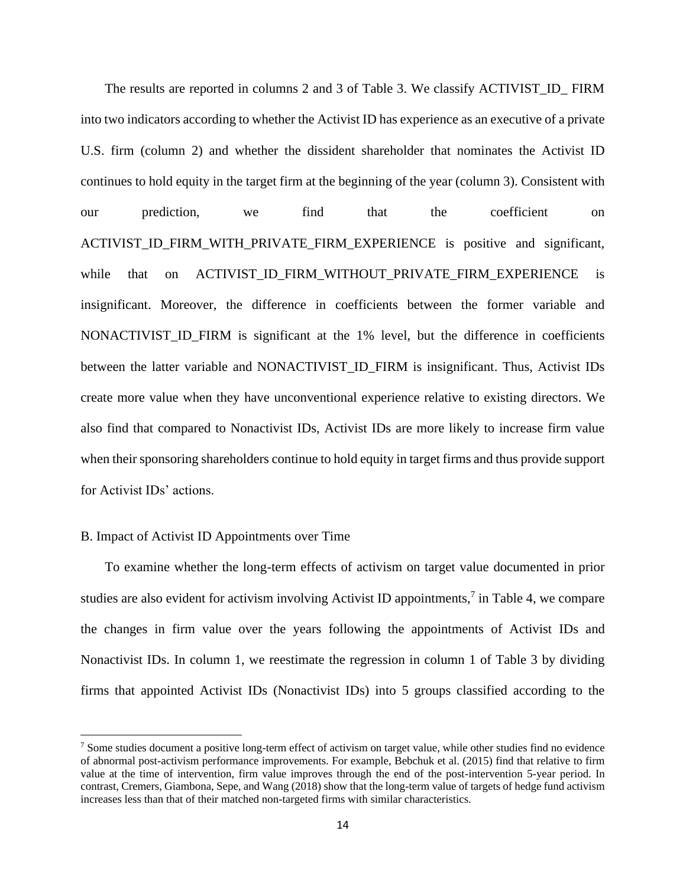The results are reported in columns 2 and 3 of Table 3. We classify ACTIVIST\_ID\_ FIRM into two indicators according to whether the Activist ID has experience as an executive of a private U.S. firm (column 2) and whether the dissident shareholder that nominates the Activist ID continues to hold equity in the target firm at the beginning of the year (column 3). Consistent with our prediction, we find that the coefficient on ACTIVIST\_ID\_FIRM\_WITH\_PRIVATE\_FIRM\_EXPERIENCE is positive and significant, while that on ACTIVIST\_ID\_FIRM\_WITHOUT\_PRIVATE\_FIRM\_EXPERIENCE is insignificant. Moreover, the difference in coefficients between the former variable and NONACTIVIST\_ID\_FIRM is significant at the 1% level, but the difference in coefficients between the latter variable and NONACTIVIST\_ID\_FIRM is insignificant. Thus, Activist IDs create more value when they have unconventional experience relative to existing directors. We also find that compared to Nonactivist IDs, Activist IDs are more likely to increase firm value when their sponsoring shareholders continue to hold equity in target firms and thus provide support for Activist IDs' actions.

### B. Impact of Activist ID Appointments over Time

To examine whether the long-term effects of activism on target value documented in prior studies are also evident for activism involving Activist ID appointments,<sup>7</sup> in Table 4, we compare the changes in firm value over the years following the appointments of Activist IDs and Nonactivist IDs. In column 1, we reestimate the regression in column 1 of Table 3 by dividing firms that appointed Activist IDs (Nonactivist IDs) into 5 groups classified according to the

 $<sup>7</sup>$  Some studies document a positive long-term effect of activism on target value, while other studies find no evidence</sup> of abnormal post-activism performance improvements. For example, Bebchuk et al. (2015) find that relative to firm value at the time of intervention, firm value improves through the end of the post-intervention 5-year period. In contrast, Cremers, Giambona, Sepe, and Wang (2018) show that the long-term value of targets of hedge fund activism increases less than that of their matched non-targeted firms with similar characteristics.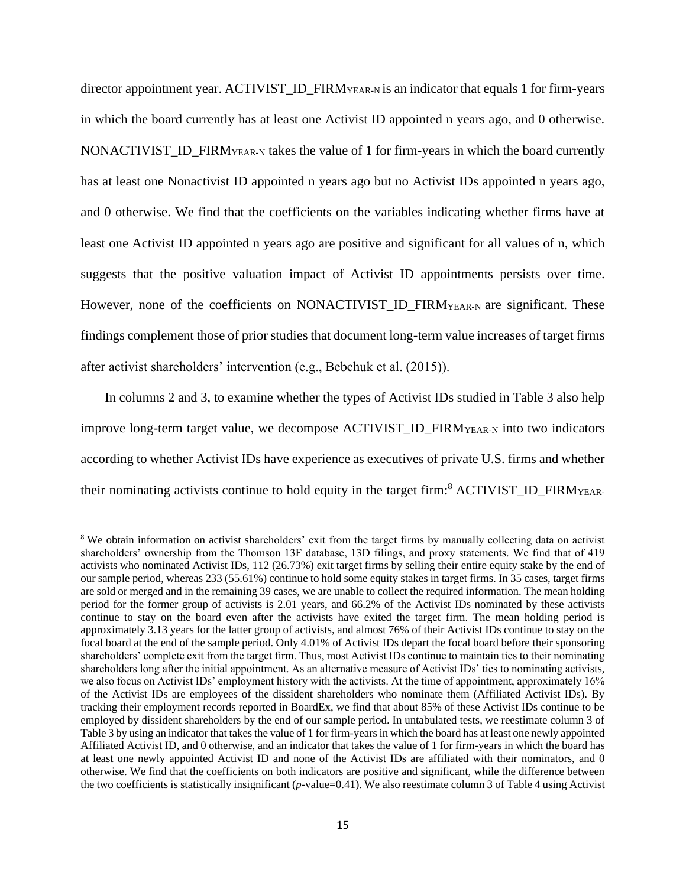director appointment year. ACTIVIST\_ID\_FIRMYEAR-N is an indicator that equals 1 for firm-years in which the board currently has at least one Activist ID appointed n years ago, and 0 otherwise. NONACTIVIST\_ID\_FIRMYEAR-N takes the value of 1 for firm-years in which the board currently has at least one Nonactivist ID appointed n years ago but no Activist IDs appointed n years ago, and 0 otherwise. We find that the coefficients on the variables indicating whether firms have at least one Activist ID appointed n years ago are positive and significant for all values of n, which suggests that the positive valuation impact of Activist ID appointments persists over time. However, none of the coefficients on NONACTIVIST\_ID\_FIRMYEAR-N are significant. These findings complement those of prior studies that document long-term value increases of target firms after activist shareholders' intervention (e.g., Bebchuk et al. (2015)).

In columns 2 and 3, to examine whether the types of Activist IDs studied in Table 3 also help improve long-term target value, we decompose ACTIVIST\_ID\_FIRMYEAR-N into two indicators according to whether Activist IDs have experience as executives of private U.S. firms and whether their nominating activists continue to hold equity in the target firm:<sup>8</sup> ACTIVIST\_ID\_FIRM<sub>YEAR</sub>

<sup>&</sup>lt;sup>8</sup> We obtain information on activist shareholders' exit from the target firms by manually collecting data on activist shareholders' ownership from the Thomson 13F database, 13D filings, and proxy statements. We find that of 419 activists who nominated Activist IDs, 112 (26.73%) exit target firms by selling their entire equity stake by the end of our sample period, whereas 233 (55.61%) continue to hold some equity stakes in target firms. In 35 cases, target firms are sold or merged and in the remaining 39 cases, we are unable to collect the required information. The mean holding period for the former group of activists is 2.01 years, and 66.2% of the Activist IDs nominated by these activists continue to stay on the board even after the activists have exited the target firm. The mean holding period is approximately 3.13 years for the latter group of activists, and almost 76% of their Activist IDs continue to stay on the focal board at the end of the sample period. Only 4.01% of Activist IDs depart the focal board before their sponsoring shareholders' complete exit from the target firm. Thus, most Activist IDs continue to maintain ties to their nominating shareholders long after the initial appointment. As an alternative measure of Activist IDs' ties to nominating activists, we also focus on Activist IDs' employment history with the activists. At the time of appointment, approximately 16% of the Activist IDs are employees of the dissident shareholders who nominate them (Affiliated Activist IDs). By tracking their employment records reported in BoardEx, we find that about 85% of these Activist IDs continue to be employed by dissident shareholders by the end of our sample period. In untabulated tests, we reestimate column 3 of Table 3 by using an indicator that takes the value of 1 for firm-years in which the board has at least one newly appointed Affiliated Activist ID, and 0 otherwise, and an indicator that takes the value of 1 for firm-years in which the board has at least one newly appointed Activist ID and none of the Activist IDs are affiliated with their nominators, and 0 otherwise. We find that the coefficients on both indicators are positive and significant, while the difference between the two coefficients is statistically insignificant (*p*-value=0.41). We also reestimate column 3 of Table 4 using Activist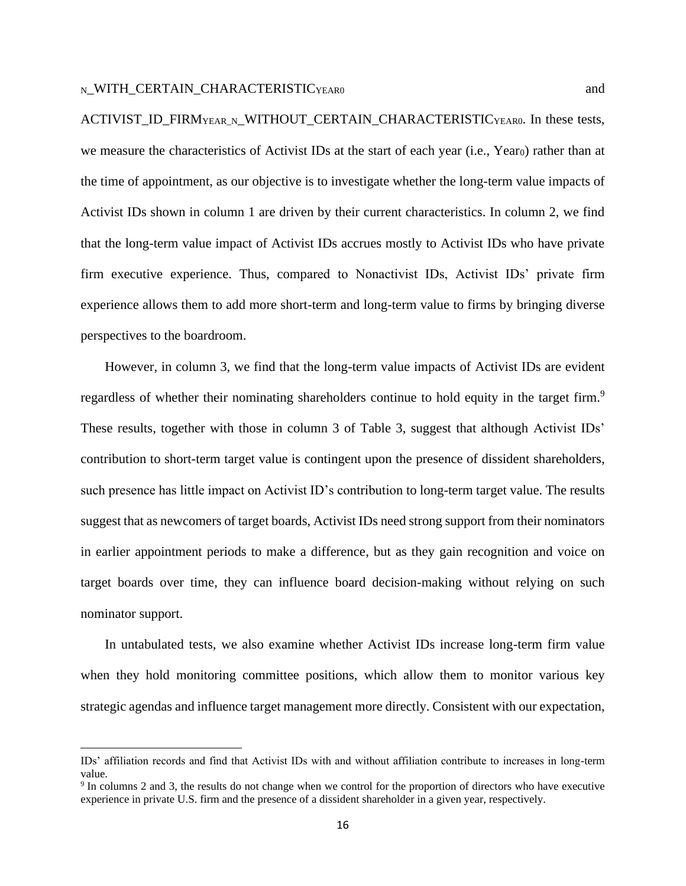ACTIVIST\_ID\_FIRMYEAR\_N\_WITHOUT\_CERTAIN\_CHARACTERISTICYEAR0. In these tests, we measure the characteristics of Activist IDs at the start of each year (i.e., Yearo) rather than at the time of appointment, as our objective is to investigate whether the long-term value impacts of Activist IDs shown in column 1 are driven by their current characteristics. In column 2, we find that the long-term value impact of Activist IDs accrues mostly to Activist IDs who have private firm executive experience. Thus, compared to Nonactivist IDs, Activist IDs' private firm experience allows them to add more short-term and long-term value to firms by bringing diverse perspectives to the boardroom.

However, in column 3, we find that the long-term value impacts of Activist IDs are evident regardless of whether their nominating shareholders continue to hold equity in the target firm.<sup>9</sup> These results, together with those in column 3 of Table 3, suggest that although Activist IDs' contribution to short-term target value is contingent upon the presence of dissident shareholders, such presence has little impact on Activist ID's contribution to long-term target value. The results suggest that as newcomers of target boards, Activist IDs need strong support from their nominators in earlier appointment periods to make a difference, but as they gain recognition and voice on target boards over time, they can influence board decision-making without relying on such nominator support.

In untabulated tests, we also examine whether Activist IDs increase long-term firm value when they hold monitoring committee positions, which allow them to monitor various key strategic agendas and influence target management more directly. Consistent with our expectation,

IDs' affiliation records and find that Activist IDs with and without affiliation contribute to increases in long-term value.

<sup>&</sup>lt;sup>9</sup> In columns 2 and 3, the results do not change when we control for the proportion of directors who have executive experience in private U.S. firm and the presence of a dissident shareholder in a given year, respectively.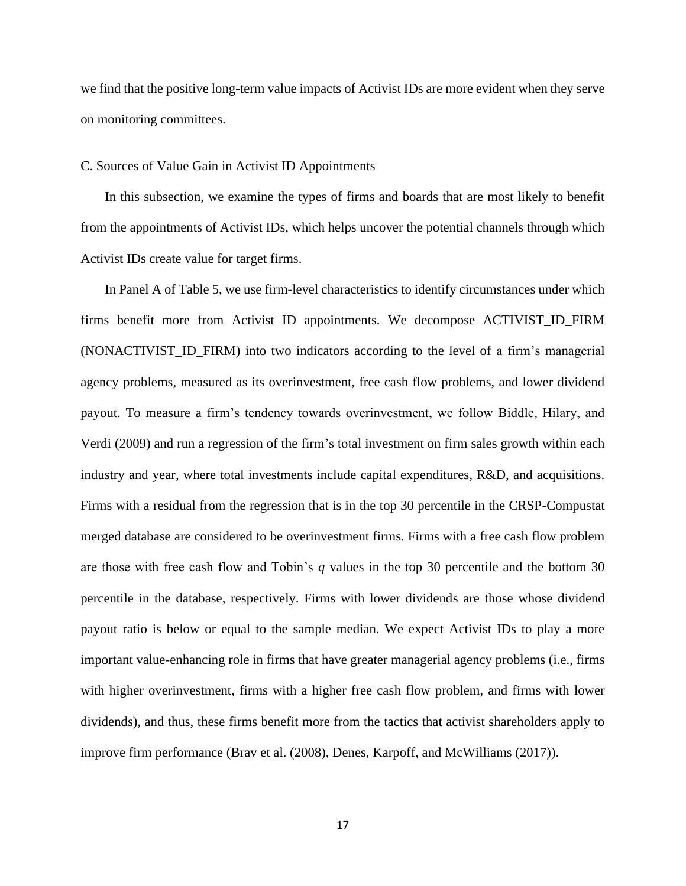we find that the positive long-term value impacts of Activist IDs are more evident when they serve on monitoring committees.

### C. Sources of Value Gain in Activist ID Appointments

In this subsection, we examine the types of firms and boards that are most likely to benefit from the appointments of Activist IDs, which helps uncover the potential channels through which Activist IDs create value for target firms.

In Panel A of Table 5, we use firm-level characteristics to identify circumstances under which firms benefit more from Activist ID appointments. We decompose ACTIVIST\_ID\_FIRM (NONACTIVIST\_ID\_FIRM) into two indicators according to the level of a firm's managerial agency problems, measured as its overinvestment, free cash flow problems, and lower dividend payout. To measure a firm's tendency towards overinvestment, we follow Biddle, Hilary, and Verdi (2009) and run a regression of the firm's total investment on firm sales growth within each industry and year, where total investments include capital expenditures, R&D, and acquisitions. Firms with a residual from the regression that is in the top 30 percentile in the CRSP-Compustat merged database are considered to be overinvestment firms. Firms with a free cash flow problem are those with free cash flow and Tobin's *q* values in the top 30 percentile and the bottom 30 percentile in the database, respectively. Firms with lower dividends are those whose dividend payout ratio is below or equal to the sample median. We expect Activist IDs to play a more important value-enhancing role in firms that have greater managerial agency problems (i.e., firms with higher overinvestment, firms with a higher free cash flow problem, and firms with lower dividends), and thus, these firms benefit more from the tactics that activist shareholders apply to improve firm performance (Brav et al. (2008), Denes, Karpoff, and McWilliams (2017)).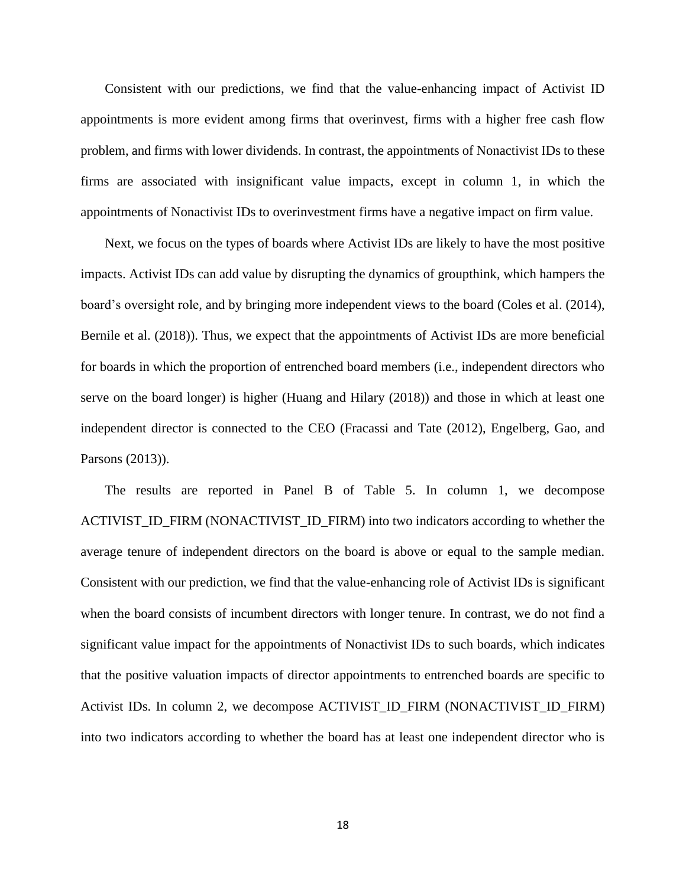Consistent with our predictions, we find that the value-enhancing impact of Activist ID appointments is more evident among firms that overinvest, firms with a higher free cash flow problem, and firms with lower dividends. In contrast, the appointments of Nonactivist IDs to these firms are associated with insignificant value impacts, except in column 1, in which the appointments of Nonactivist IDs to overinvestment firms have a negative impact on firm value.

Next, we focus on the types of boards where Activist IDs are likely to have the most positive impacts. Activist IDs can add value by disrupting the dynamics of groupthink, which hampers the board's oversight role, and by bringing more independent views to the board (Coles et al. (2014), Bernile et al. (2018)). Thus, we expect that the appointments of Activist IDs are more beneficial for boards in which the proportion of entrenched board members (i.e., independent directors who serve on the board longer) is higher (Huang and Hilary (2018)) and those in which at least one independent director is connected to the CEO (Fracassi and Tate (2012), Engelberg, Gao, and Parsons (2013)).

The results are reported in Panel B of Table 5. In column 1, we decompose ACTIVIST\_ID\_FIRM (NONACTIVIST\_ID\_FIRM) into two indicators according to whether the average tenure of independent directors on the board is above or equal to the sample median. Consistent with our prediction, we find that the value-enhancing role of Activist IDs is significant when the board consists of incumbent directors with longer tenure. In contrast, we do not find a significant value impact for the appointments of Nonactivist IDs to such boards, which indicates that the positive valuation impacts of director appointments to entrenched boards are specific to Activist IDs. In column 2, we decompose ACTIVIST\_ID\_FIRM (NONACTIVIST\_ID\_FIRM) into two indicators according to whether the board has at least one independent director who is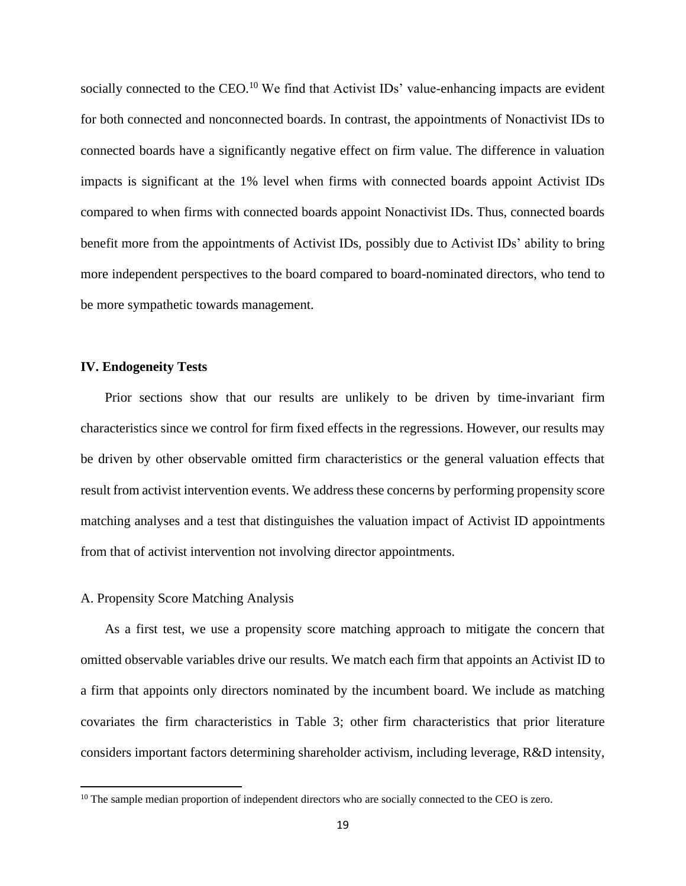socially connected to the CEO.<sup>10</sup> We find that Activist IDs' value-enhancing impacts are evident for both connected and nonconnected boards. In contrast, the appointments of Nonactivist IDs to connected boards have a significantly negative effect on firm value. The difference in valuation impacts is significant at the 1% level when firms with connected boards appoint Activist IDs compared to when firms with connected boards appoint Nonactivist IDs. Thus, connected boards benefit more from the appointments of Activist IDs, possibly due to Activist IDs' ability to bring more independent perspectives to the board compared to board-nominated directors, who tend to be more sympathetic towards management.

#### **IV. Endogeneity Tests**

Prior sections show that our results are unlikely to be driven by time-invariant firm characteristics since we control for firm fixed effects in the regressions. However, our results may be driven by other observable omitted firm characteristics or the general valuation effects that result from activist intervention events. We address these concerns by performing propensity score matching analyses and a test that distinguishes the valuation impact of Activist ID appointments from that of activist intervention not involving director appointments.

#### A. Propensity Score Matching Analysis

As a first test, we use a propensity score matching approach to mitigate the concern that omitted observable variables drive our results. We match each firm that appoints an Activist ID to a firm that appoints only directors nominated by the incumbent board. We include as matching covariates the firm characteristics in Table 3; other firm characteristics that prior literature considers important factors determining shareholder activism, including leverage, R&D intensity,

<sup>&</sup>lt;sup>10</sup> The sample median proportion of independent directors who are socially connected to the CEO is zero.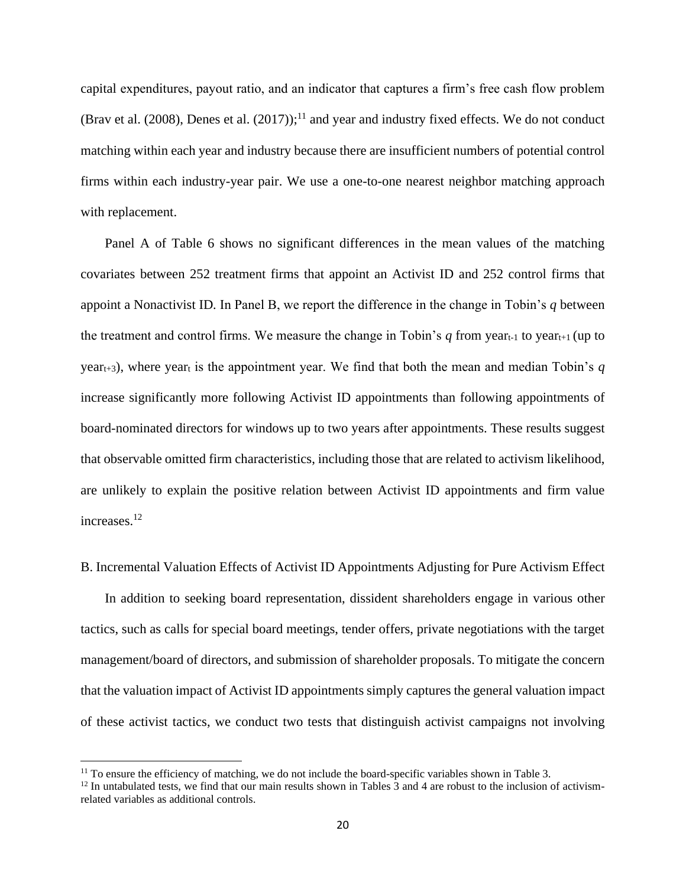capital expenditures, payout ratio, and an indicator that captures a firm's free cash flow problem (Brav et al. (2008), Denes et al. (2017));<sup>11</sup> and year and industry fixed effects. We do not conduct matching within each year and industry because there are insufficient numbers of potential control firms within each industry-year pair. We use a one-to-one nearest neighbor matching approach with replacement.

Panel A of Table 6 shows no significant differences in the mean values of the matching covariates between 252 treatment firms that appoint an Activist ID and 252 control firms that appoint a Nonactivist ID*.* In Panel B, we report the difference in the change in Tobin's *q* between the treatment and control firms. We measure the change in Tobin's  $q$  from yeart-1 to yeart-1 (up to year<sub>t+3</sub>), where year<sub>t</sub> is the appointment year. We find that both the mean and median Tobin's  $q$ increase significantly more following Activist ID appointments than following appointments of board-nominated directors for windows up to two years after appointments. These results suggest that observable omitted firm characteristics, including those that are related to activism likelihood, are unlikely to explain the positive relation between Activist ID appointments and firm value increases.<sup>12</sup>

## B. Incremental Valuation Effects of Activist ID Appointments Adjusting for Pure Activism Effect

In addition to seeking board representation, dissident shareholders engage in various other tactics, such as calls for special board meetings, tender offers, private negotiations with the target management/board of directors, and submission of shareholder proposals. To mitigate the concern that the valuation impact of Activist ID appointments simply captures the general valuation impact of these activist tactics, we conduct two tests that distinguish activist campaigns not involving

 $11$  To ensure the efficiency of matching, we do not include the board-specific variables shown in Table 3.

 $12$  In untabulated tests, we find that our main results shown in Tables 3 and 4 are robust to the inclusion of activismrelated variables as additional controls.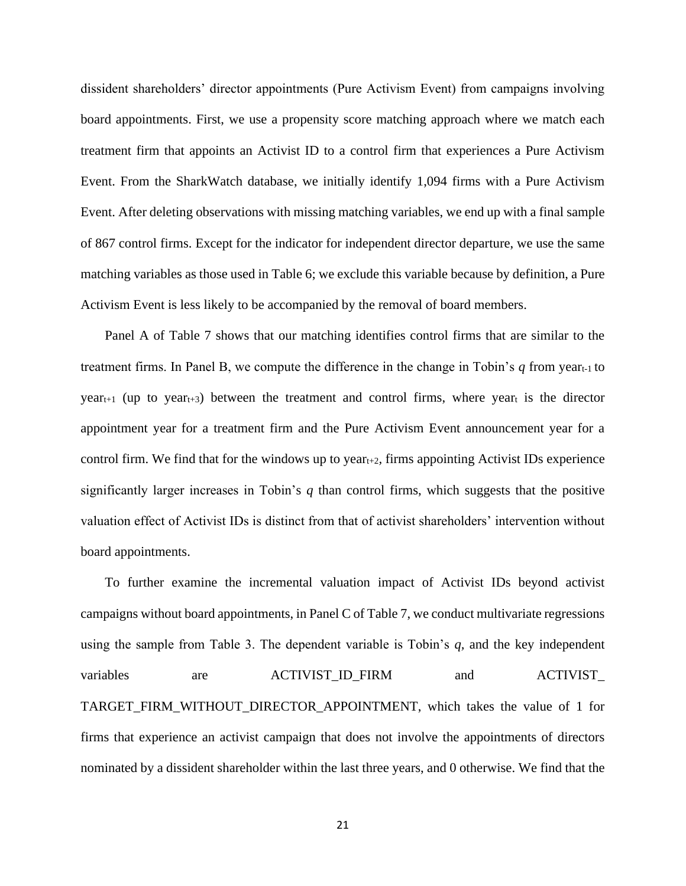dissident shareholders' director appointments (Pure Activism Event) from campaigns involving board appointments. First, we use a propensity score matching approach where we match each treatment firm that appoints an Activist ID to a control firm that experiences a Pure Activism Event. From the SharkWatch database, we initially identify 1,094 firms with a Pure Activism Event. After deleting observations with missing matching variables, we end up with a final sample of 867 control firms. Except for the indicator for independent director departure, we use the same matching variables as those used in Table 6; we exclude this variable because by definition, a Pure Activism Event is less likely to be accompanied by the removal of board members.

Panel A of Table 7 shows that our matching identifies control firms that are similar to the treatment firms. In Panel B, we compute the difference in the change in Tobin's  $q$  from year<sub>t-1</sub> to  $year<sub>t+1</sub>$  (up to year<sub>t+3</sub>) between the treatment and control firms, where yeart is the director appointment year for a treatment firm and the Pure Activism Event announcement year for a control firm. We find that for the windows up to year<sub>t+2</sub>, firms appointing Activist IDs experience significantly larger increases in Tobin's *q* than control firms, which suggests that the positive valuation effect of Activist IDs is distinct from that of activist shareholders' intervention without board appointments.

To further examine the incremental valuation impact of Activist IDs beyond activist campaigns without board appointments, in Panel C of Table 7, we conduct multivariate regressions using the sample from Table 3. The dependent variable is Tobin's *q,* and the key independent variables are ACTIVIST\_ID\_FIRM and ACTIVIST\_ TARGET\_FIRM\_WITHOUT\_DIRECTOR\_APPOINTMENT, which takes the value of 1 for firms that experience an activist campaign that does not involve the appointments of directors nominated by a dissident shareholder within the last three years, and 0 otherwise. We find that the

21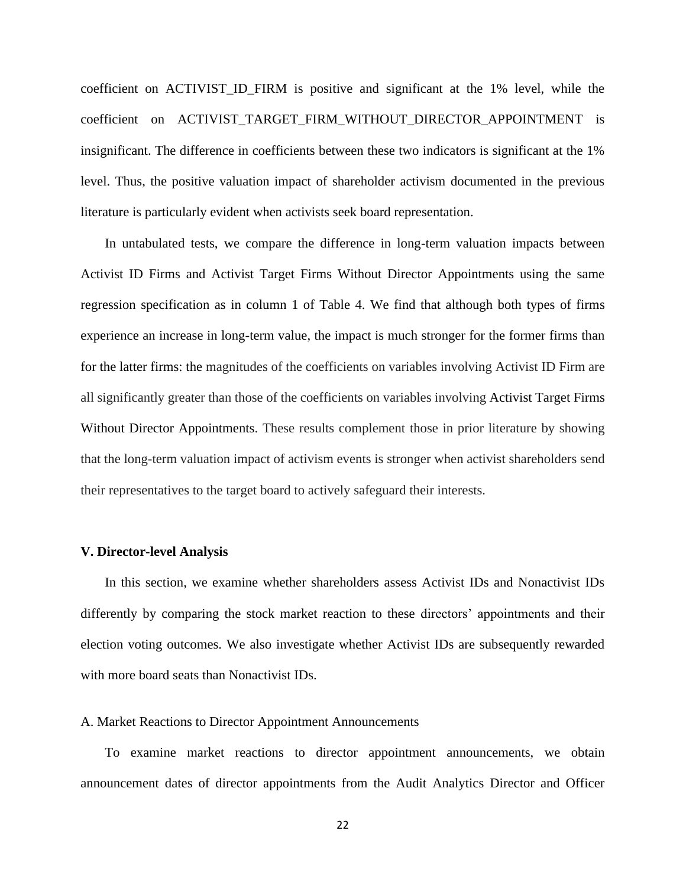coefficient on ACTIVIST\_ID\_FIRM is positive and significant at the 1% level, while the coefficient on ACTIVIST\_TARGET\_FIRM\_WITHOUT\_DIRECTOR\_APPOINTMENT is insignificant. The difference in coefficients between these two indicators is significant at the 1% level. Thus, the positive valuation impact of shareholder activism documented in the previous literature is particularly evident when activists seek board representation.

In untabulated tests, we compare the difference in long-term valuation impacts between Activist ID Firms and Activist Target Firms Without Director Appointments using the same regression specification as in column 1 of Table 4. We find that although both types of firms experience an increase in long-term value, the impact is much stronger for the former firms than for the latter firms: the magnitudes of the coefficients on variables involving Activist ID Firm are all significantly greater than those of the coefficients on variables involving Activist Target Firms Without Director Appointments. These results complement those in prior literature by showing that the long-term valuation impact of activism events is stronger when activist shareholders send their representatives to the target board to actively safeguard their interests.

#### **V. Director-level Analysis**

In this section, we examine whether shareholders assess Activist IDs and Nonactivist IDs differently by comparing the stock market reaction to these directors' appointments and their election voting outcomes. We also investigate whether Activist IDs are subsequently rewarded with more board seats than Nonactivist IDs.

#### A. Market Reactions to Director Appointment Announcements

To examine market reactions to director appointment announcements, we obtain announcement dates of director appointments from the Audit Analytics Director and Officer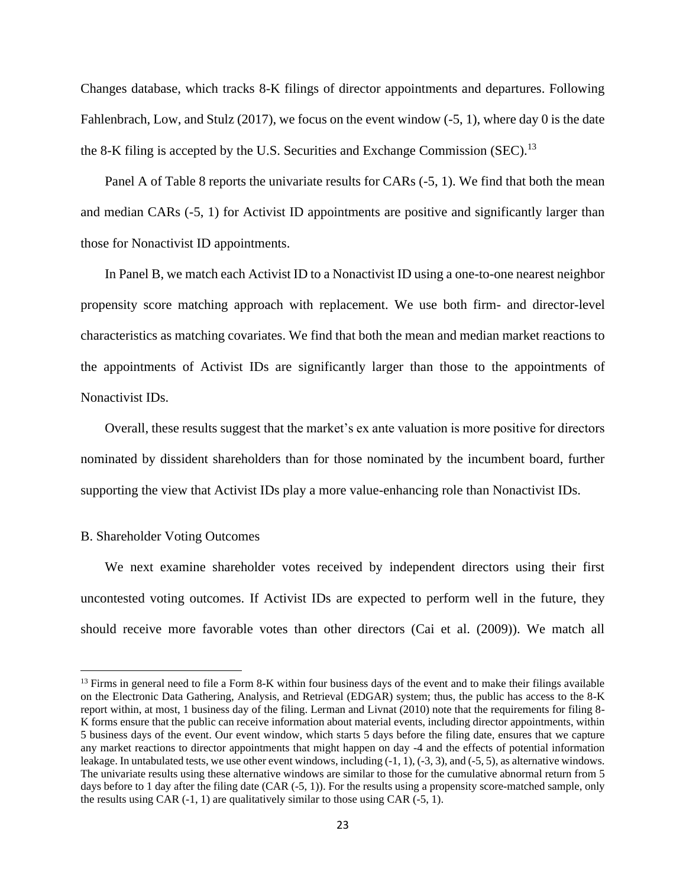Changes database, which tracks 8-K filings of director appointments and departures. Following Fahlenbrach, Low, and Stulz (2017), we focus on the event window (-5, 1), where day 0 is the date the 8-K filing is accepted by the U.S. Securities and Exchange Commission (SEC).<sup>13</sup>

Panel A of Table 8 reports the univariate results for CARs (-5, 1). We find that both the mean and median CARs (-5, 1) for Activist ID appointments are positive and significantly larger than those for Nonactivist ID appointments.

In Panel B, we match each Activist ID to a Nonactivist ID using a one-to-one nearest neighbor propensity score matching approach with replacement. We use both firm- and director-level characteristics as matching covariates. We find that both the mean and median market reactions to the appointments of Activist IDs are significantly larger than those to the appointments of Nonactivist IDs.

Overall, these results suggest that the market's ex ante valuation is more positive for directors nominated by dissident shareholders than for those nominated by the incumbent board, further supporting the view that Activist IDs play a more value-enhancing role than Nonactivist IDs.

#### B. Shareholder Voting Outcomes

We next examine shareholder votes received by independent directors using their first uncontested voting outcomes. If Activist IDs are expected to perform well in the future, they should receive more favorable votes than other directors (Cai et al. (2009)). We match all

 $13$  Firms in general need to file a Form 8-K within four business days of the event and to make their filings available on the Electronic Data Gathering, Analysis, and Retrieval (EDGAR) system; thus, the public has access to the 8-K report within, at most, 1 business day of the filing. Lerman and Livnat (2010) note that the requirements for filing 8- K forms ensure that the public can receive information about material events, including director appointments, within 5 business days of the event. Our event window, which starts 5 days before the filing date, ensures that we capture any market reactions to director appointments that might happen on day -4 and the effects of potential information leakage. In untabulated tests, we use other event windows, including (-1, 1), (-3, 3), and (-5, 5), as alternative windows. The univariate results using these alternative windows are similar to those for the cumulative abnormal return from 5 days before to 1 day after the filing date (CAR (-5, 1)). For the results using a propensity score-matched sample, only the results using CAR  $(-1, 1)$  are qualitatively similar to those using CAR  $(-5, 1)$ .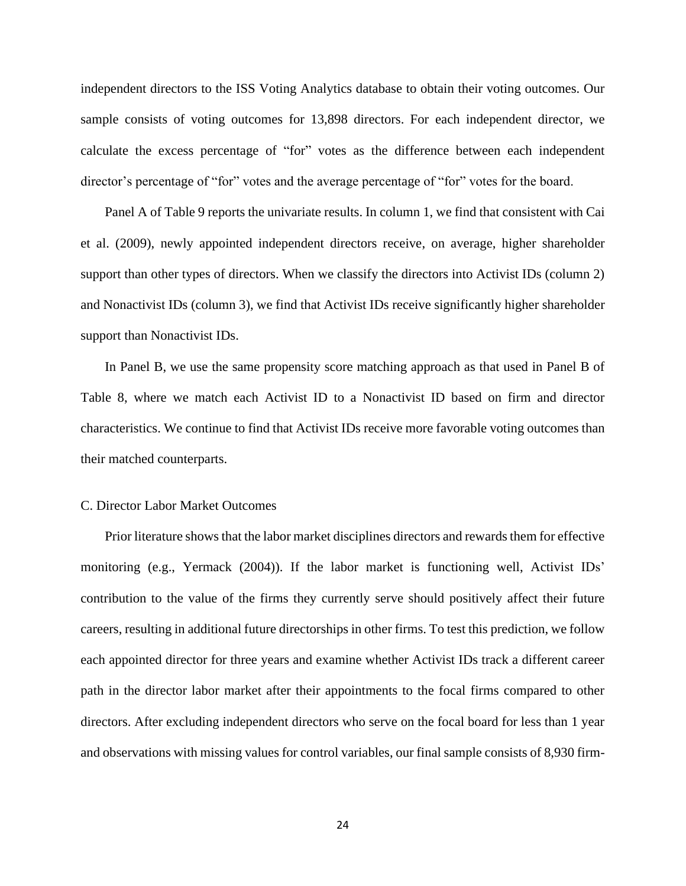independent directors to the ISS Voting Analytics database to obtain their voting outcomes. Our sample consists of voting outcomes for 13,898 directors. For each independent director, we calculate the excess percentage of "for" votes as the difference between each independent director's percentage of "for" votes and the average percentage of "for" votes for the board.

Panel A of Table 9 reports the univariate results. In column 1, we find that consistent with Cai et al. (2009), newly appointed independent directors receive, on average, higher shareholder support than other types of directors. When we classify the directors into Activist IDs (column 2) and Nonactivist IDs (column 3), we find that Activist IDs receive significantly higher shareholder support than Nonactivist IDs.

In Panel B, we use the same propensity score matching approach as that used in Panel B of Table 8, where we match each Activist ID to a Nonactivist ID based on firm and director characteristics. We continue to find that Activist IDs receive more favorable voting outcomes than their matched counterparts.

### C. Director Labor Market Outcomes

Prior literature shows that the labor market disciplines directors and rewards them for effective monitoring (e.g., Yermack (2004)). If the labor market is functioning well, Activist IDs' contribution to the value of the firms they currently serve should positively affect their future careers, resulting in additional future directorships in other firms. To test this prediction, we follow each appointed director for three years and examine whether Activist IDs track a different career path in the director labor market after their appointments to the focal firms compared to other directors. After excluding independent directors who serve on the focal board for less than 1 year and observations with missing values for control variables, our final sample consists of 8,930 firm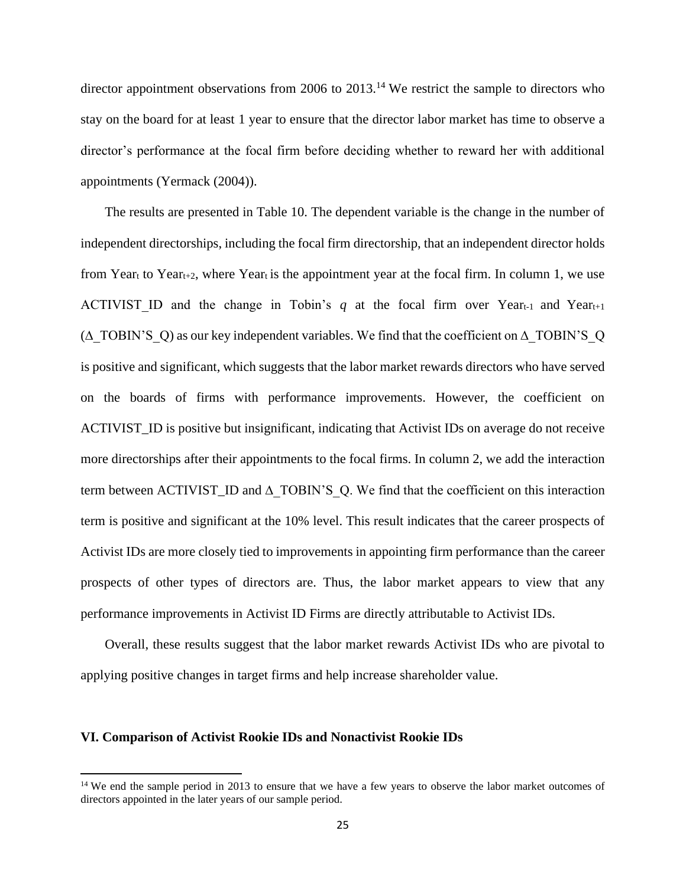director appointment observations from 2006 to  $2013$ .<sup>14</sup> We restrict the sample to directors who stay on the board for at least 1 year to ensure that the director labor market has time to observe a director's performance at the focal firm before deciding whether to reward her with additional appointments (Yermack (2004)).

The results are presented in Table 10. The dependent variable is the change in the number of independent directorships, including the focal firm directorship, that an independent director holds from Year<sub>t</sub> to Year<sub>t+2</sub>, where Year<sub>t</sub> is the appointment year at the focal firm. In column 1, we use ACTIVIST ID and the change in Tobin's *q* at the focal firm over Year $t$ -1 and Year $t$ <sup>+1</sup> (∆\_TOBIN'S\_Q) as our key independent variables. We find that the coefficient on ∆\_TOBIN'S\_Q is positive and significant, which suggests that the labor market rewards directors who have served on the boards of firms with performance improvements. However, the coefficient on ACTIVIST\_ID is positive but insignificant, indicating that Activist IDs on average do not receive more directorships after their appointments to the focal firms. In column 2, we add the interaction term between ACTIVIST\_ID and ∆\_TOBIN'S\_Q. We find that the coefficient on this interaction term is positive and significant at the 10% level. This result indicates that the career prospects of Activist IDs are more closely tied to improvements in appointing firm performance than the career prospects of other types of directors are. Thus, the labor market appears to view that any performance improvements in Activist ID Firms are directly attributable to Activist IDs.

Overall, these results suggest that the labor market rewards Activist IDs who are pivotal to applying positive changes in target firms and help increase shareholder value.

### **VI. Comparison of Activist Rookie IDs and Nonactivist Rookie IDs**

<sup>&</sup>lt;sup>14</sup> We end the sample period in 2013 to ensure that we have a few years to observe the labor market outcomes of directors appointed in the later years of our sample period.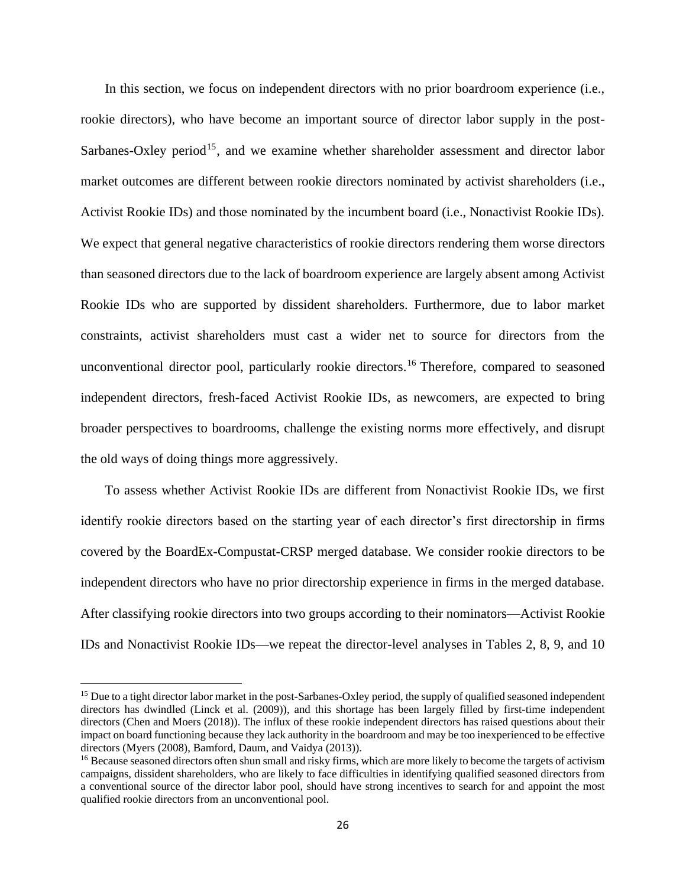In this section, we focus on independent directors with no prior boardroom experience (i.e., rookie directors), who have become an important source of director labor supply in the post-Sarbanes-Oxley period<sup>15</sup>, and we examine whether shareholder assessment and director labor market outcomes are different between rookie directors nominated by activist shareholders (i.e., Activist Rookie IDs) and those nominated by the incumbent board (i.e., Nonactivist Rookie IDs). We expect that general negative characteristics of rookie directors rendering them worse directors than seasoned directors due to the lack of boardroom experience are largely absent among Activist Rookie IDs who are supported by dissident shareholders. Furthermore, due to labor market constraints, activist shareholders must cast a wider net to source for directors from the unconventional director pool, particularly rookie directors.<sup>16</sup> Therefore, compared to seasoned independent directors, fresh-faced Activist Rookie IDs, as newcomers, are expected to bring broader perspectives to boardrooms, challenge the existing norms more effectively, and disrupt the old ways of doing things more aggressively.

To assess whether Activist Rookie IDs are different from Nonactivist Rookie IDs, we first identify rookie directors based on the starting year of each director's first directorship in firms covered by the BoardEx-Compustat-CRSP merged database. We consider rookie directors to be independent directors who have no prior directorship experience in firms in the merged database. After classifying rookie directors into two groups according to their nominators—Activist Rookie IDs and Nonactivist Rookie IDs—we repeat the director-level analyses in Tables 2, 8, 9, and 10

<sup>&</sup>lt;sup>15</sup> Due to a tight director labor market in the post-Sarbanes-Oxley period, the supply of qualified seasoned independent directors has dwindled (Linck et al. (2009)), and this shortage has been largely filled by first-time independent directors (Chen and Moers (2018)). The influx of these rookie independent directors has raised questions about their impact on board functioning because they lack authority in the boardroom and may be too inexperienced to be effective directors (Myers (2008), Bamford, Daum, and Vaidya (2013)).

<sup>&</sup>lt;sup>16</sup> Because seasoned directors often shun small and risky firms, which are more likely to become the targets of activism campaigns, dissident shareholders, who are likely to face difficulties in identifying qualified seasoned directors from a conventional source of the director labor pool, should have strong incentives to search for and appoint the most qualified rookie directors from an unconventional pool.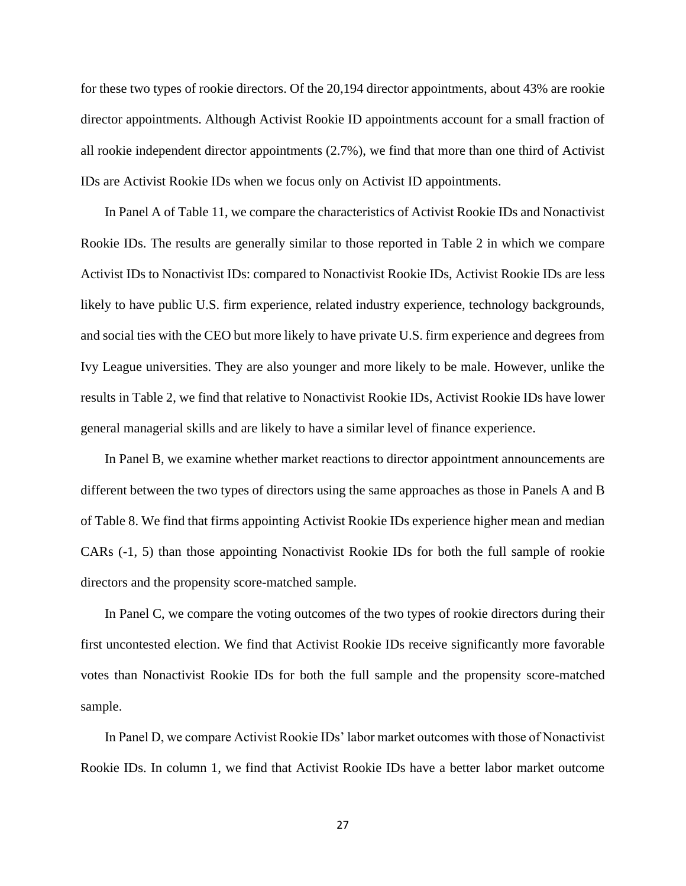for these two types of rookie directors. Of the 20,194 director appointments, about 43% are rookie director appointments. Although Activist Rookie ID appointments account for a small fraction of all rookie independent director appointments (2.7%), we find that more than one third of Activist IDs are Activist Rookie IDs when we focus only on Activist ID appointments.

In Panel A of Table 11, we compare the characteristics of Activist Rookie IDs and Nonactivist Rookie IDs. The results are generally similar to those reported in Table 2 in which we compare Activist IDs to Nonactivist IDs: compared to Nonactivist Rookie IDs, Activist Rookie IDs are less likely to have public U.S. firm experience, related industry experience, technology backgrounds, and social ties with the CEO but more likely to have private U.S. firm experience and degrees from Ivy League universities. They are also younger and more likely to be male. However, unlike the results in Table 2, we find that relative to Nonactivist Rookie IDs, Activist Rookie IDs have lower general managerial skills and are likely to have a similar level of finance experience.

In Panel B, we examine whether market reactions to director appointment announcements are different between the two types of directors using the same approaches as those in Panels A and B of Table 8. We find that firms appointing Activist Rookie IDs experience higher mean and median CARs (-1, 5) than those appointing Nonactivist Rookie IDs for both the full sample of rookie directors and the propensity score-matched sample.

In Panel C, we compare the voting outcomes of the two types of rookie directors during their first uncontested election. We find that Activist Rookie IDs receive significantly more favorable votes than Nonactivist Rookie IDs for both the full sample and the propensity score-matched sample.

In Panel D, we compare Activist Rookie IDs' labor market outcomes with those of Nonactivist Rookie IDs. In column 1, we find that Activist Rookie IDs have a better labor market outcome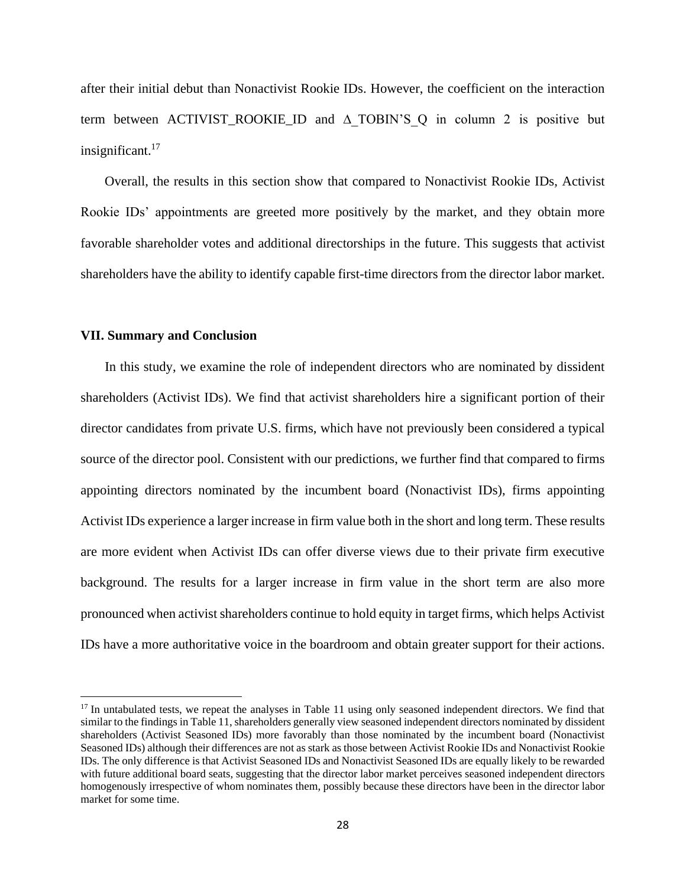after their initial debut than Nonactivist Rookie IDs. However, the coefficient on the interaction term between ACTIVIST\_ROOKIE\_ID and  $\triangle$  TOBIN'S Q in column 2 is positive but insignificant. $17$ 

Overall, the results in this section show that compared to Nonactivist Rookie IDs, Activist Rookie IDs' appointments are greeted more positively by the market, and they obtain more favorable shareholder votes and additional directorships in the future. This suggests that activist shareholders have the ability to identify capable first-time directors from the director labor market.

### **VII. Summary and Conclusion**

In this study, we examine the role of independent directors who are nominated by dissident shareholders (Activist IDs). We find that activist shareholders hire a significant portion of their director candidates from private U.S. firms, which have not previously been considered a typical source of the director pool. Consistent with our predictions, we further find that compared to firms appointing directors nominated by the incumbent board (Nonactivist IDs), firms appointing Activist IDs experience a larger increase in firm value both in the short and long term. These results are more evident when Activist IDs can offer diverse views due to their private firm executive background. The results for a larger increase in firm value in the short term are also more pronounced when activist shareholders continue to hold equity in target firms, which helps Activist IDs have a more authoritative voice in the boardroom and obtain greater support for their actions.

<sup>&</sup>lt;sup>17</sup> In untabulated tests, we repeat the analyses in Table 11 using only seasoned independent directors. We find that similar to the findings in Table 11, shareholders generally view seasoned independent directors nominated by dissident shareholders (Activist Seasoned IDs) more favorably than those nominated by the incumbent board (Nonactivist Seasoned IDs) although their differences are not as stark as those between Activist Rookie IDs and Nonactivist Rookie IDs. The only difference is that Activist Seasoned IDs and Nonactivist Seasoned IDs are equally likely to be rewarded with future additional board seats, suggesting that the director labor market perceives seasoned independent directors homogenously irrespective of whom nominates them, possibly because these directors have been in the director labor market for some time.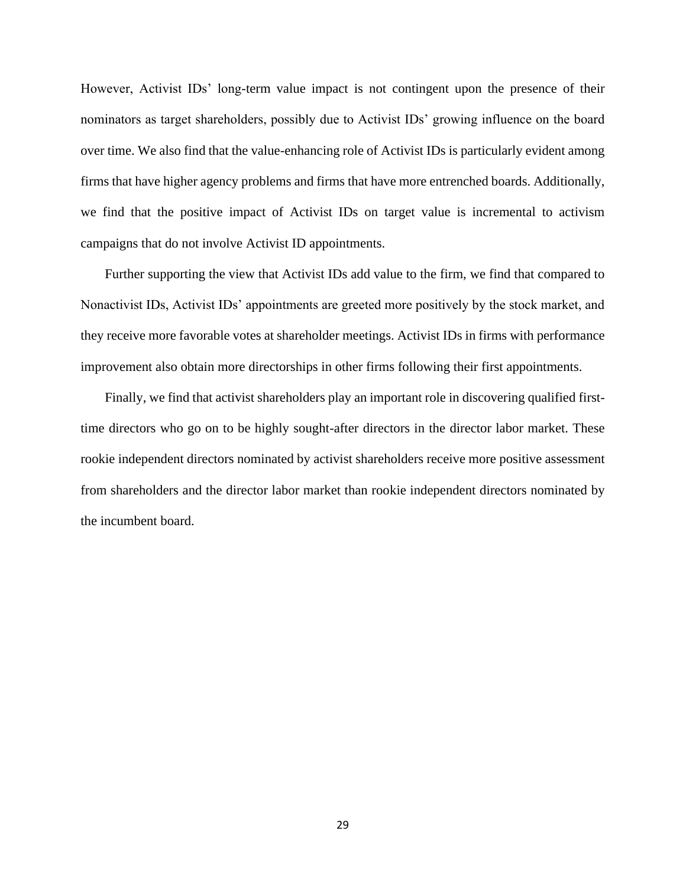However, Activist IDs' long-term value impact is not contingent upon the presence of their nominators as target shareholders, possibly due to Activist IDs' growing influence on the board over time. We also find that the value-enhancing role of Activist IDs is particularly evident among firms that have higher agency problems and firms that have more entrenched boards. Additionally, we find that the positive impact of Activist IDs on target value is incremental to activism campaigns that do not involve Activist ID appointments.

Further supporting the view that Activist IDs add value to the firm, we find that compared to Nonactivist IDs, Activist IDs' appointments are greeted more positively by the stock market, and they receive more favorable votes at shareholder meetings. Activist IDs in firms with performance improvement also obtain more directorships in other firms following their first appointments.

Finally, we find that activist shareholders play an important role in discovering qualified firsttime directors who go on to be highly sought-after directors in the director labor market. These rookie independent directors nominated by activist shareholders receive more positive assessment from shareholders and the director labor market than rookie independent directors nominated by the incumbent board.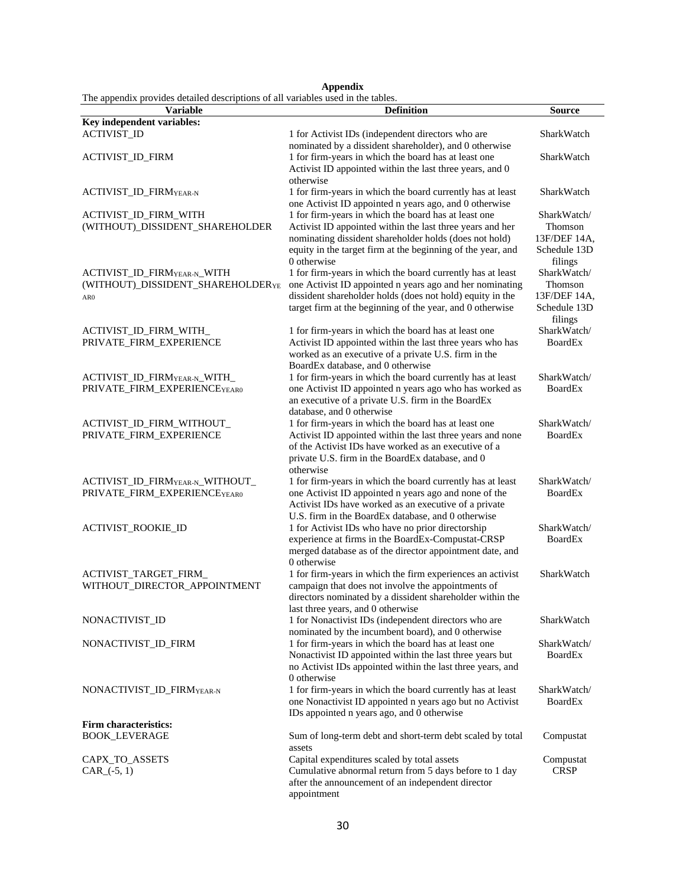|                                                                                  |  |  | Appendix |  |
|----------------------------------------------------------------------------------|--|--|----------|--|
| The appendix provides detailed descriptions of all variables used in the tables. |  |  |          |  |

| The appendix provides detailed descriptions of all variables used in the tables. |                                                                                                                               |                         |
|----------------------------------------------------------------------------------|-------------------------------------------------------------------------------------------------------------------------------|-------------------------|
| <b>Variable</b>                                                                  | <b>Definition</b>                                                                                                             | <b>Source</b>           |
| Key independent variables:                                                       |                                                                                                                               |                         |
| <b>ACTIVIST_ID</b>                                                               | 1 for Activist IDs (independent directors who are<br>nominated by a dissident shareholder), and 0 otherwise                   | SharkWatch              |
| ACTIVIST_ID_FIRM                                                                 | 1 for firm-years in which the board has at least one<br>Activist ID appointed within the last three years, and 0<br>otherwise | SharkWatch              |
| ACTIVIST_ID_FIRMYEAR-N                                                           | 1 for firm-years in which the board currently has at least<br>one Activist ID appointed n years ago, and 0 otherwise          | SharkWatch              |
| ACTIVIST_ID_FIRM_WITH                                                            | 1 for firm-years in which the board has at least one                                                                          | SharkWatch/             |
| (WITHOUT)_DISSIDENT_SHAREHOLDER                                                  | Activist ID appointed within the last three years and her                                                                     | Thomson                 |
|                                                                                  | nominating dissident shareholder holds (does not hold)                                                                        | 13F/DEF 14A,            |
|                                                                                  | equity in the target firm at the beginning of the year, and                                                                   | Schedule 13D            |
|                                                                                  | 0 otherwise                                                                                                                   | filings                 |
| ACTIVIST_ID_FIRMYEAR-N_WITH                                                      | 1 for firm-years in which the board currently has at least                                                                    | SharkWatch/             |
| (WITHOUT)_DISSIDENT_SHAREHOLDERYE                                                | one Activist ID appointed n years ago and her nominating                                                                      | Thomson                 |
| AR <sub>0</sub>                                                                  | dissident shareholder holds (does not hold) equity in the                                                                     | 13F/DEF 14A,            |
|                                                                                  | target firm at the beginning of the year, and 0 otherwise                                                                     | Schedule 13D<br>filings |
| ACTIVIST_ID_FIRM_WITH_                                                           | 1 for firm-years in which the board has at least one                                                                          | SharkWatch/             |
| PRIVATE_FIRM_EXPERIENCE                                                          | Activist ID appointed within the last three years who has                                                                     | <b>BoardEx</b>          |
|                                                                                  | worked as an executive of a private U.S. firm in the<br>BoardEx database, and 0 otherwise                                     |                         |
| ACTIVIST_ID_FIRMYEAR-N_WITH_                                                     | 1 for firm-years in which the board currently has at least                                                                    | SharkWatch/             |
| PRIVATE_FIRM_EXPERIENCEYEAR0                                                     | one Activist ID appointed n years ago who has worked as                                                                       | <b>BoardEx</b>          |
|                                                                                  | an executive of a private U.S. firm in the BoardEx                                                                            |                         |
|                                                                                  | database, and 0 otherwise                                                                                                     |                         |
| ACTIVIST_ID_FIRM_WITHOUT_                                                        | 1 for firm-years in which the board has at least one                                                                          | SharkWatch/             |
| PRIVATE_FIRM_EXPERIENCE                                                          | Activist ID appointed within the last three years and none                                                                    | <b>BoardEx</b>          |
|                                                                                  | of the Activist IDs have worked as an executive of a                                                                          |                         |
|                                                                                  | private U.S. firm in the BoardEx database, and 0                                                                              |                         |
|                                                                                  | otherwise<br>1 for firm-years in which the board currently has at least                                                       | SharkWatch/             |
| ACTIVIST_ID_FIRM <sub>YEAR-N_</sub> WITHOUT_<br>PRIVATE_FIRM_EXPERIENCEYEAR0     | one Activist ID appointed n years ago and none of the                                                                         | BoardEx                 |
|                                                                                  | Activist IDs have worked as an executive of a private                                                                         |                         |
|                                                                                  | U.S. firm in the BoardEx database, and 0 otherwise                                                                            |                         |
| ACTIVIST_ROOKIE_ID                                                               | 1 for Activist IDs who have no prior directorship                                                                             | SharkWatch/             |
|                                                                                  | experience at firms in the BoardEx-Compustat-CRSP                                                                             | <b>BoardEx</b>          |
|                                                                                  | merged database as of the director appointment date, and                                                                      |                         |
|                                                                                  | 0 otherwise                                                                                                                   |                         |
| ACTIVIST_TARGET_FIRM_                                                            | 1 for firm-years in which the firm experiences an activist                                                                    | SharkWatch              |
| WITHOUT_DIRECTOR_APPOINTMENT                                                     | campaign that does not involve the appointments of<br>directors nominated by a dissident shareholder within the               |                         |
|                                                                                  | last three years, and 0 otherwise                                                                                             |                         |
| NONACTIVIST_ID                                                                   | 1 for Nonactivist IDs (independent directors who are                                                                          | SharkWatch              |
|                                                                                  | nominated by the incumbent board), and 0 otherwise                                                                            |                         |
| NONACTIVIST_ID_FIRM                                                              | 1 for firm-years in which the board has at least one                                                                          | SharkWatch/             |
|                                                                                  | Nonactivist ID appointed within the last three years but                                                                      | BoardEx                 |
|                                                                                  | no Activist IDs appointed within the last three years, and                                                                    |                         |
|                                                                                  | 0 otherwise                                                                                                                   |                         |
| NONACTIVIST_ID_FIRMYEAR-N                                                        | 1 for firm-years in which the board currently has at least                                                                    | SharkWatch/             |
|                                                                                  | one Nonactivist ID appointed n years ago but no Activist<br>IDs appointed n years ago, and 0 otherwise                        | BoardEx                 |
| <b>Firm characteristics:</b>                                                     |                                                                                                                               |                         |
| <b>BOOK_LEVERAGE</b>                                                             | Sum of long-term debt and short-term debt scaled by total                                                                     | Compustat               |
|                                                                                  | assets                                                                                                                        |                         |
| CAPX_TO_ASSETS                                                                   | Capital expenditures scaled by total assets                                                                                   | Compustat               |
| $CAR_(-5, 1)$                                                                    | Cumulative abnormal return from 5 days before to 1 day                                                                        | <b>CRSP</b>             |
|                                                                                  | after the announcement of an independent director                                                                             |                         |
|                                                                                  | appointment                                                                                                                   |                         |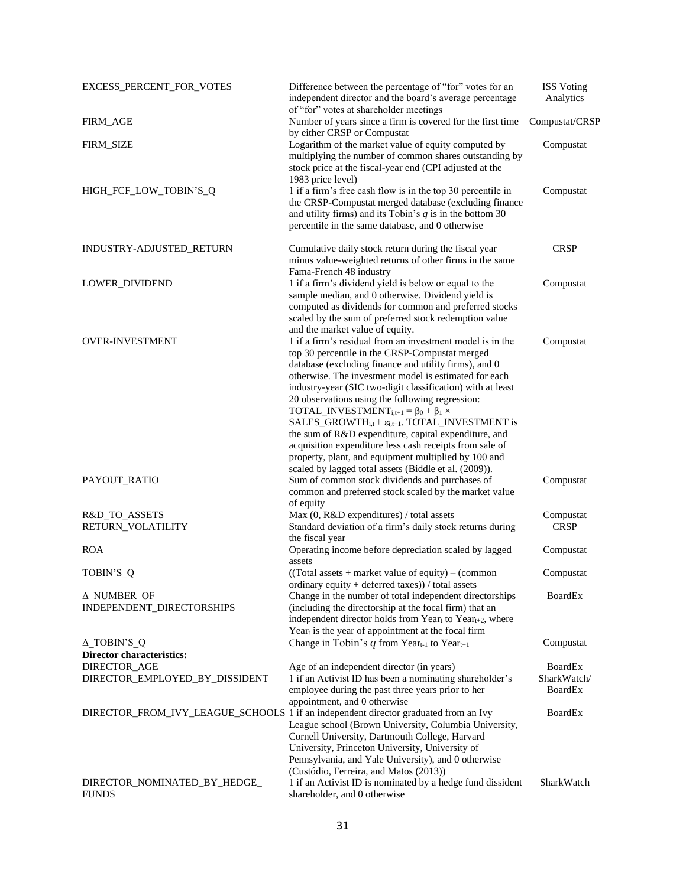| EXCESS_PERCENT_FOR_VOTES                                | Difference between the percentage of "for" votes for an<br>independent director and the board's average percentage<br>of "for" votes at shareholder meetings                                                                                                                                                                                                                                                                                                                                                                                                                                                                                                                                                             | <b>ISS Voting</b><br>Analytics                  |
|---------------------------------------------------------|--------------------------------------------------------------------------------------------------------------------------------------------------------------------------------------------------------------------------------------------------------------------------------------------------------------------------------------------------------------------------------------------------------------------------------------------------------------------------------------------------------------------------------------------------------------------------------------------------------------------------------------------------------------------------------------------------------------------------|-------------------------------------------------|
| FIRM_AGE                                                | Number of years since a firm is covered for the first time<br>by either CRSP or Compustat                                                                                                                                                                                                                                                                                                                                                                                                                                                                                                                                                                                                                                | Compustat/CRSP                                  |
| FIRM_SIZE                                               | Logarithm of the market value of equity computed by<br>multiplying the number of common shares outstanding by<br>stock price at the fiscal-year end (CPI adjusted at the<br>1983 price level)                                                                                                                                                                                                                                                                                                                                                                                                                                                                                                                            | Compustat                                       |
| HIGH_FCF_LOW_TOBIN'S_Q                                  | 1 if a firm's free cash flow is in the top 30 percentile in<br>the CRSP-Compustat merged database (excluding finance<br>and utility firms) and its Tobin's $q$ is in the bottom 30<br>percentile in the same database, and 0 otherwise                                                                                                                                                                                                                                                                                                                                                                                                                                                                                   | Compustat                                       |
| INDUSTRY-ADJUSTED_RETURN                                | Cumulative daily stock return during the fiscal year<br>minus value-weighted returns of other firms in the same<br>Fama-French 48 industry                                                                                                                                                                                                                                                                                                                                                                                                                                                                                                                                                                               | <b>CRSP</b>                                     |
| LOWER_DIVIDEND                                          | 1 if a firm's dividend yield is below or equal to the<br>sample median, and 0 otherwise. Dividend yield is<br>computed as dividends for common and preferred stocks<br>scaled by the sum of preferred stock redemption value<br>and the market value of equity.                                                                                                                                                                                                                                                                                                                                                                                                                                                          | Compustat                                       |
| <b>OVER-INVESTMENT</b>                                  | 1 if a firm's residual from an investment model is in the<br>top 30 percentile in the CRSP-Compustat merged<br>database (excluding finance and utility firms), and 0<br>otherwise. The investment model is estimated for each<br>industry-year (SIC two-digit classification) with at least<br>20 observations using the following regression:<br>TOTAL_INVESTMENT <sub>i,t+1</sub> = $\beta_0 + \beta_1 \times$<br>$SALES_GROWTH_{i,t} + \varepsilon_{i,t+1}$ . TOTAL_INVESTMENT is<br>the sum of R&D expenditure, capital expenditure, and<br>acquisition expenditure less cash receipts from sale of<br>property, plant, and equipment multiplied by 100 and<br>scaled by lagged total assets (Biddle et al. (2009)). | Compustat                                       |
| PAYOUT_RATIO                                            | Sum of common stock dividends and purchases of<br>common and preferred stock scaled by the market value<br>of equity                                                                                                                                                                                                                                                                                                                                                                                                                                                                                                                                                                                                     | Compustat                                       |
| R&D_TO_ASSETS<br>RETURN_VOLATILITY                      | Max (0, R&D expenditures) / total assets<br>Standard deviation of a firm's daily stock returns during<br>the fiscal year                                                                                                                                                                                                                                                                                                                                                                                                                                                                                                                                                                                                 | Compustat<br><b>CRSP</b>                        |
| <b>ROA</b>                                              | Operating income before depreciation scaled by lagged<br>assets                                                                                                                                                                                                                                                                                                                                                                                                                                                                                                                                                                                                                                                          | Compustat                                       |
| TOBIN'S Q                                               | $((Total assets + market value of equity) - (common$<br>ordinary equity + deferred taxes)) / total assets                                                                                                                                                                                                                                                                                                                                                                                                                                                                                                                                                                                                                | Compustat                                       |
| ∆ NUMBER OF<br>INDEPENDENT_DIRECTORSHIPS                | Change in the number of total independent directorships<br>(including the directorship at the focal firm) that an<br>independent director holds from Yeart to Year <sub>t+2</sub> , where<br>Year <sub>t</sub> is the year of appointment at the focal firm                                                                                                                                                                                                                                                                                                                                                                                                                                                              | <b>BoardEx</b>                                  |
| $\Delta$ _TOBIN'S_Q<br><b>Director characteristics:</b> | Change in Tobin's q from Year <sub>t-1</sub> to Year <sub>t+1</sub>                                                                                                                                                                                                                                                                                                                                                                                                                                                                                                                                                                                                                                                      | Compustat                                       |
| DIRECTOR_AGE<br>DIRECTOR_EMPLOYED_BY_DISSIDENT          | Age of an independent director (in years)<br>1 if an Activist ID has been a nominating shareholder's<br>employee during the past three years prior to her<br>appointment, and 0 otherwise                                                                                                                                                                                                                                                                                                                                                                                                                                                                                                                                | <b>BoardEx</b><br>SharkWatch/<br><b>BoardEx</b> |
|                                                         | DIRECTOR_FROM_IVY_LEAGUE_SCHOOLS 1 if an independent director graduated from an Ivy<br>League school (Brown University, Columbia University,<br>Cornell University, Dartmouth College, Harvard<br>University, Princeton University, University of<br>Pennsylvania, and Yale University), and 0 otherwise<br>(Custódio, Ferreira, and Matos (2013))                                                                                                                                                                                                                                                                                                                                                                       | <b>BoardEx</b>                                  |
| DIRECTOR_NOMINATED_BY_HEDGE_<br><b>FUNDS</b>            | 1 if an Activist ID is nominated by a hedge fund dissident<br>shareholder, and 0 otherwise                                                                                                                                                                                                                                                                                                                                                                                                                                                                                                                                                                                                                               | SharkWatch                                      |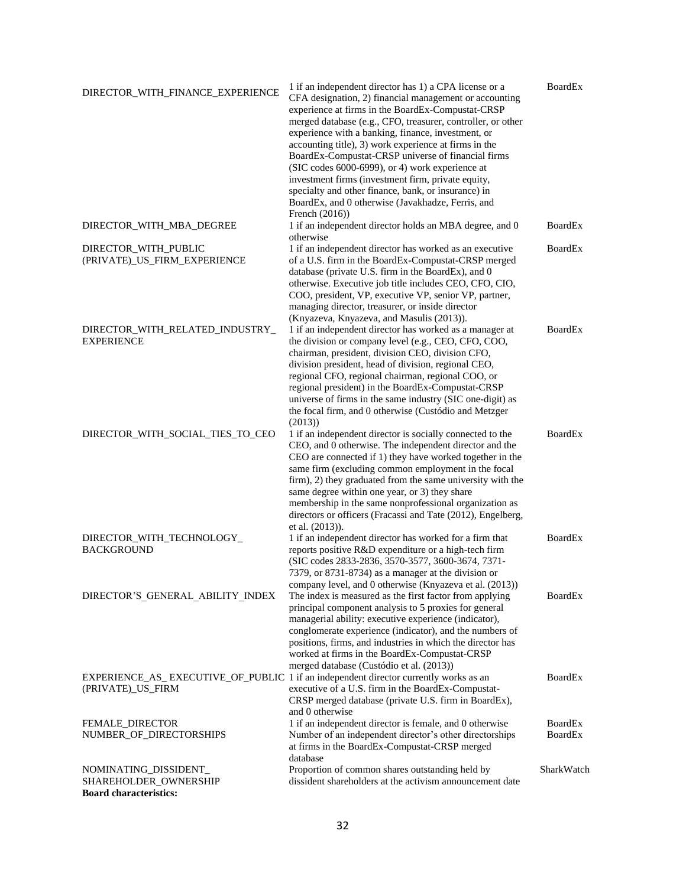| DIRECTOR_WITH_FINANCE_EXPERIENCE                                                                          | 1 if an independent director has 1) a CPA license or a<br>CFA designation, 2) financial management or accounting<br>experience at firms in the BoardEx-Compustat-CRSP<br>merged database (e.g., CFO, treasurer, controller, or other<br>experience with a banking, finance, investment, or<br>accounting title), 3) work experience at firms in the<br>BoardEx-Compustat-CRSP universe of financial firms<br>(SIC codes 6000-6999), or 4) work experience at<br>investment firms (investment firm, private equity,<br>specialty and other finance, bank, or insurance) in<br>BoardEx, and 0 otherwise (Javakhadze, Ferris, and<br>French $(2016)$ ) | <b>BoardEx</b>                   |
|-----------------------------------------------------------------------------------------------------------|-----------------------------------------------------------------------------------------------------------------------------------------------------------------------------------------------------------------------------------------------------------------------------------------------------------------------------------------------------------------------------------------------------------------------------------------------------------------------------------------------------------------------------------------------------------------------------------------------------------------------------------------------------|----------------------------------|
| DIRECTOR WITH MBA DEGREE                                                                                  | 1 if an independent director holds an MBA degree, and 0<br>otherwise                                                                                                                                                                                                                                                                                                                                                                                                                                                                                                                                                                                | BoardEx                          |
| DIRECTOR_WITH_PUBLIC<br>(PRIVATE)_US_FIRM_EXPERIENCE                                                      | 1 if an independent director has worked as an executive<br>of a U.S. firm in the BoardEx-Compustat-CRSP merged<br>database (private U.S. firm in the BoardEx), and 0<br>otherwise. Executive job title includes CEO, CFO, CIO,<br>COO, president, VP, executive VP, senior VP, partner,<br>managing director, treasurer, or inside director<br>(Knyazeva, Knyazeva, and Masulis (2013)).                                                                                                                                                                                                                                                            | <b>BoardEx</b>                   |
| DIRECTOR_WITH_RELATED_INDUSTRY_<br><b>EXPERIENCE</b>                                                      | 1 if an independent director has worked as a manager at<br>the division or company level (e.g., CEO, CFO, COO,<br>chairman, president, division CEO, division CFO,<br>division president, head of division, regional CEO,<br>regional CFO, regional chairman, regional COO, or<br>regional president) in the BoardEx-Compustat-CRSP<br>universe of firms in the same industry (SIC one-digit) as<br>the focal firm, and 0 otherwise (Custódio and Metzger<br>(2013)                                                                                                                                                                                 | <b>BoardEx</b>                   |
| DIRECTOR_WITH_SOCIAL_TIES_TO_CEO                                                                          | 1 if an independent director is socially connected to the<br>CEO, and 0 otherwise. The independent director and the<br>CEO are connected if 1) they have worked together in the<br>same firm (excluding common employment in the focal<br>firm), 2) they graduated from the same university with the<br>same degree within one year, or 3) they share<br>membership in the same nonprofessional organization as<br>directors or officers (Fracassi and Tate (2012), Engelberg,<br>et al. (2013)).                                                                                                                                                   | <b>BoardEx</b>                   |
| DIRECTOR_WITH_TECHNOLOGY_<br><b>BACKGROUND</b>                                                            | 1 if an independent director has worked for a firm that<br>reports positive R&D expenditure or a high-tech firm<br>(SIC codes 2833-2836, 3570-3577, 3600-3674, 7371-<br>7379, or 8731-8734) as a manager at the division or<br>company level, and 0 otherwise (Knyazeva et al. (2013))                                                                                                                                                                                                                                                                                                                                                              | <b>BoardEx</b>                   |
| DIRECTOR'S GENERAL ABILITY INDEX                                                                          | The index is measured as the first factor from applying<br>principal component analysis to 5 proxies for general<br>managerial ability: executive experience (indicator),<br>conglomerate experience (indicator), and the numbers of<br>positions, firms, and industries in which the director has<br>worked at firms in the BoardEx-Compustat-CRSP<br>merged database (Custódio et al. (2013))                                                                                                                                                                                                                                                     | <b>BoardEx</b>                   |
| EXPERIENCE_AS_EXECUTIVE_OF_PUBLIC 1 if an independent director currently works as an<br>(PRIVATE)_US_FIRM | executive of a U.S. firm in the BoardEx-Compustat-<br>CRSP merged database (private U.S. firm in BoardEx),<br>and 0 otherwise                                                                                                                                                                                                                                                                                                                                                                                                                                                                                                                       | <b>BoardEx</b>                   |
| FEMALE_DIRECTOR<br>NUMBER_OF_DIRECTORSHIPS                                                                | 1 if an independent director is female, and 0 otherwise<br>Number of an independent director's other directorships<br>at firms in the BoardEx-Compustat-CRSP merged<br>database                                                                                                                                                                                                                                                                                                                                                                                                                                                                     | <b>BoardEx</b><br><b>BoardEx</b> |
| NOMINATING_DISSIDENT_<br>SHAREHOLDER_OWNERSHIP<br><b>Board characteristics:</b>                           | Proportion of common shares outstanding held by<br>dissident shareholders at the activism announcement date                                                                                                                                                                                                                                                                                                                                                                                                                                                                                                                                         | SharkWatch                       |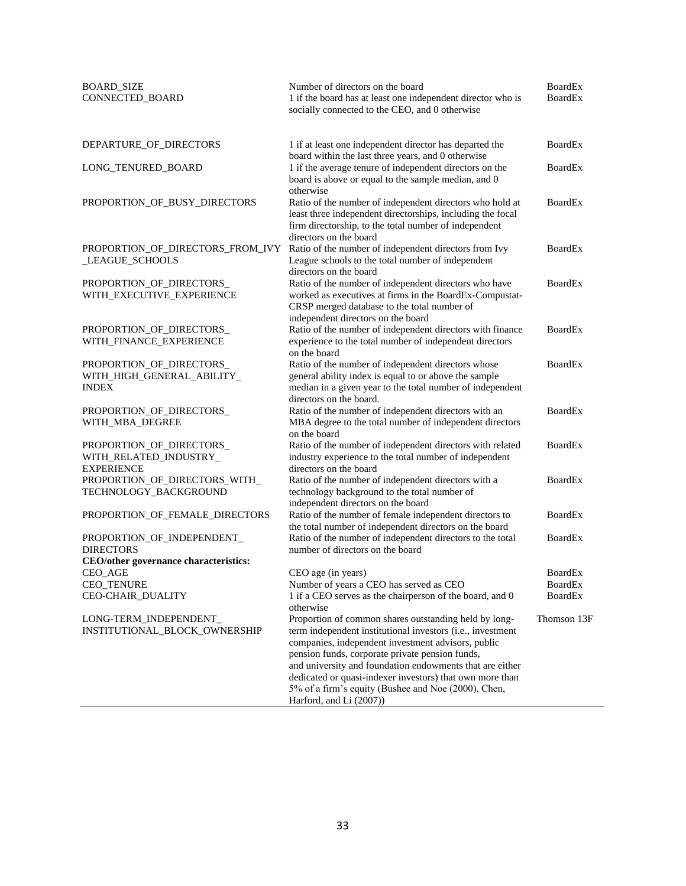| <b>BOARD_SIZE</b><br>CONNECTED_BOARD                                                    | Number of directors on the board<br>1 if the board has at least one independent director who is<br>socially connected to the CEO, and 0 otherwise                                                                                                                                                                                                                                                                                      | <b>BoardEx</b><br><b>BoardEx</b> |
|-----------------------------------------------------------------------------------------|----------------------------------------------------------------------------------------------------------------------------------------------------------------------------------------------------------------------------------------------------------------------------------------------------------------------------------------------------------------------------------------------------------------------------------------|----------------------------------|
| DEPARTURE_OF_DIRECTORS                                                                  | 1 if at least one independent director has departed the<br>board within the last three years, and 0 otherwise                                                                                                                                                                                                                                                                                                                          | <b>BoardEx</b>                   |
| LONG_TENURED_BOARD                                                                      | 1 if the average tenure of independent directors on the<br>board is above or equal to the sample median, and 0<br>otherwise                                                                                                                                                                                                                                                                                                            | <b>BoardEx</b>                   |
| PROPORTION_OF_BUSY_DIRECTORS                                                            | Ratio of the number of independent directors who hold at<br>least three independent directorships, including the focal<br>firm directorship, to the total number of independent<br>directors on the board                                                                                                                                                                                                                              | BoardEx                          |
| PROPORTION_OF_DIRECTORS_FROM_IVY<br>_LEAGUE_SCHOOLS                                     | Ratio of the number of independent directors from Ivy<br>League schools to the total number of independent<br>directors on the board                                                                                                                                                                                                                                                                                                   | <b>BoardEx</b>                   |
| PROPORTION_OF_DIRECTORS<br>WITH_EXECUTIVE_EXPERIENCE                                    | Ratio of the number of independent directors who have<br>worked as executives at firms in the BoardEx-Compustat-<br>CRSP merged database to the total number of<br>independent directors on the board                                                                                                                                                                                                                                  | <b>BoardEx</b>                   |
| PROPORTION_OF_DIRECTORS_<br>WITH_FINANCE_EXPERIENCE                                     | Ratio of the number of independent directors with finance<br>experience to the total number of independent directors<br>on the board                                                                                                                                                                                                                                                                                                   | BoardEx                          |
| PROPORTION_OF_DIRECTORS_<br>WITH_HIGH_GENERAL_ABILITY_<br><b>INDEX</b>                  | Ratio of the number of independent directors whose<br>general ability index is equal to or above the sample<br>median in a given year to the total number of independent<br>directors on the board.                                                                                                                                                                                                                                    | <b>BoardEx</b>                   |
| PROPORTION_OF_DIRECTORS_<br>WITH_MBA_DEGREE                                             | Ratio of the number of independent directors with an<br>MBA degree to the total number of independent directors<br>on the board                                                                                                                                                                                                                                                                                                        | <b>BoardEx</b>                   |
| PROPORTION_OF_DIRECTORS_<br>WITH_RELATED_INDUSTRY_<br><b>EXPERIENCE</b>                 | Ratio of the number of independent directors with related<br>industry experience to the total number of independent<br>directors on the board                                                                                                                                                                                                                                                                                          | <b>BoardEx</b>                   |
| PROPORTION_OF_DIRECTORS_WITH_<br>TECHNOLOGY_BACKGROUND                                  | Ratio of the number of independent directors with a<br>technology background to the total number of<br>independent directors on the board                                                                                                                                                                                                                                                                                              | <b>BoardEx</b>                   |
| PROPORTION_OF_FEMALE_DIRECTORS                                                          | Ratio of the number of female independent directors to<br>the total number of independent directors on the board                                                                                                                                                                                                                                                                                                                       | <b>BoardEx</b>                   |
| PROPORTION_OF_INDEPENDENT_<br><b>DIRECTORS</b><br>CEO/other governance characteristics: | Ratio of the number of independent directors to the total<br>number of directors on the board                                                                                                                                                                                                                                                                                                                                          | <b>BoardEx</b>                   |
| CEO_AGE                                                                                 | CEO age (in years)                                                                                                                                                                                                                                                                                                                                                                                                                     | BoardEx                          |
| CEO_TENURE                                                                              | Number of years a CEO has served as CEO                                                                                                                                                                                                                                                                                                                                                                                                | <b>BoardEx</b>                   |
| CEO-CHAIR_DUALITY                                                                       | 1 if a CEO serves as the chairperson of the board, and 0<br>otherwise                                                                                                                                                                                                                                                                                                                                                                  | <b>BoardEx</b>                   |
| LONG-TERM_INDEPENDENT_<br>INSTITUTIONAL_BLOCK_OWNERSHIP                                 | Proportion of common shares outstanding held by long-<br>term independent institutional investors (i.e., investment<br>companies, independent investment advisors, public<br>pension funds, corporate private pension funds,<br>and university and foundation endowments that are either<br>dedicated or quasi-indexer investors) that own more than<br>5% of a firm's equity (Bushee and Noe (2000), Chen,<br>Harford, and Li (2007)) | Thomson 13F                      |

 $\sim$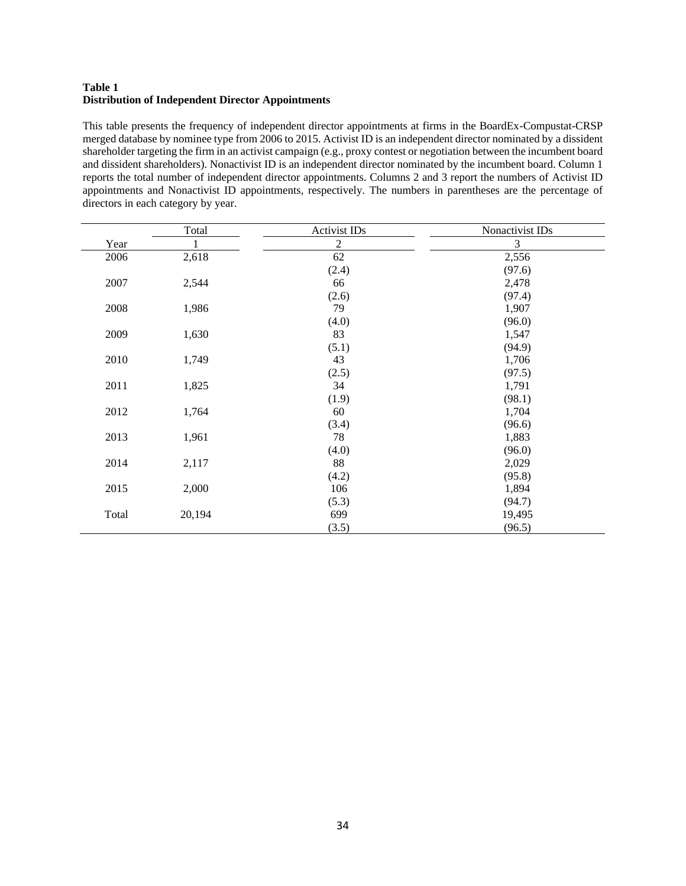# **Table 1 Distribution of Independent Director Appointments**

This table presents the frequency of independent director appointments at firms in the BoardEx-Compustat-CRSP merged database by nominee type from 2006 to 2015. Activist ID is an independent director nominated by a dissident shareholder targeting the firm in an activist campaign (e.g., proxy contest or negotiation between the incumbent board and dissident shareholders). Nonactivist ID is an independent director nominated by the incumbent board. Column 1 reports the total number of independent director appointments. Columns 2 and 3 report the numbers of Activist ID appointments and Nonactivist ID appointments, respectively. The numbers in parentheses are the percentage of directors in each category by year.

|       | Total  | <b>Activist IDs</b> | Nonactivist IDs |
|-------|--------|---------------------|-----------------|
| Year  |        | $\overline{2}$      | 3               |
| 2006  | 2,618  | 62                  | 2,556           |
|       |        | (2.4)               | (97.6)          |
| 2007  | 2,544  | 66                  | 2,478           |
|       |        | (2.6)               | (97.4)          |
| 2008  | 1,986  | 79                  | 1,907           |
|       |        | (4.0)               | (96.0)          |
| 2009  | 1,630  | 83                  | 1,547           |
|       |        | (5.1)               | (94.9)          |
| 2010  | 1,749  | 43                  | 1,706           |
|       |        | (2.5)               | (97.5)          |
| 2011  | 1,825  | 34                  | 1,791           |
|       |        | (1.9)               | (98.1)          |
| 2012  | 1,764  | 60                  | 1,704           |
|       |        | (3.4)               | (96.6)          |
| 2013  | 1,961  | 78                  | 1,883           |
|       |        | (4.0)               | (96.0)          |
| 2014  | 2,117  | 88                  | 2,029           |
|       |        | (4.2)               | (95.8)          |
| 2015  | 2,000  | 106                 | 1,894           |
|       |        | (5.3)               | (94.7)          |
| Total | 20,194 | 699                 | 19,495          |
|       |        | (3.5)               | (96.5)          |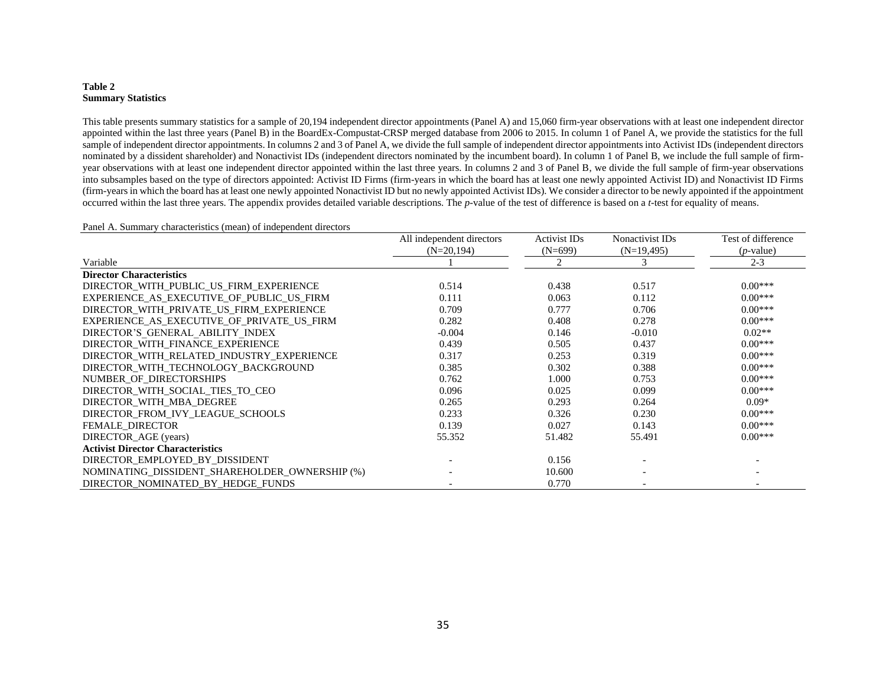#### **Table 2 Summary Statistics**

This table presents summary statistics for a sample of 20,194 independent director appointments (Panel A) and 15,060 firm-year observations with at least one independent director appointed within the last three years (Panel B) in the BoardEx-Compustat-CRSP merged database from 2006 to 2015. In column 1 of Panel A, we provide the statistics for the full sample of independent director appointments. In columns 2 and 3 of Panel A, we divide the full sample of independent director appointments into Activist IDs (independent directors nominated by a dissident shareholder) and Nonactivist IDs (independent directors nominated by the incumbent board). In column 1 of Panel B, we include the full sample of firmyear observations with at least one independent director appointed within the last three years. In columns 2 and 3 of Panel B, we divide the full sample of firm-year observations into subsamples based on the type of directors appointed: Activist ID Firms (firm-years in which the board has at least one newly appointed Activist ID) and Nonactivist ID Firms (firm-years in which the board has at least one newly appointed Nonactivist ID but no newly appointed Activist IDs). We consider a director to be newly appointed if the appointment occurred within the last three years. The appendix provides detailed variable descriptions. The *p*-value of the test of difference is based on a *t*-test for equality of means.

#### Panel A. Summary characteristics (mean) of independent directors

|                                                | All independent directors<br>$(N=20,194)$ | Activist IDs<br>$(N=699)$ | Nonactivist ID <sub>s</sub><br>$(N=19,495)$ | Test of difference<br>$(p$ -value) |
|------------------------------------------------|-------------------------------------------|---------------------------|---------------------------------------------|------------------------------------|
| Variable                                       |                                           | $\mathfrak{D}$            | 3                                           | $2 - 3$                            |
| <b>Director Characteristics</b>                |                                           |                           |                                             |                                    |
|                                                |                                           |                           |                                             | $0.00***$                          |
| DIRECTOR_WITH_PUBLIC_US_FIRM_EXPERIENCE        | 0.514                                     | 0.438                     | 0.517                                       |                                    |
| EXPERIENCE AS EXECUTIVE OF PUBLIC US FIRM      | 0.111                                     | 0.063                     | 0.112                                       | $0.00***$                          |
| DIRECTOR WITH PRIVATE US FIRM EXPERIENCE       | 0.709                                     | 0.777                     | 0.706                                       | $0.00***$                          |
| EXPERIENCE AS EXECUTIVE OF PRIVATE US FIRM     | 0.282                                     | 0.408                     | 0.278                                       | $0.00***$                          |
| DIRECTOR'S GENERAL ABILITY INDEX               | $-0.004$                                  | 0.146                     | $-0.010$                                    | $0.02**$                           |
| DIRECTOR_WITH_FINANCE_EXPERIENCE               | 0.439                                     | 0.505                     | 0.437                                       | $0.00***$                          |
| DIRECTOR WITH RELATED INDUSTRY EXPERIENCE      | 0.317                                     | 0.253                     | 0.319                                       | $0.00***$                          |
| DIRECTOR WITH TECHNOLOGY BACKGROUND            | 0.385                                     | 0.302                     | 0.388                                       | $0.00***$                          |
| NUMBER OF DIRECTORSHIPS                        | 0.762                                     | 1.000                     | 0.753                                       | $0.00***$                          |
| DIRECTOR WITH SOCIAL TIES TO CEO               | 0.096                                     | 0.025                     | 0.099                                       | $0.00***$                          |
| DIRECTOR WITH MBA DEGREE                       | 0.265                                     | 0.293                     | 0.264                                       | $0.09*$                            |
| DIRECTOR FROM IVY LEAGUE SCHOOLS               | 0.233                                     | 0.326                     | 0.230                                       | $0.00***$                          |
| FEMALE_DIRECTOR                                | 0.139                                     | 0.027                     | 0.143                                       | $0.00***$                          |
| DIRECTOR_AGE (years)                           | 55.352                                    | 51.482                    | 55.491                                      | $0.00***$                          |
| <b>Activist Director Characteristics</b>       |                                           |                           |                                             |                                    |
| DIRECTOR EMPLOYED BY DISSIDENT                 |                                           | 0.156                     |                                             |                                    |
| NOMINATING DISSIDENT SHAREHOLDER OWNERSHIP (%) |                                           | 10.600                    |                                             |                                    |
| DIRECTOR NOMINATED BY HEDGE FUNDS              |                                           | 0.770                     |                                             |                                    |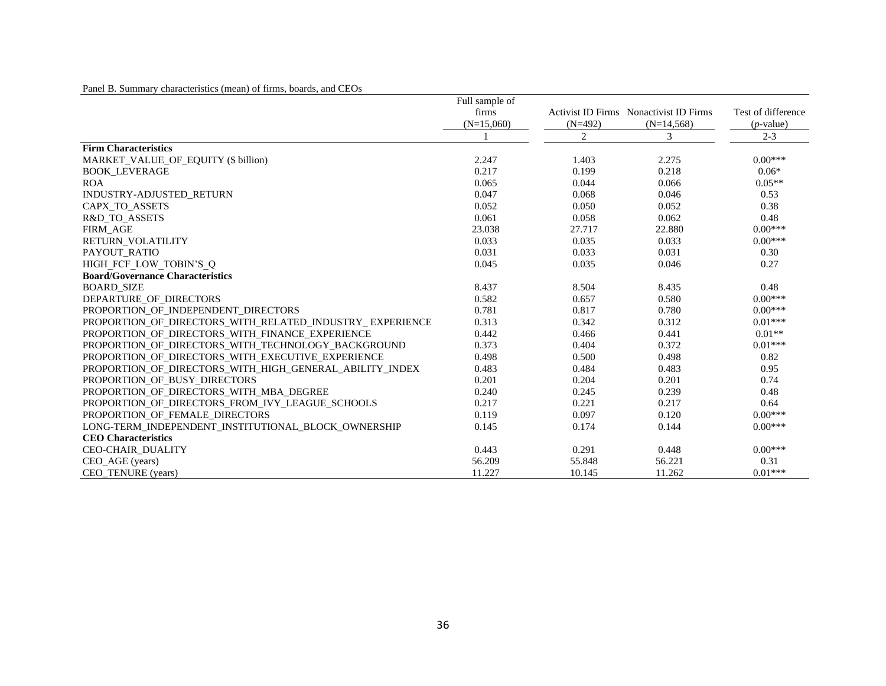|  |  |  | Panel B. Summary characteristics (mean) of firms, boards, and CEOs |
|--|--|--|--------------------------------------------------------------------|
|--|--|--|--------------------------------------------------------------------|

|                                                          | Full sample of |           |                                               |                    |
|----------------------------------------------------------|----------------|-----------|-----------------------------------------------|--------------------|
|                                                          | firms          |           | <b>Activist ID Firms</b> Nonactivist ID Firms | Test of difference |
|                                                          | $(N=15,060)$   | $(N=492)$ | $(N=14,568)$                                  | $(p$ -value)       |
|                                                          |                | 2         | 3                                             | $2 - 3$            |
| <b>Firm Characteristics</b>                              |                |           |                                               |                    |
| MARKET_VALUE_OF_EQUITY (\$ billion)                      | 2.247          | 1.403     | 2.275                                         | $0.00***$          |
| <b>BOOK LEVERAGE</b>                                     | 0.217          | 0.199     | 0.218                                         | $0.06*$            |
| <b>ROA</b>                                               | 0.065          | 0.044     | 0.066                                         | $0.05**$           |
| INDUSTRY-ADJUSTED_RETURN                                 | 0.047          | 0.068     | 0.046                                         | 0.53               |
| CAPX_TO_ASSETS                                           | 0.052          | 0.050     | 0.052                                         | 0.38               |
| R&D_TO_ASSETS                                            | 0.061          | 0.058     | 0.062                                         | 0.48               |
| <b>FIRM AGE</b>                                          | 23.038         | 27.717    | 22.880                                        | $0.00***$          |
| RETURN VOLATILITY                                        | 0.033          | 0.035     | 0.033                                         | $0.00***$          |
| PAYOUT RATIO                                             | 0.031          | 0.033     | 0.031                                         | 0.30               |
| HIGH FCF LOW TOBIN'S O                                   | 0.045          | 0.035     | 0.046                                         | 0.27               |
| <b>Board/Governance Characteristics</b>                  |                |           |                                               |                    |
| <b>BOARD SIZE</b>                                        | 8.437          | 8.504     | 8.435                                         | 0.48               |
| DEPARTURE OF DIRECTORS                                   | 0.582          | 0.657     | 0.580                                         | $0.00***$          |
| PROPORTION OF INDEPENDENT DIRECTORS                      | 0.781          | 0.817     | 0.780                                         | $0.00***$          |
| PROPORTION OF DIRECTORS WITH RELATED INDUSTRY EXPERIENCE | 0.313          | 0.342     | 0.312                                         | $0.01***$          |
| PROPORTION OF DIRECTORS WITH FINANCE EXPERIENCE          | 0.442          | 0.466     | 0.441                                         | $0.01**$           |
| PROPORTION_OF_DIRECTORS_WITH_TECHNOLOGY_BACKGROUND       | 0.373          | 0.404     | 0.372                                         | $0.01***$          |
| PROPORTION OF DIRECTORS WITH EXECUTIVE EXPERIENCE        | 0.498          | 0.500     | 0.498                                         | 0.82               |
| PROPORTION OF DIRECTORS WITH HIGH GENERAL ABILITY INDEX  | 0.483          | 0.484     | 0.483                                         | 0.95               |
| PROPORTION_OF_BUSY_DIRECTORS                             | 0.201          | 0.204     | 0.201                                         | 0.74               |
| PROPORTION OF DIRECTORS WITH MBA DEGREE                  | 0.240          | 0.245     | 0.239                                         | 0.48               |
| PROPORTION_OF_DIRECTORS_FROM_IVY_LEAGUE_SCHOOLS          | 0.217          | 0.221     | 0.217                                         | 0.64               |
| PROPORTION OF FEMALE DIRECTORS                           | 0.119          | 0.097     | 0.120                                         | $0.00***$          |
| LONG-TERM INDEPENDENT INSTITUTIONAL BLOCK OWNERSHIP      | 0.145          | 0.174     | 0.144                                         | $0.00***$          |
| <b>CEO</b> Characteristics                               |                |           |                                               |                    |
| CEO-CHAIR_DUALITY                                        | 0.443          | 0.291     | 0.448                                         | $0.00***$          |
| CEO AGE (years)                                          | 56.209         | 55.848    | 56.221                                        | 0.31               |
| CEO_TENURE (years)                                       | 11.227         | 10.145    | 11.262                                        | $0.01***$          |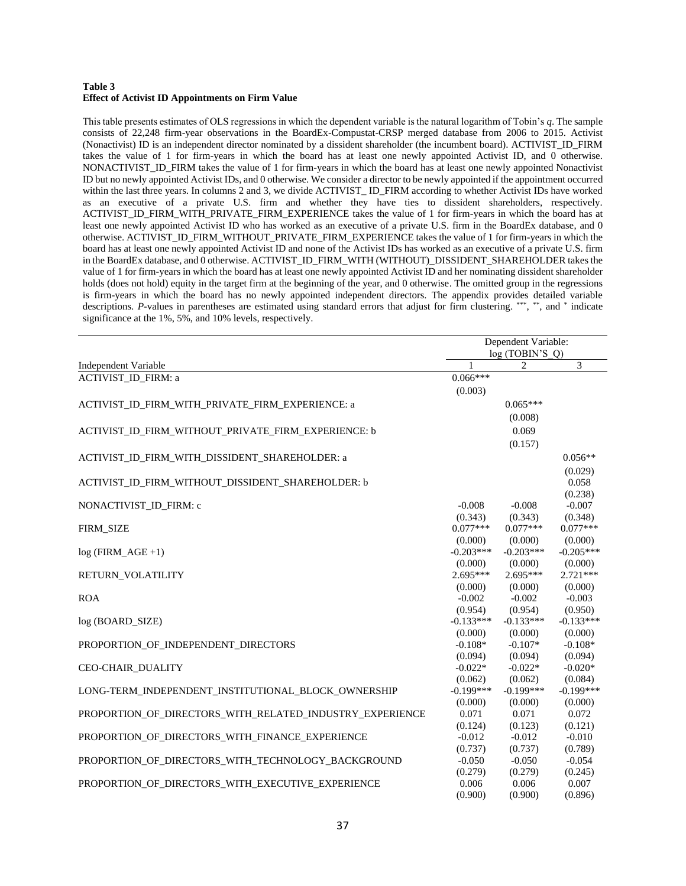#### **Table 3 Effect of Activist ID Appointments on Firm Value**

This table presents estimates of OLS regressions in which the dependent variable is the natural logarithm of Tobin's *q*. The sample consists of 22,248 firm-year observations in the BoardEx-Compustat-CRSP merged database from 2006 to 2015. Activist (Nonactivist) ID is an independent director nominated by a dissident shareholder (the incumbent board). ACTIVIST\_ID\_FIRM takes the value of 1 for firm-years in which the board has at least one newly appointed Activist ID, and 0 otherwise. NONACTIVIST\_ID\_FIRM takes the value of 1 for firm-years in which the board has at least one newly appointed Nonactivist ID but no newly appointed Activist IDs, and 0 otherwise. We consider a director to be newly appointed if the appointment occurred within the last three years. In columns 2 and 3, we divide ACTIVIST\_ID\_FIRM according to whether Activist IDs have worked as an executive of a private U.S. firm and whether they have ties to dissident shareholders, respectively. ACTIVIST\_ID\_FIRM\_WITH\_PRIVATE\_FIRM\_EXPERIENCE takes the value of 1 for firm-years in which the board has at least one newly appointed Activist ID who has worked as an executive of a private U.S. firm in the BoardEx database, and 0 otherwise. ACTIVIST\_ID\_FIRM\_WITHOUT\_PRIVATE\_FIRM\_EXPERIENCE takes the value of 1 for firm-years in which the board has at least one newly appointed Activist ID and none of the Activist IDs has worked as an executive of a private U.S. firm in the BoardEx database, and 0 otherwise. ACTIVIST\_ID\_FIRM\_WITH (WITHOUT)\_DISSIDENT\_SHAREHOLDER takes the value of 1 for firm-years in which the board has at least one newly appointed Activist ID and her nominating dissident shareholder holds (does not hold) equity in the target firm at the beginning of the year, and 0 otherwise. The omitted group in the regressions is firm-years in which the board has no newly appointed independent directors. The appendix provides detailed variable descriptions. P-values in parentheses are estimated using standard errors that adjust for firm clustering. \*\*\*, \*\*, and \* indicate significance at the 1%, 5%, and 10% levels, respectively.

|                                                          |                      | Dependent Variable:<br>log(TOBIN'S Q) | 3<br>$0.056**$         |  |  |  |
|----------------------------------------------------------|----------------------|---------------------------------------|------------------------|--|--|--|
| Independent Variable                                     |                      | $\mathfrak{D}$                        |                        |  |  |  |
| ACTIVIST_ID_FIRM: a                                      | $0.066***$           |                                       |                        |  |  |  |
|                                                          | (0.003)              |                                       |                        |  |  |  |
| ACTIVIST_ID_FIRM_WITH_PRIVATE_FIRM_EXPERIENCE: a         |                      | $0.065***$                            |                        |  |  |  |
|                                                          |                      | (0.008)                               |                        |  |  |  |
| ACTIVIST ID FIRM WITHOUT PRIVATE FIRM EXPERIENCE: b      |                      | 0.069                                 |                        |  |  |  |
|                                                          |                      | (0.157)                               |                        |  |  |  |
|                                                          |                      |                                       |                        |  |  |  |
| ACTIVIST_ID_FIRM_WITH_DISSIDENT_SHAREHOLDER: a           |                      |                                       |                        |  |  |  |
|                                                          |                      |                                       | (0.029)<br>0.058       |  |  |  |
| ACTIVIST ID FIRM WITHOUT DISSIDENT SHAREHOLDER: b        |                      |                                       | (0.238)                |  |  |  |
| NONACTIVIST_ID_FIRM: c                                   | $-0.008$             | $-0.008$                              | $-0.007$               |  |  |  |
|                                                          | (0.343)              | (0.343)                               | (0.348)                |  |  |  |
| <b>FIRM SIZE</b>                                         | $0.077***$           | $0.077***$                            | $0.077***$             |  |  |  |
|                                                          | (0.000)              | (0.000)                               | (0.000)                |  |  |  |
| $log$ (FIRM_AGE +1)                                      | $-0.203***$          | $-0.203***$                           | $-0.205***$            |  |  |  |
|                                                          | (0.000)              | (0.000)                               | (0.000)                |  |  |  |
| RETURN_VOLATILITY                                        | $2.695***$           | $2.695***$                            | $2.721***$             |  |  |  |
|                                                          | (0.000)              | (0.000)                               | (0.000)                |  |  |  |
| <b>ROA</b>                                               | $-0.002$             | $-0.002$                              | $-0.003$               |  |  |  |
|                                                          | (0.954)              | (0.954)                               | (0.950)                |  |  |  |
| log (BOARD SIZE)                                         | $-0.133***$          | $-0.133***$                           | $-0.133***$            |  |  |  |
|                                                          | (0.000)              | (0.000)                               | (0.000)                |  |  |  |
| PROPORTION_OF_INDEPENDENT_DIRECTORS                      | $-0.108*$            | $-0.107*$                             | $-0.108*$              |  |  |  |
|                                                          | (0.094)              | (0.094)                               | (0.094)                |  |  |  |
| <b>CEO-CHAIR DUALITY</b>                                 | $-0.022*$<br>(0.062) | $-0.022*$                             | $-0.020*$              |  |  |  |
| LONG-TERM_INDEPENDENT_INSTITUTIONAL_BLOCK_OWNERSHIP      | $-0.199***$          | (0.062)<br>$-0.199***$                | (0.084)<br>$-0.199***$ |  |  |  |
|                                                          | (0.000)              | (0.000)                               | (0.000)                |  |  |  |
| PROPORTION OF DIRECTORS WITH RELATED INDUSTRY EXPERIENCE | 0.071                | 0.071                                 | 0.072                  |  |  |  |
|                                                          | (0.124)              | (0.123)                               | (0.121)                |  |  |  |
| PROPORTION_OF_DIRECTORS_WITH_FINANCE_EXPERIENCE          | $-0.012$             | $-0.012$                              | $-0.010$               |  |  |  |
|                                                          | (0.737)              | (0.737)                               | (0.789)                |  |  |  |
| PROPORTION_OF_DIRECTORS_WITH_TECHNOLOGY_BACKGROUND       | $-0.050$             | $-0.050$                              | $-0.054$               |  |  |  |
|                                                          | (0.279)              | (0.279)                               | (0.245)                |  |  |  |
| PROPORTION_OF_DIRECTORS_WITH_EXECUTIVE_EXPERIENCE        | 0.006                | 0.006                                 | 0.007                  |  |  |  |
|                                                          | (0.900)              | (0.900)                               | (0.896)                |  |  |  |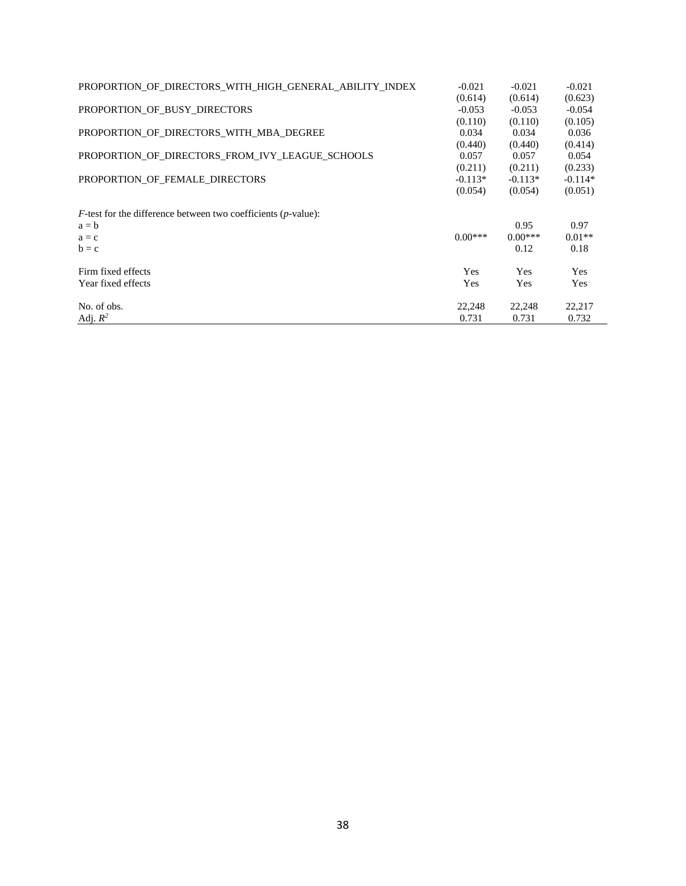| PROPORTION OF DIRECTORS WITH HIGH GENERAL ABILITY INDEX                   | $-0.021$   | $-0.021$  | $-0.021$  |
|---------------------------------------------------------------------------|------------|-----------|-----------|
|                                                                           | (0.614)    | (0.614)   | (0.623)   |
| PROPORTION OF BUSY DIRECTORS                                              | $-0.053$   | $-0.053$  | $-0.054$  |
|                                                                           | (0.110)    | (0.110)   | (0.105)   |
| PROPORTION OF DIRECTORS WITH MBA DEGREE                                   | 0.034      | 0.034     | 0.036     |
|                                                                           | (0.440)    | (0.440)   | (0.414)   |
| PROPORTION_OF_DIRECTORS_FROM_IVY_LEAGUE_SCHOOLS                           | 0.057      | 0.057     | 0.054     |
|                                                                           | (0.211)    | (0.211)   | (0.233)   |
| PROPORTION OF FEMALE DIRECTORS                                            | $-0.113*$  | $-0.113*$ | $-0.114*$ |
|                                                                           | (0.054)    | (0.054)   | (0.051)   |
| $F$ -test for the difference between two coefficients ( <i>p</i> -value): |            |           |           |
| $a = b$                                                                   |            | 0.95      | 0.97      |
| $a = c$                                                                   | $0.00***$  | $0.00***$ | $0.01**$  |
| $b = c$                                                                   |            | 0.12      | 0.18      |
| Firm fixed effects                                                        | <b>Yes</b> | Yes       | Yes       |
| Year fixed effects                                                        | Yes        | Yes       | Yes       |
| No. of obs.                                                               | 22,248     | 22,248    | 22,217    |
| Adj. $R^2$                                                                | 0.731      | 0.731     | 0.732     |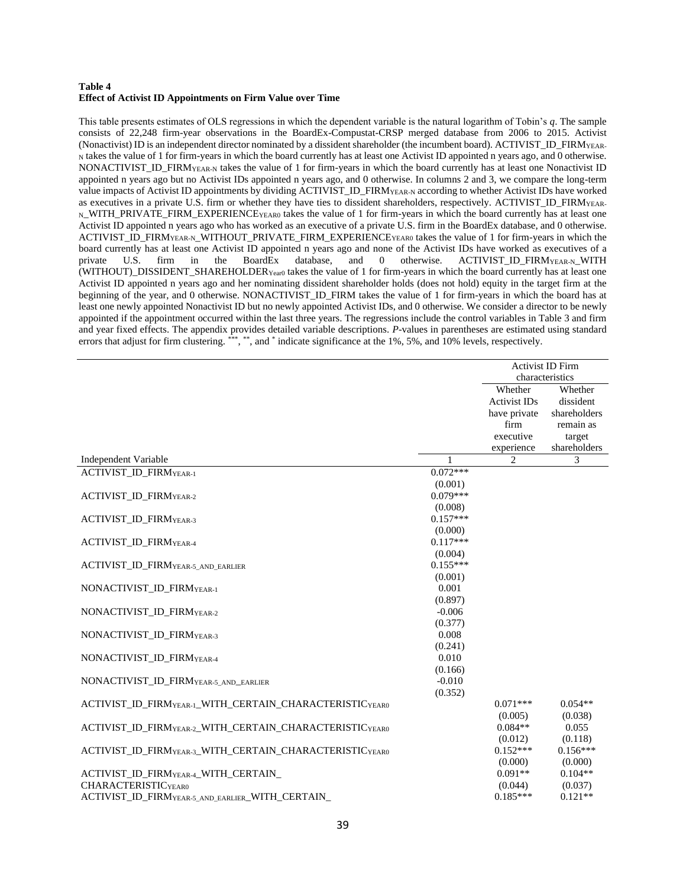#### **Table 4 Effect of Activist ID Appointments on Firm Value over Time**

This table presents estimates of OLS regressions in which the dependent variable is the natural logarithm of Tobin's *q*. The sample consists of 22,248 firm-year observations in the BoardEx-Compustat-CRSP merged database from 2006 to 2015. Activist (Nonactivist) ID is an independent director nominated by a dissident shareholder (the incumbent board). ACTIVIST\_ID\_FIRM<sub>YEAR</sub>-<sup>N</sup> takes the value of 1 for firm-years in which the board currently has at least one Activist ID appointed n years ago, and 0 otherwise. NONACTIVIST\_ID\_FIRM<sub>YEAR-N</sub> takes the value of 1 for firm-years in which the board currently has at least one Nonactivist ID appointed n years ago but no Activist IDs appointed n years ago, and 0 otherwise. In columns 2 and 3, we compare the long-term value impacts of Activist ID appointments by dividing ACTIVIST\_ID\_FIRMYEAR-N according to whether Activist IDs have worked as executives in a private U.S. firm or whether they have ties to dissident shareholders, respectively. ACTIVIST\_ID\_FIRM<sub>YEAR</sub>-N\_WITH\_PRIVATE\_FIRM\_EXPERIENCEYEAR0 takes the value of 1 for firm-years in which the board currently has at least one Activist ID appointed n years ago who has worked as an executive of a private U.S. firm in the BoardEx database, and 0 otherwise. ACTIVIST\_ID\_FIRMYEAR-N\_WITHOUT\_PRIVATE\_FIRM\_EXPERIENCEYEAR0 takes the value of 1 for firm-years in which the board currently has at least one Activist ID appointed n years ago and none of the Activist IDs have worked as executives of a private U.S. firm in the BoardEx database, and 0 otherwise. ACTIVIST\_ID\_FIRM<sub>YEAR-N\_</sub>WITH (WITHOUT)\_DISSIDENT\_SHAREHOLDERYear0 takes the value of 1 for firm-years in which the board currently has at least one Activist ID appointed n years ago and her nominating dissident shareholder holds (does not hold) equity in the target firm at the beginning of the year, and 0 otherwise. NONACTIVIST\_ID\_FIRM takes the value of 1 for firm-years in which the board has at least one newly appointed Nonactivist ID but no newly appointed Activist IDs, and 0 otherwise. We consider a director to be newly appointed if the appointment occurred within the last three years. The regressions include the control variables in Table 3 and firm and year fixed effects. The appendix provides detailed variable descriptions. *P*-values in parentheses are estimated using standard errors that adjust for firm clustering. \*\*\*, \*\*, and \* indicate significance at the 1%, 5%, and 10% levels, respectively.

|                                                                |            |                     | <b>Activist ID Firm</b> |
|----------------------------------------------------------------|------------|---------------------|-------------------------|
|                                                                |            | characteristics     |                         |
|                                                                |            | Whether             | Whether                 |
|                                                                |            | <b>Activist IDs</b> | dissident               |
|                                                                |            | have private        | shareholders            |
|                                                                |            | firm                | remain as               |
|                                                                |            | executive           | target                  |
|                                                                |            | experience          | shareholders            |
| Independent Variable                                           | 1          | 2                   | 3                       |
| ACTIVIST_ID_FIRMYEAR-1                                         | $0.072***$ |                     |                         |
|                                                                | (0.001)    |                     |                         |
| <b>ACTIVIST_ID_FIRMYEAR-2</b>                                  | $0.079***$ |                     |                         |
|                                                                | (0.008)    |                     |                         |
| ACTIVIST_ID_FIRMYEAR-3                                         | $0.157***$ |                     |                         |
|                                                                | (0.000)    |                     |                         |
| <b>ACTIVIST ID FIRMYEAR-4</b>                                  | $0.117***$ |                     |                         |
|                                                                | (0.004)    |                     |                         |
| <b>ACTIVIST_ID_FIRMYEAR-5 AND EARLIER</b>                      | $0.155***$ |                     |                         |
|                                                                | (0.001)    |                     |                         |
| NONACTIVIST ID FIRMYEAR-1                                      | 0.001      |                     |                         |
|                                                                | (0.897)    |                     |                         |
| NONACTIVIST_ID_FIRMYEAR-2                                      | $-0.006$   |                     |                         |
|                                                                | (0.377)    |                     |                         |
| NONACTIVIST_ID_FIRMYEAR-3                                      | 0.008      |                     |                         |
|                                                                | (0.241)    |                     |                         |
| NONACTIVIST ID FIRMYEAR-4                                      | 0.010      |                     |                         |
|                                                                | (0.166)    |                     |                         |
| NONACTIVIST_ID_FIRMYEAR-5_AND_EARLIER                          | $-0.010$   |                     |                         |
|                                                                | (0.352)    |                     |                         |
| ACTIVIST ID FIRMYEAR-1 WITH CERTAIN CHARACTERISTICYEARO        |            | $0.071***$          | $0.054**$               |
|                                                                |            | (0.005)             | (0.038)                 |
| <b>ACTIVIST ID FIRMYEAR-2 WITH CERTAIN CHARACTERISTICYEARO</b> |            | $0.084**$           | 0.055                   |
|                                                                |            | (0.012)             | (0.118)                 |
| ACTIVIST_ID_FIRMYEAR-3_WITH_CERTAIN_CHARACTERISTICYEAR0        |            | $0.152***$          | $0.156***$              |
|                                                                |            | (0.000)             | (0.000)                 |
| ACTIVIST ID FIRM <sub>YEAR-4</sub> WITH CERTAIN                |            | $0.091**$           | $0.104**$               |
| <b>CHARACTERISTICYEARO</b>                                     |            | (0.044)             | (0.037)                 |
| ACTIVIST_ID_FIRMYEAR-5_AND_EARLIER_WITH_CERTAIN                |            | $0.185***$          | $0.121**$               |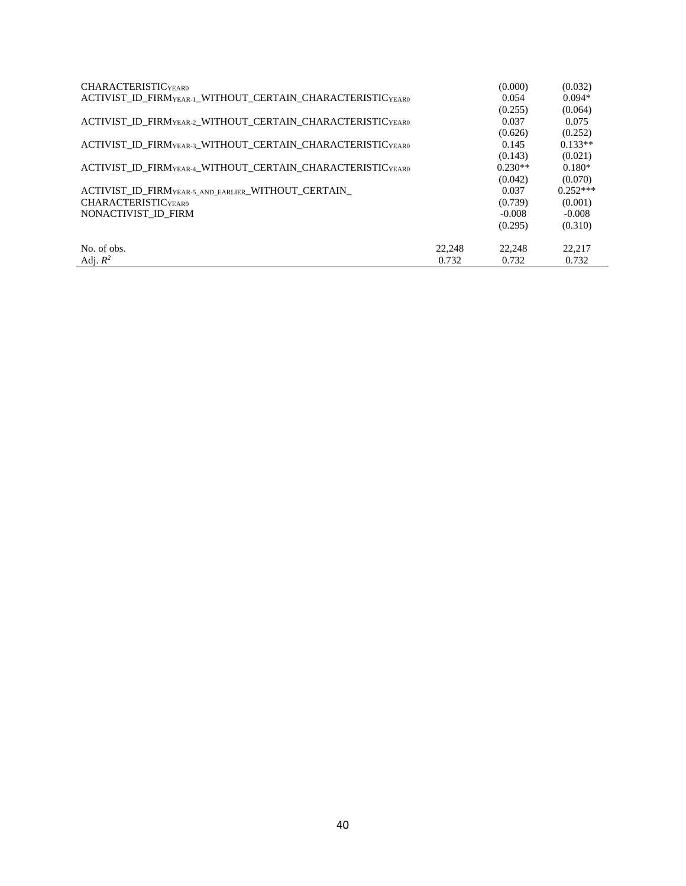| CHARACTERISTIC <sub>YEAR0</sub>                                                    |        | (0.000)   | (0.032)    |
|------------------------------------------------------------------------------------|--------|-----------|------------|
| ACTIVIST ID FIRMYEAR-1 WITHOUT CERTAIN CHARACTERISTICYEARO                         |        | 0.054     | $0.094*$   |
|                                                                                    |        | (0.255)   | (0.064)    |
| ACTIVIST ID FIRM <sub>YEAR-2</sub> WITHOUT CERTAIN CHARACTERISTIC <sub>YEAR0</sub> |        | 0.037     | 0.075      |
|                                                                                    |        | (0.626)   | (0.252)    |
| ACTIVIST ID FIRMYEAR-3 WITHOUT CERTAIN CHARACTERISTICYEAR0                         |        | 0.145     | $0.133**$  |
|                                                                                    |        | (0.143)   | (0.021)    |
| ACTIVIST ID FIRMYEAR-4 WITHOUT CERTAIN CHARACTERISTICYEARO                         |        | $0.230**$ | $0.180*$   |
|                                                                                    |        | (0.042)   | (0.070)    |
| ACTIVIST ID FIRMYEAR-5 AND EARLIER WITHOUT CERTAIN                                 |        | 0.037     | $0.252***$ |
| CHARACTERISTIC <sub>YEAR0</sub>                                                    |        | (0.739)   | (0.001)    |
| NONACTIVIST ID FIRM                                                                |        | $-0.008$  | $-0.008$   |
|                                                                                    |        | (0.295)   | (0.310)    |
|                                                                                    |        |           |            |
| No. of obs.                                                                        | 22,248 | 22.248    | 22,217     |
| Adj. $R^2$                                                                         | 0.732  | 0.732     | 0.732      |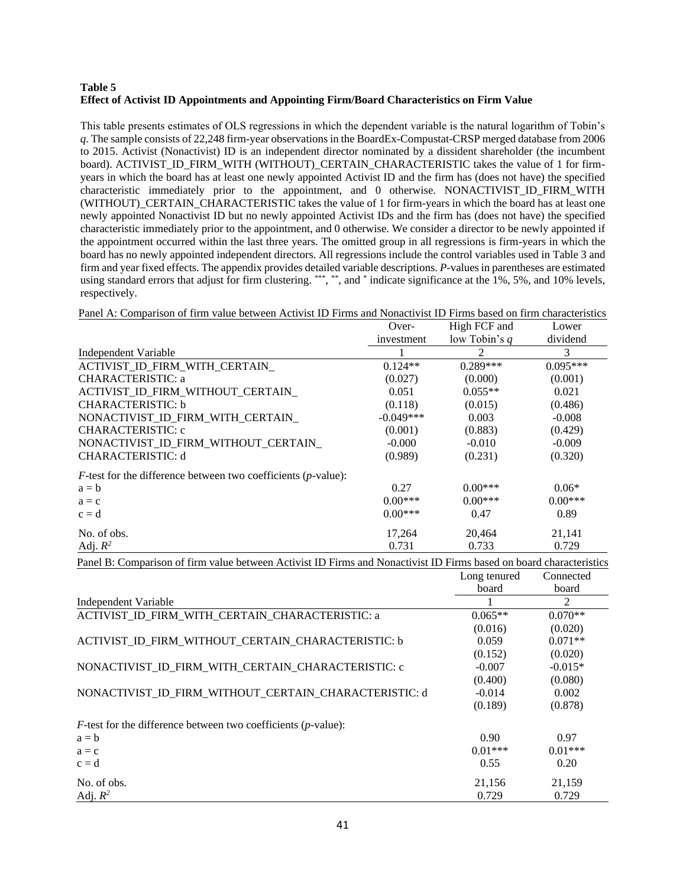## **Table 5 Effect of Activist ID Appointments and Appointing Firm/Board Characteristics on Firm Value**

This table presents estimates of OLS regressions in which the dependent variable is the natural logarithm of Tobin's *q*. The sample consists of 22,248 firm-year observations in the BoardEx-Compustat-CRSP merged database from 2006 to 2015. Activist (Nonactivist) ID is an independent director nominated by a dissident shareholder (the incumbent board). ACTIVIST\_ID\_FIRM\_WITH (WITHOUT)\_CERTAIN\_CHARACTERISTIC takes the value of 1 for firmyears in which the board has at least one newly appointed Activist ID and the firm has (does not have) the specified characteristic immediately prior to the appointment, and 0 otherwise. NONACTIVIST\_ID\_FIRM\_WITH (WITHOUT)\_CERTAIN\_CHARACTERISTIC takes the value of 1 for firm-years in which the board has at least one newly appointed Nonactivist ID but no newly appointed Activist IDs and the firm has (does not have) the specified characteristic immediately prior to the appointment, and 0 otherwise. We consider a director to be newly appointed if the appointment occurred within the last three years. The omitted group in all regressions is firm-years in which the board has no newly appointed independent directors. All regressions include the control variables used in Table 3 and firm and year fixed effects. The appendix provides detailed variable descriptions. *P*-values in parentheses are estimated using standard errors that adjust for firm clustering. \*\*\*, \*\*, and \* indicate significance at the 1%, 5%, and 10% levels, respectively.

Panel A: Comparison of firm value between Activist ID Firms and Nonactivist ID Firms based on firm characteristics

|                                                                           | Over-       | High FCF and    | Lower      |
|---------------------------------------------------------------------------|-------------|-----------------|------------|
|                                                                           | investment  | low Tobin's $q$ | dividend   |
| Independent Variable                                                      |             | 2               | 3          |
| ACTIVIST ID FIRM WITH CERTAIN                                             | $0.124**$   | $0.289***$      | $0.095***$ |
| CHARACTERISTIC: a                                                         | (0.027)     | (0.000)         | (0.001)    |
| ACTIVIST ID FIRM WITHOUT CERTAIN                                          | 0.051       | $0.055**$       | 0.021      |
| CHARACTERISTIC: b                                                         | (0.118)     | (0.015)         | (0.486)    |
| NONACTIVIST ID FIRM WITH CERTAIN                                          | $-0.049***$ | 0.003           | $-0.008$   |
| <b>CHARACTERISTIC: c</b>                                                  | (0.001)     | (0.883)         | (0.429)    |
| NONACTIVIST_ID_FIRM_WITHOUT_CERTAIN_                                      | $-0.000$    | $-0.010$        | $-0.009$   |
| <b>CHARACTERISTIC: d</b>                                                  | (0.989)     | (0.231)         | (0.320)    |
| $F$ -test for the difference between two coefficients ( <i>p</i> -value): |             |                 |            |
| $a = b$                                                                   | 0.27        | $0.00***$       | $0.06*$    |
| $a = c$                                                                   | $0.00***$   | $0.00***$       | $0.00***$  |
| $c = d$                                                                   | $0.00***$   | 0.47            | 0.89       |
| No. of obs.                                                               | 17,264      | 20,464          | 21,141     |
| Adj. $R^2$                                                                | 0.731       | 0.733           | 0.729      |

Panel B: Comparison of firm value between Activist ID Firms and Nonactivist ID Firms based on board characteristics

|                                                                           | Long tenured      | Connected |
|---------------------------------------------------------------------------|-------------------|-----------|
|                                                                           | board             | board     |
| Independent Variable                                                      |                   | 2         |
| ACTIVIST ID FIRM WITH CERTAIN CHARACTERISTIC: a                           | $0.065**$         | $0.070**$ |
|                                                                           | (0.016)           | (0.020)   |
| ACTIVIST_ID_FIRM_WITHOUT_CERTAIN_CHARACTERISTIC: b                        | 0.059             | $0.071**$ |
|                                                                           | (0.152)           | (0.020)   |
| NONACTIVIST ID FIRM WITH CERTAIN CHARACTERISTIC: c                        | $-0.007$          | $-0.015*$ |
|                                                                           | (0.400)           | (0.080)   |
| NONACTIVIST ID FIRM WITHOUT CERTAIN CHARACTERISTIC: d                     | $-0.014$          | 0.002     |
|                                                                           | (0.189)           | (0.878)   |
| $F$ -test for the difference between two coefficients ( <i>p</i> -value): |                   |           |
| $a = b$                                                                   | 0.90 <sub>1</sub> | 0.97      |
| $a = c$                                                                   | $0.01***$         | $0.01***$ |
| $c = d$                                                                   | 0.55              | 0.20      |
| No. of obs.                                                               | 21,156            | 21,159    |
| Adj. $R^2$                                                                | 0.729             | 0.729     |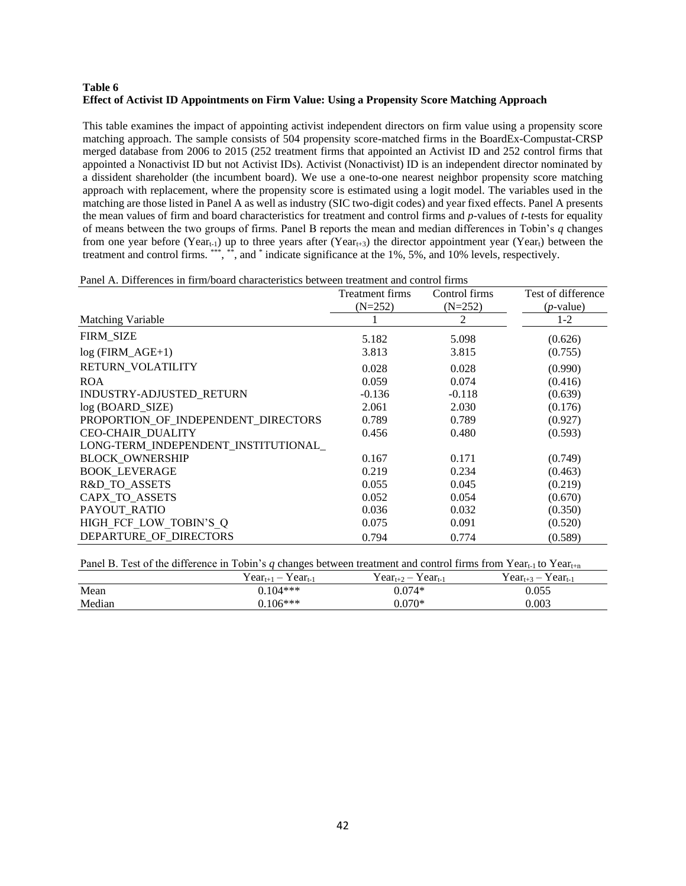### **Table 6 Effect of Activist ID Appointments on Firm Value: Using a Propensity Score Matching Approach**

This table examines the impact of appointing activist independent directors on firm value using a propensity score matching approach. The sample consists of 504 propensity score-matched firms in the BoardEx-Compustat-CRSP merged database from 2006 to 2015 (252 treatment firms that appointed an Activist ID and 252 control firms that appointed a Nonactivist ID but not Activist IDs). Activist (Nonactivist) ID is an independent director nominated by a dissident shareholder (the incumbent board). We use a one-to-one nearest neighbor propensity score matching approach with replacement, where the propensity score is estimated using a logit model. The variables used in the matching are those listed in Panel A as well as industry (SIC two-digit codes) and year fixed effects. Panel A presents the mean values of firm and board characteristics for treatment and control firms and *p*-values of *t*-tests for equality of means between the two groups of firms. Panel B reports the mean and median differences in Tobin's *q* changes from one year before (Year<sub>t-1</sub>) up to three years after (Year<sub>t+3</sub>) the director appointment year (Year<sub>t</sub>) between the treatment and control firms. \*\*\*, \*\*, and \* indicate significance at the 1%, 5%, and 10% levels, respectively.

| Panel A. Differences in firm/board characteristics between treatment and control firms |
|----------------------------------------------------------------------------------------|
|----------------------------------------------------------------------------------------|

|                                      | <b>Treatment firms</b> | Control firms | Test of difference |
|--------------------------------------|------------------------|---------------|--------------------|
|                                      | $(N=252)$              | $(N=252)$     | $(p$ -value)       |
| Matching Variable                    |                        | 2             | $1 - 2$            |
| FIRM_SIZE                            | 5.182                  | 5.098         | (0.626)            |
| $log$ (FIRM_AGE+1)                   | 3.813                  | 3.815         | (0.755)            |
| RETURN VOLATILITY                    | 0.028                  | 0.028         | (0.990)            |
| <b>ROA</b>                           | 0.059                  | 0.074         | (0.416)            |
| INDUSTRY-ADJUSTED RETURN             | $-0.136$               | $-0.118$      | (0.639)            |
| log (BOARD_SIZE)                     | 2.061                  | 2.030         | (0.176)            |
| PROPORTION_OF_INDEPENDENT_DIRECTORS  | 0.789                  | 0.789         | (0.927)            |
| CEO-CHAIR_DUALITY                    | 0.456                  | 0.480         | (0.593)            |
| LONG-TERM_INDEPENDENT_INSTITUTIONAL_ |                        |               |                    |
| <b>BLOCK OWNERSHIP</b>               | 0.167                  | 0.171         | (0.749)            |
| <b>BOOK LEVERAGE</b>                 | 0.219                  | 0.234         | (0.463)            |
| R&D TO ASSETS                        | 0.055                  | 0.045         | (0.219)            |
| CAPX_TO_ASSETS                       | 0.052                  | 0.054         | (0.670)            |
| PAYOUT RATIO                         | 0.036                  | 0.032         | (0.350)            |
| HIGH FCF LOW TOBIN'S Q               | 0.075                  | 0.091         | (0.520)            |
| DEPARTURE OF DIRECTORS               | 0.794                  | 0.774         | (0.589)            |

Panel B. Test of the difference in Tobin's *q* changes between treatment and control firms from Year<sub>t-1</sub> to Year<sub>t+n</sub>

|        | $Year_{t+1} - Year_{t-1}$ | $Year_{t+2} - Year_{t-1}$ | $Year_{t+3} - Year_{t-1}$ |
|--------|---------------------------|---------------------------|---------------------------|
| Mean   | $0.104***$                | $0.074*$                  | 0.055                     |
| Median | $0.106***$                | $0.070*$                  | 0.003                     |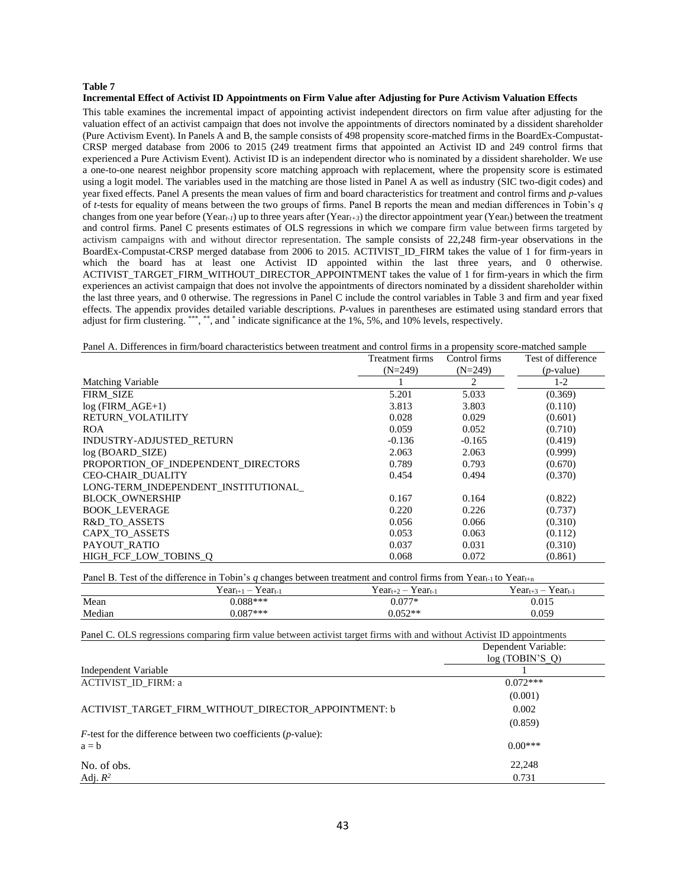#### **Table 7**

#### **Incremental Effect of Activist ID Appointments on Firm Value after Adjusting for Pure Activism Valuation Effects**

This table examines the incremental impact of appointing activist independent directors on firm value after adjusting for the valuation effect of an activist campaign that does not involve the appointments of directors nominated by a dissident shareholder (Pure Activism Event). In Panels A and B, the sample consists of 498 propensity score-matched firms in the BoardEx-Compustat-CRSP merged database from 2006 to 2015 (249 treatment firms that appointed an Activist ID and 249 control firms that experienced a Pure Activism Event)*.* Activist ID is an independent director who is nominated by a dissident shareholder. We use a one-to-one nearest neighbor propensity score matching approach with replacement, where the propensity score is estimated using a logit model. The variables used in the matching are those listed in Panel A as well as industry (SIC two-digit codes) and year fixed effects. Panel A presents the mean values of firm and board characteristics for treatment and control firms and *p*-values of *t*-tests for equality of means between the two groups of firms. Panel B reports the mean and median differences in Tobin's *q*  changes from one year before (Year*t-1*) up to three years after (Year*t+3*) the director appointment year (Year*t*) between the treatment and control firms. Panel C presents estimates of OLS regressions in which we compare firm value between firms targeted by activism campaigns with and without director representation. The sample consists of 22,248 firm-year observations in the BoardEx-Compustat-CRSP merged database from 2006 to 2015. ACTIVIST\_ID\_FIRM takes the value of 1 for firm-years in which the board has at least one Activist ID appointed within the last three years, and 0 otherwise. ACTIVIST\_TARGET\_FIRM\_WITHOUT\_DIRECTOR\_APPOINTMENT takes the value of 1 for firm-years in which the firm experiences an activist campaign that does not involve the appointments of directors nominated by a dissident shareholder within the last three years, and 0 otherwise. The regressions in Panel C include the control variables in Table 3 and firm and year fixed effects. The appendix provides detailed variable descriptions. *P*-values in parentheses are estimated using standard errors that adjust for firm clustering. \*\*\*, \*\*, and \* indicate significance at the 1%, 5%, and 10% levels, respectively.

Panel A. Differences in firm/board characteristics between treatment and control firms in a propensity score-matched sample

|                                     | Treatment firms | Control firms | Test of difference |
|-------------------------------------|-----------------|---------------|--------------------|
|                                     | $(N=249)$       | $(N=249)$     | $(p$ -value)       |
| Matching Variable                   |                 | 2             | $1-2$              |
| <b>FIRM SIZE</b>                    | 5.201           | 5.033         | (0.369)            |
| $log$ (FIRM $AGE+1$ )               | 3.813           | 3.803         | (0.110)            |
| RETURN VOLATILITY                   | 0.028           | 0.029         | (0.601)            |
| <b>ROA</b>                          | 0.059           | 0.052         | (0.710)            |
| INDUSTRY-ADJUSTED_RETURN            | $-0.136$        | $-0.165$      | (0.419)            |
| $log(BOARD_SIZE)$                   | 2.063           | 2.063         | (0.999)            |
| PROPORTION OF INDEPENDENT DIRECTORS | 0.789           | 0.793         | (0.670)            |
| <b>CEO-CHAIR DUALITY</b>            | 0.454           | 0.494         | (0.370)            |
| LONG-TERM INDEPENDENT INSTITUTIONAL |                 |               |                    |
| <b>BLOCK OWNERSHIP</b>              | 0.167           | 0.164         | (0.822)            |
| <b>BOOK LEVERAGE</b>                | 0.220           | 0.226         | (0.737)            |
| R&D TO ASSETS                       | 0.056           | 0.066         | (0.310)            |
| CAPX_TO_ASSETS                      | 0.053           | 0.063         | (0.112)            |
| PAYOUT_RATIO                        | 0.037           | 0.031         | (0.310)            |
| HIGH FCF LOW TOBINS O               | 0.068           | 0.072         | (0.861)            |

Panel B. Test of the difference in Tobin's *q* changes between treatment and control firms from Year<sub>t-1</sub> to Year<sub>t+n</sub>

|        | $Year_{t+1} - Year_{t-1}$ | $Year_{t+2} - Year_{t-1}$ | $Year_{t+3} - Year_{t-1}$ |
|--------|---------------------------|---------------------------|---------------------------|
| Mean   | $0.088***$                | $0.077*$                  | 0.015                     |
| Median | $0.087***$                | $0.052**$                 | 0.059                     |

| Panel C. OLS regressions comparing firm value between activist target firms with and without Activist ID appointments |                                       |
|-----------------------------------------------------------------------------------------------------------------------|---------------------------------------|
|                                                                                                                       | Dependent Variable:<br>log(TOBIN'S O) |
| Independent Variable                                                                                                  |                                       |
| <b>ACTIVIST ID FIRM: a</b>                                                                                            | $0.072***$                            |
|                                                                                                                       | (0.001)                               |
| ACTIVIST TARGET FIRM WITHOUT DIRECTOR APPOINTMENT: b                                                                  | 0.002                                 |
|                                                                                                                       | (0.859)                               |
| $F$ -test for the difference between two coefficients ( <i>p</i> -value):                                             |                                       |
| $a = b$                                                                                                               | $0.00***$                             |
| No. of obs.                                                                                                           | 22,248                                |
| Adj. $R^2$                                                                                                            | 0.731                                 |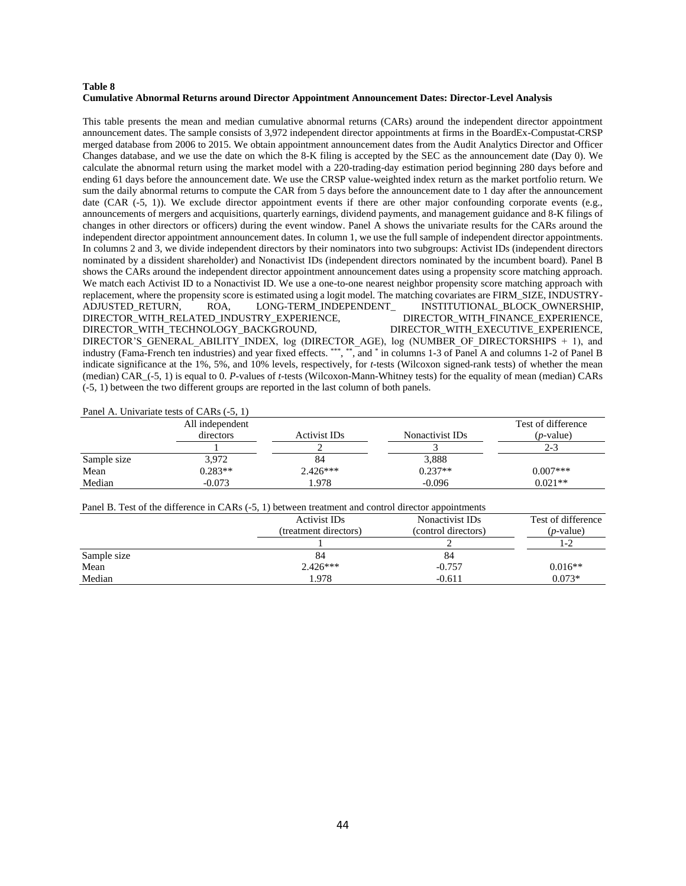#### **Table 8 Cumulative Abnormal Returns around Director Appointment Announcement Dates: Director-Level Analysis**

This table presents the mean and median cumulative abnormal returns (CARs) around the independent director appointment announcement dates. The sample consists of 3,972 independent director appointments at firms in the BoardEx-Compustat-CRSP merged database from 2006 to 2015. We obtain appointment announcement dates from the Audit Analytics Director and Officer Changes database, and we use the date on which the 8-K filing is accepted by the SEC as the announcement date (Day 0). We calculate the abnormal return using the market model with a 220-trading-day estimation period beginning 280 days before and ending 61 days before the announcement date. We use the CRSP value-weighted index return as the market portfolio return. We sum the daily abnormal returns to compute the CAR from 5 days before the announcement date to 1 day after the announcement date (CAR (-5, 1)). We exclude director appointment events if there are other major confounding corporate events (e.g., announcements of mergers and acquisitions, quarterly earnings, dividend payments, and management guidance and 8-K filings of changes in other directors or officers) during the event window. Panel A shows the univariate results for the CARs around the independent director appointment announcement dates. In column 1, we use the full sample of independent director appointments. In columns 2 and 3, we divide independent directors by their nominators into two subgroups: Activist IDs (independent directors nominated by a dissident shareholder) and Nonactivist IDs (independent directors nominated by the incumbent board). Panel B shows the CARs around the independent director appointment announcement dates using a propensity score matching approach. We match each Activist ID to a Nonactivist ID. We use a one-to-one nearest neighbor propensity score matching approach with replacement, where the propensity score is estimated using a logit model. The matching covariates are FIRM\_SIZE, INDUSTRY-ADJUSTED\_RETURN, ROA, LONG-TERM\_INDEPENDENT\_ INSTITUTIONAL\_BLOCK\_OWNERSHIP, DIRECTOR\_WITH\_RELATED\_INDUSTRY\_EXPERIENCE, DIRECTOR\_WITH\_FINANCE\_EXPERIENCE, DIRECTOR\_WITH\_TECHNOLOGY\_BACKGROUND, DIRECTOR\_WITH\_EXECUTIVE\_EXPERIENCE, DIRECTOR'S GENERAL ABILITY\_INDEX, log (DIRECTOR AGE), log (NUMBER OF DIRECTORSHIPS + 1), and industry (Fama-French ten industries) and year fixed effects. \*\*\*, \*\*, and \* in columns 1-3 of Panel A and columns 1-2 of Panel B indicate significance at the 1%, 5%, and 10% levels, respectively, for *t*-tests (Wilcoxon signed-rank tests) of whether the mean (median) CAR\_(-5, 1) is equal to 0. *P*-values of *t*-tests (Wilcoxon-Mann-Whitney tests) for the equality of mean (median) CARs (-5, 1) between the two different groups are reported in the last column of both panels.

|             | Panel A. Univariate tests of CARs (-5, 1) |              |                 |                    |
|-------------|-------------------------------------------|--------------|-----------------|--------------------|
|             | All independent                           |              |                 | Test of difference |
|             | directors                                 | Activist IDs | Nonactivist IDs | $(p$ -value)       |
|             |                                           |              |                 | $2 - 3$            |
| Sample size | 3.972                                     | 84           | 3,888           |                    |
| Mean        | $0.283**$                                 | $2.426***$   | $0.237**$       | $0.007***$         |
| Median      | $-0.073$                                  | 1.978        | $-0.096$        | $0.021**$          |

| Panel B. Test of the difference in CARs (-5, 1) between treatment and control director appointments |                                                   |                                        |                                    |
|-----------------------------------------------------------------------------------------------------|---------------------------------------------------|----------------------------------------|------------------------------------|
|                                                                                                     | Activist ID <sub>s</sub><br>(treatment directors) | Nonactivist IDs<br>(control directors) | Test of difference<br>$(p$ -value) |
|                                                                                                     |                                                   |                                        | 1-2                                |
| Sample size                                                                                         | 84                                                | 84                                     |                                    |
| Mean                                                                                                | $2.426***$                                        | $-0.757$                               | $0.016**$                          |
| Median                                                                                              | 1.978                                             | $-0.611$                               | $0.073*$                           |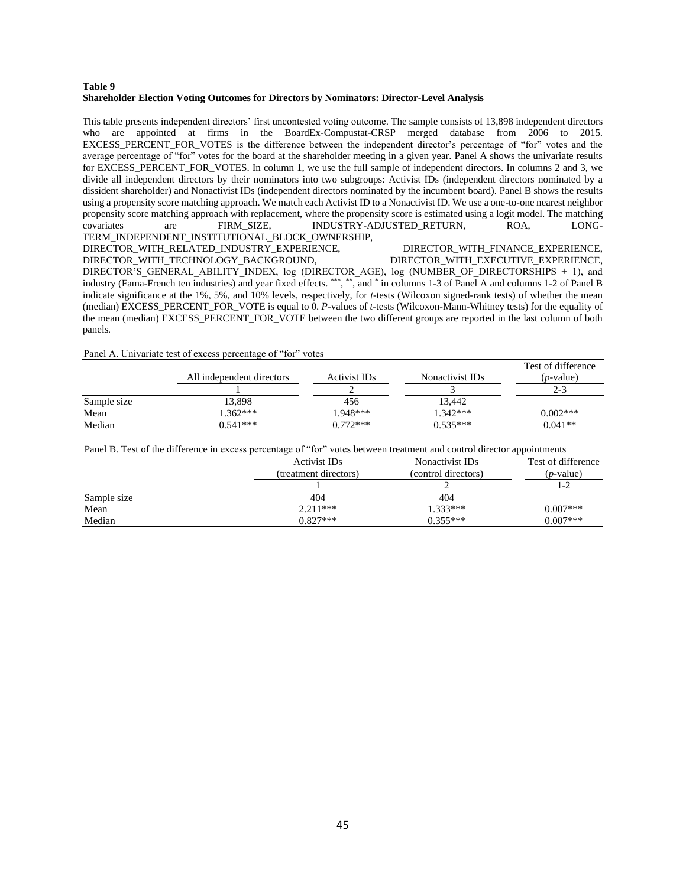#### **Table 9 Shareholder Election Voting Outcomes for Directors by Nominators: Director-Level Analysis**

This table presents independent directors' first uncontested voting outcome. The sample consists of 13,898 independent directors who are appointed at firms in the BoardEx-Compustat-CRSP merged database from 2006 to 2015. EXCESS\_PERCENT\_FOR\_VOTES is the difference between the independent director's percentage of "for" votes and the average percentage of "for" votes for the board at the shareholder meeting in a given year. Panel A shows the univariate results for EXCESS\_PERCENT\_FOR\_VOTES. In column 1, we use the full sample of independent directors. In columns 2 and 3, we divide all independent directors by their nominators into two subgroups: Activist IDs (independent directors nominated by a dissident shareholder) and Nonactivist IDs (independent directors nominated by the incumbent board). Panel B shows the results using a propensity score matching approach. We match each Activist ID to a Nonactivist ID. We use a one-to-one nearest neighbor propensity score matching approach with replacement, where the propensity score is estimated using a logit model. The matching covariates are FIRM SIZE, INDUSTRY-ADJUSTED RETURN. IONGare FIRM\_SIZE, INDUSTRY-ADJUSTED\_RETURN, ROA, LONG-TERM\_INDEPENDENT\_INSTITUTIONAL\_BLOCK\_OWNERSHIP, DIRECTOR\_WITH\_RELATED\_INDUSTRY\_EXPERIENCE, DIRECTOR\_WITH\_FINANCE\_EXPERIENCE, DIRECTOR\_WITH\_TECHNOLOGY\_BACKGROUND, DIRECTOR\_WITH\_EXECUTIVE\_EXPERIENCE, DIRECTOR'S GENERAL ABILITY INDEX, log (DIRECTOR AGE), log (NUMBER OF DIRECTORSHIPS  $+ 1$ ), and

industry (Fama-French ten industries) and year fixed effects. \*\*\*, \*\*, and \* in columns 1-3 of Panel A and columns 1-2 of Panel B indicate significance at the 1%, 5%, and 10% levels, respectively, for *t*-tests (Wilcoxon signed-rank tests) of whether the mean (median) EXCESS\_PERCENT\_FOR\_VOTE is equal to 0. *P*-values of *t*-tests (Wilcoxon-Mann-Whitney tests) for the equality of the mean (median) EXCESS\_PERCENT\_FOR\_VOTE between the two different groups are reported in the last column of both panels*.*

#### Panel A. Univariate test of excess percentage of "for" votes

|             | All independent directors | Activist IDs | Nonactivist IDs | Test of difference<br>( <i>p</i> -value) |
|-------------|---------------------------|--------------|-----------------|------------------------------------------|
|             |                           |              |                 | $2 - 3$                                  |
| Sample size | 13,898                    | 456          | 13.442          |                                          |
| Mean        | $1.362***$                | 1.948***     | $1.342***$      | $0.002***$                               |
| Median      | $0.541***$                | $0.772***$   | $0.535***$      | $0.041**$                                |

|             | Panel B. Test of the difference in excess percentage of "for" votes between treatment and control director appointments |                                        |                                          |
|-------------|-------------------------------------------------------------------------------------------------------------------------|----------------------------------------|------------------------------------------|
|             | Activist IDs<br>(treatment directors)                                                                                   | Nonactivist IDs<br>(control directors) | Test of difference<br>( <i>p</i> -value) |
|             |                                                                                                                         |                                        | $1-2$                                    |
| Sample size | 404                                                                                                                     | 404                                    |                                          |
| Mean        | $2.211***$                                                                                                              | $1.333***$                             | $0.007***$                               |
| Median      | $0.827***$                                                                                                              | $0.355***$                             | $0.007***$                               |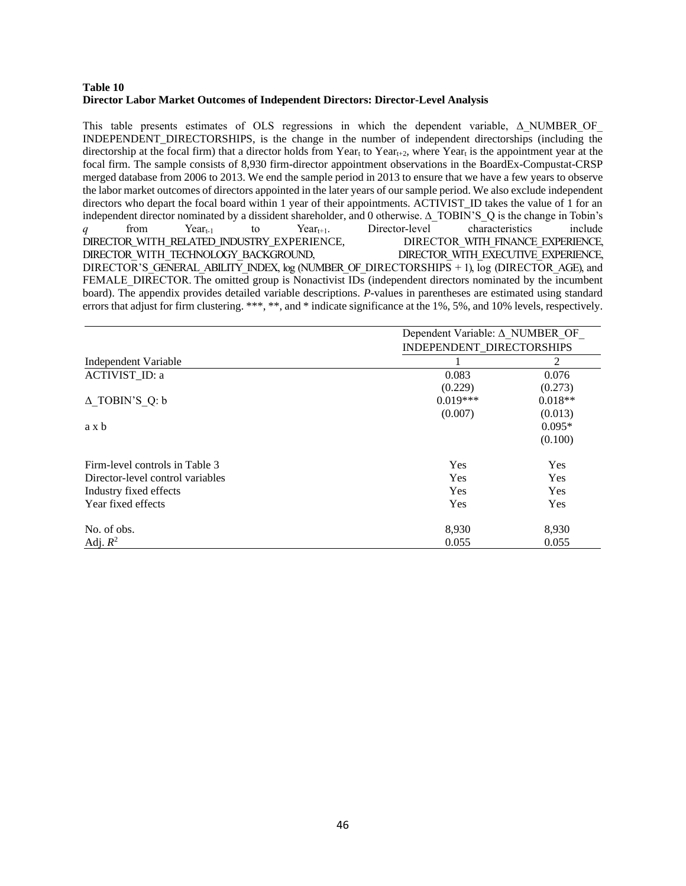#### **Table 10 Director Labor Market Outcomes of Independent Directors: Director-Level Analysis**

This table presents estimates of OLS regressions in which the dependent variable,  $\Delta$  NUMBER OF INDEPENDENT\_DIRECTORSHIPS, is the change in the number of independent directorships (including the directorship at the focal firm) that a director holds from Year<sub>t</sub> to Year<sub>t+2</sub>, where Year<sub>t</sub> is the appointment year at the focal firm. The sample consists of 8,930 firm-director appointment observations in the BoardEx-Compustat-CRSP merged database from 2006 to 2013. We end the sample period in 2013 to ensure that we have a few years to observe the labor market outcomes of directors appointed in the later years of our sample period. We also exclude independent directors who depart the focal board within 1 year of their appointments. ACTIVIST\_ID takes the value of 1 for an independent director nominated by a dissident shareholder, and 0 otherwise. ∆\_TOBIN'S\_Q is the change in Tobin's *q* from  $Year_{t-1}$  to  $Year_{t+1}$ . Director-level characteristics include<br>DIRECTOR WITH RELATED INDUSTRY EXPERIENCE, DIRECTOR WITH FINANCE EXPERIENCE, DIRECTOR\_WITH\_RELATED\_INDUSTRY\_EXPERIENCE, DIRECTOR\_WITH\_TECHNOLOGY\_BACKGROUND, DIRECTOR\_WITH\_EXECUTIVE\_EXPERIENCE, DIRECTOR'S GENERAL ABILITY INDEX, log (NUMBER OF DIRECTORSHIPS + 1),  $\log$  (DIRECTOR AGE), and FEMALE DIRECTOR. The omitted group is Nonactivist IDs (independent directors nominated by the incumbent board). The appendix provides detailed variable descriptions. *P*-values in parentheses are estimated using standard errors that adjust for firm clustering. \*\*\*, \*\*, and \* indicate significance at the 1%, 5%, and 10% levels, respectively.

|                                  | Dependent Variable: ∆ NUMBER OF<br>INDEPENDENT_DIRECTORSHIPS |           |  |  |
|----------------------------------|--------------------------------------------------------------|-----------|--|--|
|                                  |                                                              |           |  |  |
| Independent Variable             |                                                              | 2         |  |  |
| ACTIVIST ID: a                   | 0.083                                                        | 0.076     |  |  |
|                                  | (0.229)                                                      | (0.273)   |  |  |
| $\triangle$ TOBIN'S Q: b         | $0.019***$                                                   | $0.018**$ |  |  |
|                                  | (0.007)                                                      | (0.013)   |  |  |
| a x b                            |                                                              | $0.095*$  |  |  |
|                                  |                                                              | (0.100)   |  |  |
| Firm-level controls in Table 3   | Yes                                                          | Yes       |  |  |
| Director-level control variables | Yes                                                          | Yes       |  |  |
| Industry fixed effects           | Yes                                                          | Yes       |  |  |
| Year fixed effects               | Yes                                                          | Yes       |  |  |
| No. of obs.                      | 8,930                                                        | 8,930     |  |  |
| Adj. $R^2$                       | 0.055                                                        | 0.055     |  |  |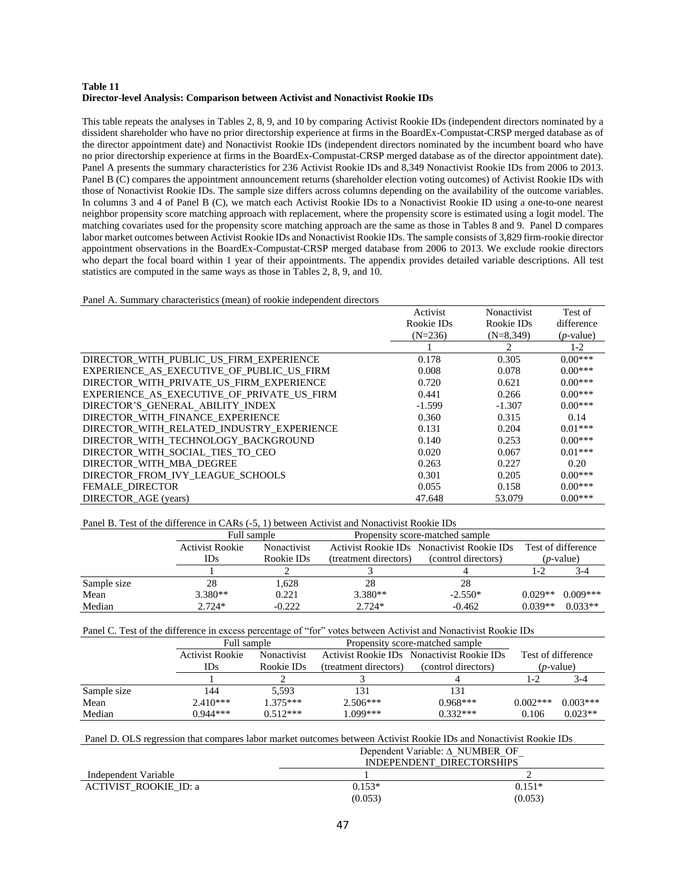#### **Table 11 Director-level Analysis: Comparison between Activist and Nonactivist Rookie IDs**

This table repeats the analyses in Tables 2, 8, 9, and 10 by comparing Activist Rookie IDs (independent directors nominated by a dissident shareholder who have no prior directorship experience at firms in the BoardEx-Compustat-CRSP merged database as of the director appointment date) and Nonactivist Rookie IDs (independent directors nominated by the incumbent board who have no prior directorship experience at firms in the BoardEx-Compustat-CRSP merged database as of the director appointment date). Panel A presents the summary characteristics for 236 Activist Rookie IDs and 8,349 Nonactivist Rookie IDs from 2006 to 2013. Panel B (C) compares the appointment announcement returns (shareholder election voting outcomes) of Activist Rookie IDs with those of Nonactivist Rookie IDs. The sample size differs across columns depending on the availability of the outcome variables. In columns 3 and 4 of Panel B (C), we match each Activist Rookie IDs to a Nonactivist Rookie ID using a one-to-one nearest neighbor propensity score matching approach with replacement, where the propensity score is estimated using a logit model. The matching covariates used for the propensity score matching approach are the same as those in Tables 8 and 9. Panel D compares labor market outcomes between Activist Rookie IDs and Nonactivist Rookie IDs. The sample consists of 3,829 firm-rookie director appointment observations in the BoardEx-Compustat-CRSP merged database from 2006 to 2013. We exclude rookie directors who depart the focal board within 1 year of their appointments. The appendix provides detailed variable descriptions. All test statistics are computed in the same ways as those in Tables 2, 8, 9, and 10.

Panel A. Summary characteristics (mean) of rookie independent directors

|                                            | Activist   | Nonactivist | Test of      |
|--------------------------------------------|------------|-------------|--------------|
|                                            | Rookie IDs | Rookie IDs  | difference   |
|                                            | $(N=236)$  | $(N=8.349)$ | $(p$ -value) |
|                                            |            | 2           | $1 - 2$      |
| DIRECTOR WITH PUBLIC US FIRM EXPERIENCE    | 0.178      | 0.305       | $0.00***$    |
| EXPERIENCE AS EXECUTIVE OF PUBLIC US FIRM  | 0.008      | 0.078       | $0.00***$    |
| DIRECTOR WITH PRIVATE US FIRM EXPERIENCE   | 0.720      | 0.621       | $0.00***$    |
| EXPERIENCE AS EXECUTIVE OF PRIVATE US FIRM | 0.441      | 0.266       | $0.00***$    |
| DIRECTOR'S GENERAL ABILITY INDEX           | $-1.599$   | $-1.307$    | $0.00***$    |
| DIRECTOR WITH FINANCE EXPERIENCE           | 0.360      | 0.315       | 0.14         |
| DIRECTOR WITH RELATED INDUSTRY EXPERIENCE  | 0.131      | 0.204       | $0.01***$    |
| DIRECTOR WITH TECHNOLOGY BACKGROUND        | 0.140      | 0.253       | $0.00***$    |
| DIRECTOR WITH SOCIAL TIES TO CEO           | 0.020      | 0.067       | $0.01***$    |
| DIRECTOR WITH MBA DEGREE                   | 0.263      | 0.227       | 0.20         |
| DIRECTOR FROM IVY LEAGUE SCHOOLS           | 0.301      | 0.205       | $0.00***$    |
| <b>FEMALE DIRECTOR</b>                     | 0.055      | 0.158       | $0.00***$    |
| DIRECTOR AGE (years)                       | 47.648     | 53.079      | $0.00***$    |

Panel B. Test of the difference in CARs (-5, 1) between Activist and Nonactivist Rookie IDs

|             | Full sample            |                                  |                       | Propensity score-matched sample                                   |           |                                          |
|-------------|------------------------|----------------------------------|-----------------------|-------------------------------------------------------------------|-----------|------------------------------------------|
|             | Activist Rookie<br>IDs | <b>Nonactivist</b><br>Rookie IDs | (treatment directors) | Activist Rookie IDs Nonactivist Rookie IDs<br>(control directors) |           | Test of difference<br>( <i>p</i> -value) |
|             |                        |                                  |                       |                                                                   | 1-2       | $3-4$                                    |
| Sample size | 28                     | 1.628                            | 28                    | 28                                                                |           |                                          |
| Mean        | $3.380**$              | 0.221                            | $3.380**$             | $-2.550*$                                                         | $0.029**$ | $0.009***$                               |
| Median      | $2.724*$               | $-0.222$                         | $2.724*$              | $-0.462$                                                          | $0.039**$ | $0.033**$                                |

| Panel C. Test of the difference in excess percentage of "for" votes between Activist and Nonactivist Rookie IDs |  |  |
|-----------------------------------------------------------------------------------------------------------------|--|--|
|-----------------------------------------------------------------------------------------------------------------|--|--|

|             | Full sample     |                    |                       | Propensity score-matched sample            |            |                    |
|-------------|-----------------|--------------------|-----------------------|--------------------------------------------|------------|--------------------|
|             | Activist Rookie | <b>Nonactivist</b> |                       | Activist Rookie IDs Nonactivist Rookie IDs |            | Test of difference |
|             | IDs             | Rookie IDs         | (treatment directors) | (control directors)                        |            | ( <i>p</i> -value) |
|             |                 |                    |                       |                                            | 1-2        | 3-4                |
| Sample size | 144             | 5.593              | 131                   | 131                                        |            |                    |
| Mean        | $2.410***$      | $1.375***$         | $2.506***$            | $0.968***$                                 | $0.002***$ | $0.003***$         |
| Median      | $0.944***$      | $0.512***$         | 1.099***              | $0.332***$                                 | 0.106      | $0.023**$          |

| Panel D. OLS regression that compares labor market outcomes between Activist Rookie IDs and Nonactivist Rookie IDs |                                           |          |  |
|--------------------------------------------------------------------------------------------------------------------|-------------------------------------------|----------|--|
|                                                                                                                    | Dependent Variable: $\triangle$ NUMBER OF |          |  |
|                                                                                                                    | INDEPENDENT DIRECTORSHIPS                 |          |  |
| Independent Variable                                                                                               |                                           |          |  |
| <b>ACTIVIST ROOKIE ID: a</b>                                                                                       | $0.153*$                                  | $0.151*$ |  |
|                                                                                                                    | (0.053)                                   | (0.053)  |  |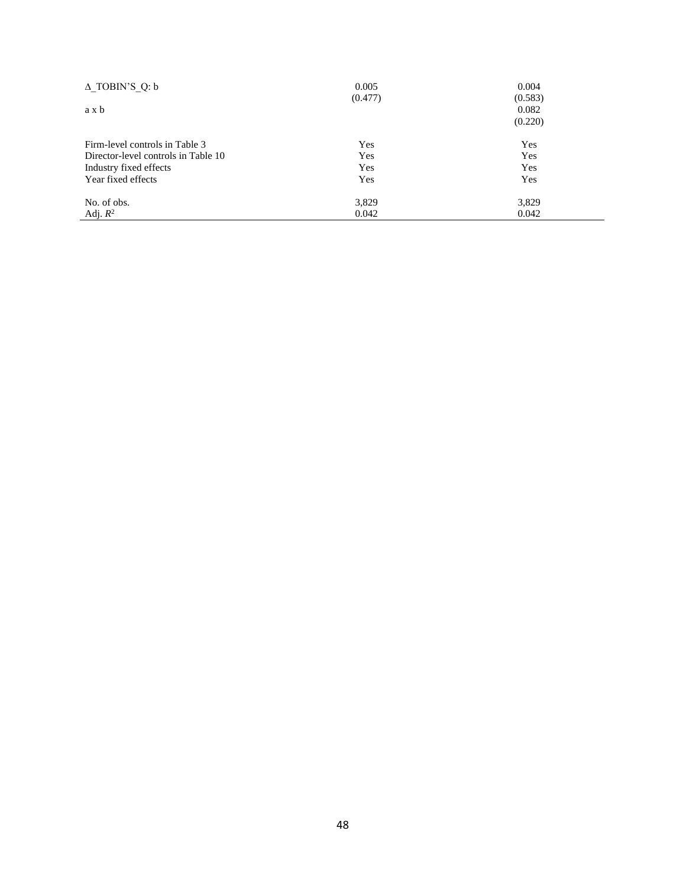| $\triangle$ TOBIN'S Q: b            | 0.005   | 0.004   |
|-------------------------------------|---------|---------|
|                                     | (0.477) | (0.583) |
| a x b                               |         | 0.082   |
|                                     |         | (0.220) |
| Firm-level controls in Table 3      | Yes     | Yes     |
| Director-level controls in Table 10 | Yes     | Yes     |
| Industry fixed effects              | Yes     | Yes     |
| Year fixed effects                  | Yes     | Yes     |
| No. of obs.                         | 3,829   | 3,829   |
| Adj. $R^2$                          | 0.042   | 0.042   |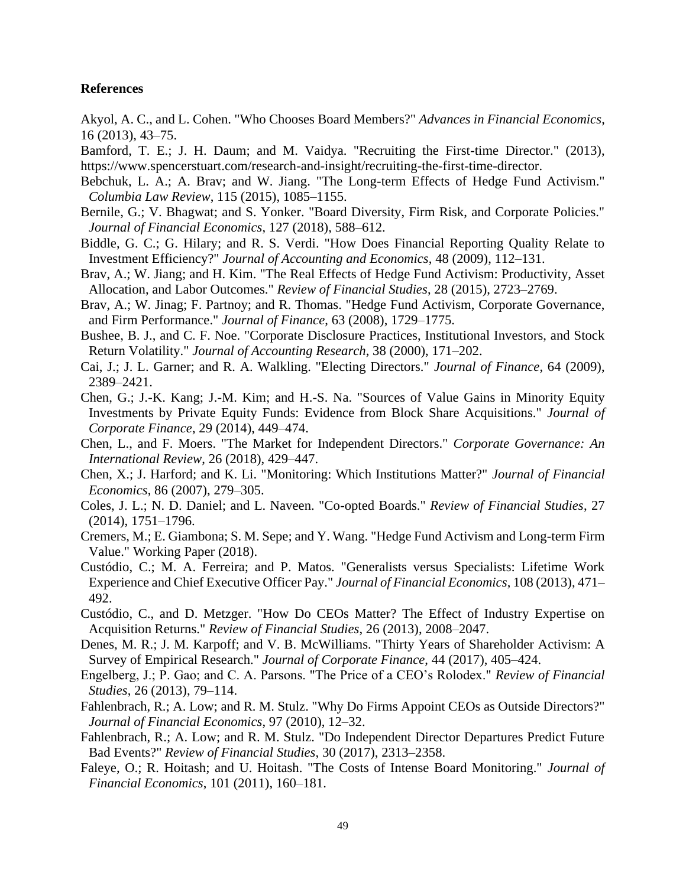#### **References**

Akyol, A. C., and L. Cohen. "Who Chooses Board Members?" *Advances in Financial Economics*, 16 (2013), 43–75.

Bamford, T. E.; J. H. Daum; and M. Vaidya. "Recruiting the First-time Director." (2013), [https://www.spencerstuart.com/research-and-insight/recruiting-the-first-time-director.](https://www.spencerstuart.com/research-and-insight/recruiting-the-first-time-director)

- Bebchuk, L. A.; A. Brav; and W. Jiang. "The Long-term Effects of Hedge Fund Activism." *Columbia Law Review*, 115 (2015), 1085–1155.
- Bernile, G.; V. Bhagwat; and S. Yonker. "Board Diversity, Firm Risk, and Corporate Policies." *Journal of Financial Economics*, 127 (2018), 588–612.
- Biddle, G. C.; G. Hilary; and R. S. Verdi. "How Does Financial Reporting Quality Relate to Investment Efficiency?" *Journal of Accounting and Economics*, 48 (2009), 112–131.
- Brav, A.; W. Jiang; and H. Kim. "The Real Effects of Hedge Fund Activism: Productivity, Asset Allocation, and Labor Outcomes." *Review of Financial Studies*, 28 (2015), 2723–2769.
- Brav, A.; W. Jinag; F. Partnoy; and R. Thomas. "Hedge Fund Activism, Corporate Governance, and Firm Performance." *Journal of Finance*, 63 (2008), 1729–1775.
- Bushee, B. J., and C. F. Noe. "Corporate Disclosure Practices, Institutional Investors, and Stock Return Volatility." *Journal of Accounting Research*, 38 (2000), 171–202.
- Cai, J.; J. L. Garner; and R. A. Walkling. "Electing Directors." *Journal of Finance*, 64 (2009), 2389–2421.
- Chen, G.; J.-K. Kang; J.-M. Kim; and H.-S. Na. "Sources of Value Gains in Minority Equity Investments by Private Equity Funds: Evidence from Block Share Acquisitions." *Journal of Corporate Finance*, 29 (2014), 449–474.
- Chen, L., and F. Moers. "The Market for Independent Directors." *Corporate Governance: An International Review*, 26 (2018), 429–447.
- Chen, X.; J. Harford; and K. Li. "Monitoring: Which Institutions Matter?" *Journal of Financial Economics*, 86 (2007), 279–305.
- Coles, J. L.; N. D. Daniel; and L. Naveen. "Co-opted Boards." *Review of Financial Studies*, 27 (2014), 1751–1796.
- Cremers, M.; E. Giambona; S. M. Sepe; and Y. Wang. "Hedge Fund Activism and Long-term Firm Value." Working Paper (2018).
- Custódio, C.; M. A. Ferreira; and P. Matos. "Generalists versus Specialists: Lifetime Work Experience and Chief Executive Officer Pay." *Journal of Financial Economics*, 108 (2013), 471– 492.
- Custódio, C., and D. Metzger. "How Do CEOs Matter? The Effect of Industry Expertise on Acquisition Returns." *Review of Financial Studies*, 26 (2013), 2008–2047.
- Denes, M. R.; J. M. Karpoff; and V. B. McWilliams. "Thirty Years of Shareholder Activism: A Survey of Empirical Research." *Journal of Corporate Finance*, 44 (2017), 405–424.
- Engelberg, J.; P. Gao; and C. A. Parsons. "The Price of a CEO's Rolodex." *Review of Financial Studies*, 26 (2013), 79–114.
- Fahlenbrach, R.; A. Low; and R. M. Stulz. "Why Do Firms Appoint CEOs as Outside Directors?" *Journal of Financial Economics*, 97 (2010), 12–32.
- Fahlenbrach, R.; A. Low; and R. M. Stulz. "Do Independent Director Departures Predict Future Bad Events?" *Review of Financial Studies*, 30 (2017), 2313–2358.
- Faleye, O.; R. Hoitash; and U. Hoitash. "The Costs of Intense Board Monitoring." *Journal of Financial Economics*, 101 (2011), 160–181.